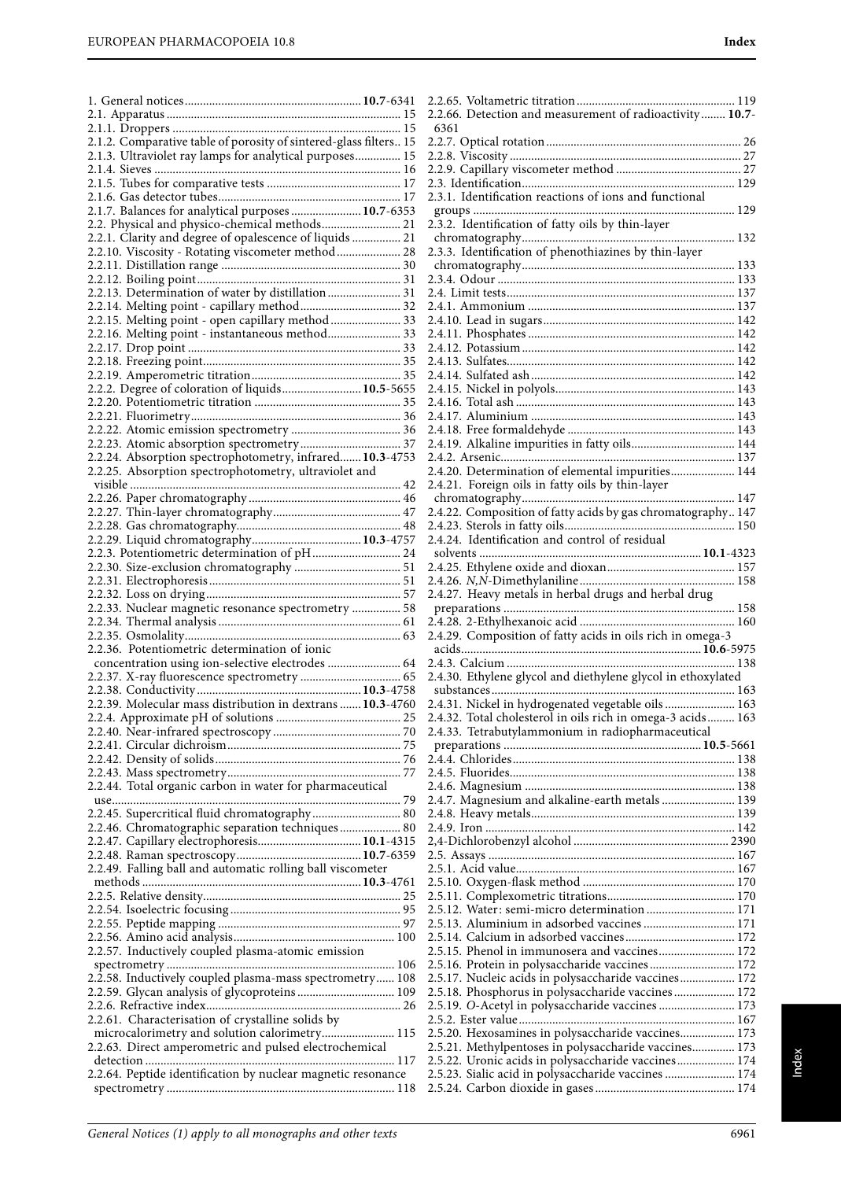| 2.1.2. Comparative table of porosity of sintered-glass filters 15                                        |  |
|----------------------------------------------------------------------------------------------------------|--|
| 2.1.3. Ultraviolet ray lamps for analytical purposes 15                                                  |  |
|                                                                                                          |  |
|                                                                                                          |  |
|                                                                                                          |  |
| 2.1.7. Balances for analytical purposes  10.7-6353                                                       |  |
| 2.2. Physical and physico-chemical methods 21<br>2.2.1. Clarity and degree of opalescence of liquids  21 |  |
| 2.2.10. Viscosity - Rotating viscometer method  28                                                       |  |
|                                                                                                          |  |
|                                                                                                          |  |
| 2.2.13. Determination of water by distillation  31                                                       |  |
| 2.2.14. Melting point - capillary method 32                                                              |  |
| 2.2.15. Melting point - open capillary method  33                                                        |  |
| 2.2.16. Melting point - instantaneous method 33                                                          |  |
|                                                                                                          |  |
|                                                                                                          |  |
|                                                                                                          |  |
| 2.2.2. Degree of coloration of liquids 10.5-5655                                                         |  |
|                                                                                                          |  |
|                                                                                                          |  |
|                                                                                                          |  |
|                                                                                                          |  |
| 2.2.24. Absorption spectrophotometry, infrared 10.3-4753                                                 |  |
| 2.2.25. Absorption spectrophotometry, ultraviolet and                                                    |  |
|                                                                                                          |  |
|                                                                                                          |  |
|                                                                                                          |  |
|                                                                                                          |  |
| 2.2.3. Potentiometric determination of pH 24                                                             |  |
|                                                                                                          |  |
|                                                                                                          |  |
|                                                                                                          |  |
| 2.2.33. Nuclear magnetic resonance spectrometry  58                                                      |  |
|                                                                                                          |  |
|                                                                                                          |  |
|                                                                                                          |  |
| 2.2.36. Potentiometric determination of ionic                                                            |  |
| concentration using ion-selective electrodes  64                                                         |  |
|                                                                                                          |  |
|                                                                                                          |  |
| 2.2.39. Molecular mass distribution in dextrans  10.3-4760                                               |  |
|                                                                                                          |  |
|                                                                                                          |  |
|                                                                                                          |  |
|                                                                                                          |  |
|                                                                                                          |  |
| 2.2.44. Total organic carbon in water for pharmaceutical                                                 |  |
|                                                                                                          |  |
| 2.2.45. Supercritical fluid chromatography 80                                                            |  |
| 2.2.46. Chromatographic separation techniques 80                                                         |  |
|                                                                                                          |  |
| 2.2.49. Falling ball and automatic rolling ball viscometer                                               |  |
|                                                                                                          |  |
|                                                                                                          |  |
|                                                                                                          |  |
|                                                                                                          |  |
|                                                                                                          |  |
| 2.2.57. Inductively coupled plasma-atomic emission                                                       |  |
|                                                                                                          |  |
| 2.2.58. Inductively coupled plasma-mass spectrometry 108                                                 |  |
| 2.2.59. Glycan analysis of glycoproteins 109                                                             |  |
|                                                                                                          |  |
| 2.2.61. Characterisation of crystalline solids by                                                        |  |
| microcalorimetry and solution calorimetry 115<br>2.2.63. Direct amperometric and pulsed electrochemical  |  |
|                                                                                                          |  |
| 2.2.64. Peptide identification by nuclear magnetic resonance                                             |  |

| chromatography<br>132<br>2.3.3. Identification of phenothiazines by thin-layer |
|--------------------------------------------------------------------------------|
|                                                                                |
|                                                                                |
|                                                                                |
|                                                                                |
|                                                                                |
|                                                                                |
|                                                                                |
|                                                                                |
|                                                                                |
|                                                                                |
|                                                                                |
|                                                                                |
|                                                                                |
|                                                                                |
| 2.4.19. Alkaline impurities in fatty oils 144                                  |
|                                                                                |
| 2.4.20. Determination of elemental impurities 144                              |
|                                                                                |
|                                                                                |
|                                                                                |
|                                                                                |
|                                                                                |
|                                                                                |
|                                                                                |
|                                                                                |
|                                                                                |
| 2.4.27. Heavy metals in herbal drugs and herbal drug                           |
|                                                                                |
|                                                                                |
| 2.4.29. Composition of fatty acids in oils rich in omega-3                     |
|                                                                                |
|                                                                                |
| 2.4.30. Ethylene glycol and diethylene glycol in ethoxylated                   |
|                                                                                |
|                                                                                |
|                                                                                |
| 2.4.31. Nickel in hydrogenated vegetable oils 163                              |
| 2.4.32. Total cholesterol in oils rich in omega-3 acids 163                    |
| 2.4.33. Tetrabutylammonium in radiopharmaceutical                              |
|                                                                                |
|                                                                                |
|                                                                                |
|                                                                                |
|                                                                                |
| 2.4.7. Magnesium and alkaline-earth metals  139                                |
|                                                                                |
|                                                                                |
|                                                                                |
|                                                                                |
|                                                                                |
|                                                                                |
|                                                                                |
| 2.5.12. Water: semi-micro determination  171                                   |
| 2.5.13. Aluminium in adsorbed vaccines  171                                    |
|                                                                                |
| 2.5.15. Phenol in immunosera and vaccines 172                                  |
| 2.5.16. Protein in polysaccharide vaccines 172                                 |
| 2.5.17. Nucleic acids in polysaccharide vaccines 172                           |
| 2.5.18. Phosphorus in polysaccharide vaccines 172                              |
|                                                                                |
| 2.5.19. O-Acetyl in polysaccharide vaccines  173                               |
|                                                                                |
| 2.5.20. Hexosamines in polysaccharide vaccines 173                             |
| 2.5.21. Methylpentoses in polysaccharide vaccines 173                          |
| 2.5.22. Uronic acids in polysaccharide vaccines 174                            |
| 2.5.23. Sialic acid in polysaccharide vaccines  174                            |
|                                                                                |
|                                                                                |

6361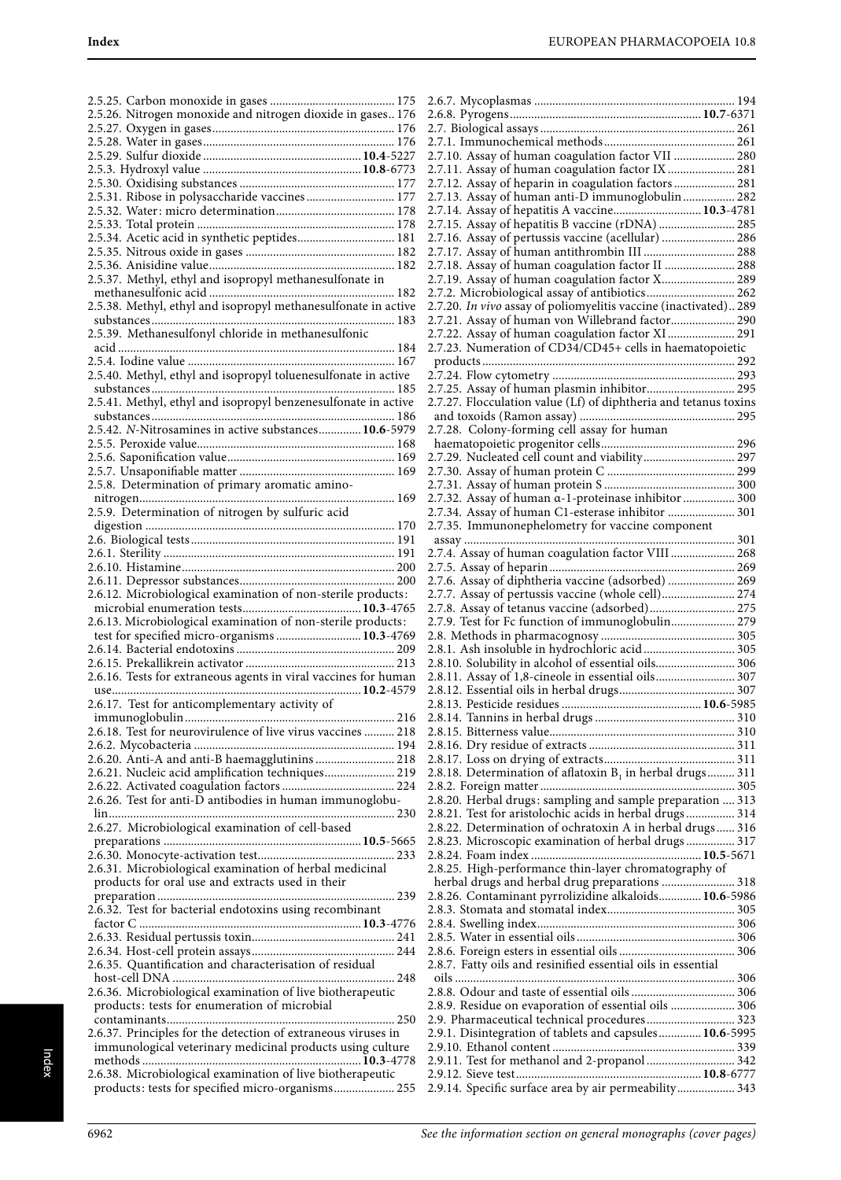| 2.5.26. Nitrogen monoxide and nitrogen dioxide in gases 176                                                     |
|-----------------------------------------------------------------------------------------------------------------|
|                                                                                                                 |
|                                                                                                                 |
|                                                                                                                 |
|                                                                                                                 |
|                                                                                                                 |
|                                                                                                                 |
| 2.5.31. Ribose in polysaccharide vaccines 177                                                                   |
|                                                                                                                 |
|                                                                                                                 |
| 2.5.34. Acetic acid in synthetic peptides 181                                                                   |
|                                                                                                                 |
|                                                                                                                 |
|                                                                                                                 |
| 2.5.37. Methyl, ethyl and isopropyl methanesulfonate in                                                         |
|                                                                                                                 |
|                                                                                                                 |
|                                                                                                                 |
|                                                                                                                 |
| 2.5.39. Methanesulfonyl chloride in methanesulfonic                                                             |
|                                                                                                                 |
|                                                                                                                 |
| 2.5.40. Methyl, ethyl and isopropyl toluenesulfonate in active                                                  |
|                                                                                                                 |
| 2.5.41. Methyl, ethyl and isopropyl benzenesulfonate in active                                                  |
|                                                                                                                 |
|                                                                                                                 |
| 2.5.42. N-Nitrosamines in active substances 10.6-5979                                                           |
|                                                                                                                 |
|                                                                                                                 |
|                                                                                                                 |
|                                                                                                                 |
| 2.5.8. Determination of primary aromatic amino-                                                                 |
|                                                                                                                 |
| 2.5.9. Determination of nitrogen by sulfuric acid                                                               |
|                                                                                                                 |
|                                                                                                                 |
|                                                                                                                 |
|                                                                                                                 |
|                                                                                                                 |
|                                                                                                                 |
| 2.6.12. Microbiological examination of non-sterile products:                                                    |
|                                                                                                                 |
|                                                                                                                 |
|                                                                                                                 |
|                                                                                                                 |
| 2.6.13. Microbiological examination of non-sterile products:                                                    |
| test for specified micro-organisms  10.3-4769                                                                   |
|                                                                                                                 |
|                                                                                                                 |
| 2.6.16. Tests for extraneous agents in viral vaccines for human                                                 |
|                                                                                                                 |
|                                                                                                                 |
| 2.6.17. Test for anticomplementary activity of                                                                  |
|                                                                                                                 |
| 2.6.18. Test for neurovirulence of live virus vaccines  218                                                     |
|                                                                                                                 |
| 2.6.20. Anti-A and anti-B haemagglutinins  218                                                                  |
|                                                                                                                 |
| 2.6.21. Nucleic acid amplification techniques 219                                                               |
|                                                                                                                 |
| 2.6.26. Test for anti-D antibodies in human immunoglobu-                                                        |
| $\ln$                                                                                                           |
| 2.6.27. Microbiological examination of cell-based                                                               |
|                                                                                                                 |
|                                                                                                                 |
|                                                                                                                 |
| 2.6.31. Microbiological examination of herbal medicinal                                                         |
| products for oral use and extracts used in their                                                                |
|                                                                                                                 |
| 2.6.32. Test for bacterial endotoxins using recombinant                                                         |
|                                                                                                                 |
|                                                                                                                 |
|                                                                                                                 |
|                                                                                                                 |
| 2.6.35. Quantification and characterisation of residual                                                         |
|                                                                                                                 |
|                                                                                                                 |
| 2.6.36. Microbiological examination of live biotherapeutic                                                      |
| products: tests for enumeration of microbial                                                                    |
|                                                                                                                 |
| 2.6.37. Principles for the detection of extraneous viruses in                                                   |
| immunological veterinary medicinal products using culture                                                       |
|                                                                                                                 |
|                                                                                                                 |
| 2.6.38. Microbiological examination of live biotherapeutic<br>products: tests for specified micro-organisms 255 |

| 2.7.10. Assay of human coagulation factor VII  280                                                |
|---------------------------------------------------------------------------------------------------|
| 2.7.11. Assay of human coagulation factor IX  281                                                 |
| 2.7.12. Assay of heparin in coagulation factors  281                                              |
| 2.7.13. Assay of human anti-D immunoglobulin 282                                                  |
| 2.7.14. Assay of hepatitis A vaccine 10.3-4781                                                    |
| 2.7.15. Assay of hepatitis B vaccine (rDNA)  285                                                  |
| 2.7.16. Assay of pertussis vaccine (acellular)  286                                               |
| 2.7.17. Assay of human antithrombin III  288<br>2.7.18. Assay of human coagulation factor II  288 |
| 2.7.19. Assay of human coagulation factor X 289                                                   |
| 2.7.2. Microbiological assay of antibiotics 262                                                   |
| 2.7.20. In vivo assay of poliomyelitis vaccine (inactivated) 289                                  |
| 2.7.21. Assay of human von Willebrand factor 290                                                  |
| 2.7.22. Assay of human coagulation factor XI 291                                                  |
| 2.7.23. Numeration of CD34/CD45+ cells in haematopoietic                                          |
|                                                                                                   |
|                                                                                                   |
| 2.7.25. Assay of human plasmin inhibitor 295                                                      |
| 2.7.27. Flocculation value (Lf) of diphtheria and tetanus toxins                                  |
|                                                                                                   |
| 2.7.28. Colony-forming cell assay for human                                                       |
|                                                                                                   |
| 2.7.29. Nucleated cell count and viability 297                                                    |
|                                                                                                   |
|                                                                                                   |
| 2.7.32. Assay of human a-1-proteinase inhibitor  300                                              |
| 2.7.34. Assay of human C1-esterase inhibitor  301                                                 |
| 2.7.35. Immunonephelometry for vaccine component                                                  |
|                                                                                                   |
|                                                                                                   |
|                                                                                                   |
| 2.7.6. Assay of diphtheria vaccine (adsorbed)  269                                                |
| 2.7.7. Assay of pertussis vaccine (whole cell) 274                                                |
| 2.7.8. Assay of tetanus vaccine (adsorbed) 275                                                    |
|                                                                                                   |
|                                                                                                   |
| 2.7.9. Test for Fc function of immunoglobulin 279                                                 |
|                                                                                                   |
| 2.8.1. Ash insoluble in hydrochloric acid  305                                                    |
| 2.8.10. Solubility in alcohol of essential oils 306                                               |
| 2.8.11. Assay of 1,8-cineole in essential oils 307                                                |
|                                                                                                   |
|                                                                                                   |
|                                                                                                   |
|                                                                                                   |
|                                                                                                   |
| 2.8.18. Determination of aflatoxin $B_1$ in herbal drugs 311                                      |
|                                                                                                   |
| 2.8.20. Herbal drugs: sampling and sample preparation  313                                        |
| 2.8.21. Test for aristolochic acids in herbal drugs 314                                           |
| 2.8.22. Determination of ochratoxin A in herbal drugs 316                                         |
| 2.8.23. Microscopic examination of herbal drugs  317                                              |
|                                                                                                   |
| 2.8.25. High-performance thin-layer chromatography of                                             |
| herbal drugs and herbal drug preparations  318                                                    |
| 2.8.26. Contaminant pyrrolizidine alkaloids  10.6-5986                                            |
|                                                                                                   |
|                                                                                                   |
|                                                                                                   |
|                                                                                                   |
| 2.8.7. Fatty oils and resinified essential oils in essential                                      |
|                                                                                                   |
|                                                                                                   |
| 2.8.9. Residue on evaporation of essential oils  306                                              |
| 2.9. Pharmaceutical technical procedures 323                                                      |
| 2.9.1. Disintegration of tablets and capsules 10.6-5995                                           |
|                                                                                                   |
| 2.9.11. Test for methanol and 2-propanol  342                                                     |
| 2.9.14. Specific surface area by air permeability 343                                             |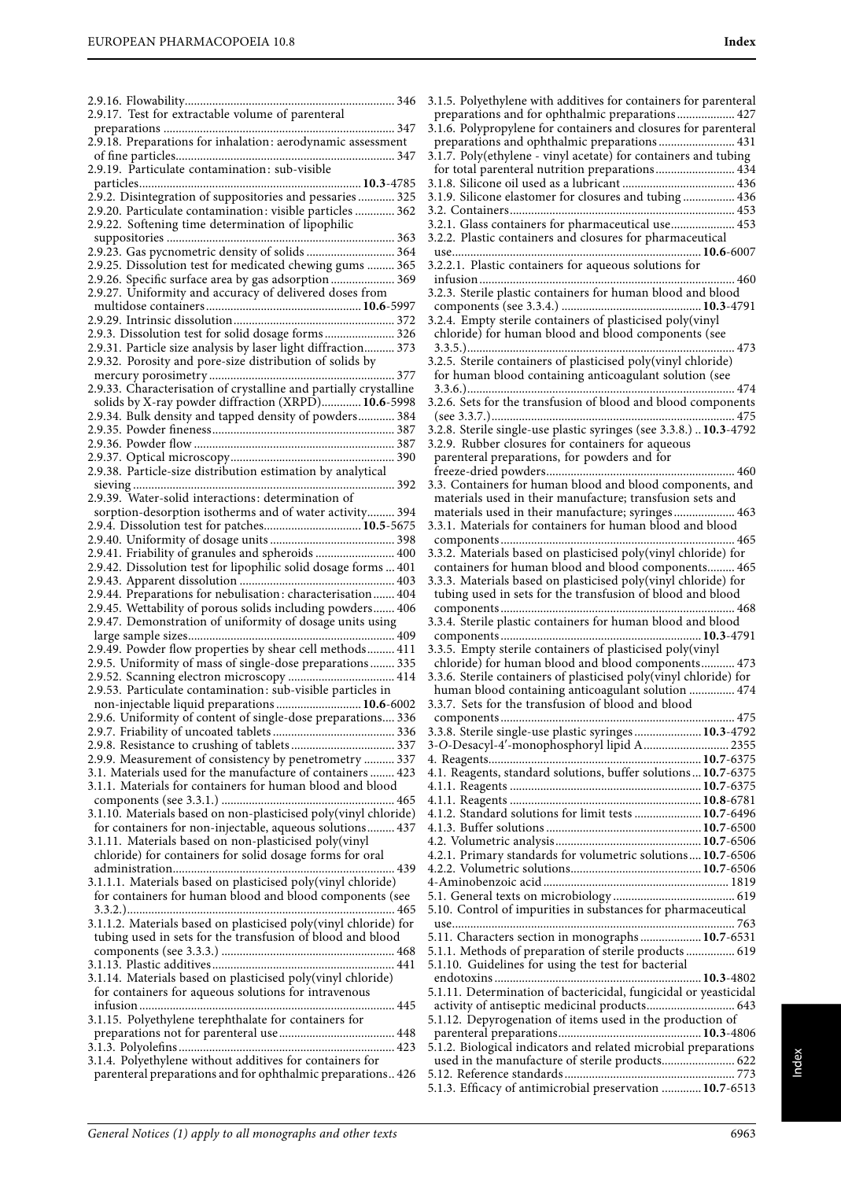| 2.9.17. Test for extractable volume of parenteral                                                                       |
|-------------------------------------------------------------------------------------------------------------------------|
| 2.9.18. Preparations for inhalation: aerodynamic assessment                                                             |
|                                                                                                                         |
| 2.9.19. Particulate contamination: sub-visible                                                                          |
| 2.9.2. Disintegration of suppositories and pessaries  325                                                               |
| 2.9.20. Particulate contamination: visible particles  362                                                               |
| 2.9.22. Softening time determination of lipophilic                                                                      |
| 2.9.23. Gas pycnometric density of solids  364                                                                          |
| 2.9.25. Dissolution test for medicated chewing gums  365<br>2.9.26. Specific surface area by gas adsorption 369         |
| 2.9.27. Uniformity and accuracy of delivered doses from                                                                 |
|                                                                                                                         |
| 2.9.3. Dissolution test for solid dosage forms 326                                                                      |
| 2.9.31. Particle size analysis by laser light diffraction 373                                                           |
| 2.9.32. Porosity and pore-size distribution of solids by                                                                |
| 2.9.33. Characterisation of crystalline and partially crystalline                                                       |
| solids by X-ray powder diffraction (XRPD) 10.6-5998                                                                     |
| 2.9.34. Bulk density and tapped density of powders 384                                                                  |
|                                                                                                                         |
| 2.9.38. Particle-size distribution estimation by analytical                                                             |
|                                                                                                                         |
| 2.9.39. Water-solid interactions: determination of<br>sorption-desorption isotherms and of water activity 394           |
| 2.9.4. Dissolution test for patches 10.5-5675                                                                           |
|                                                                                                                         |
| 2.9.41. Friability of granules and spheroids  400<br>2.9.42. Dissolution test for lipophilic solid dosage forms  401    |
|                                                                                                                         |
|                                                                                                                         |
| 2.9.44. Preparations for nebulisation: characterisation 404                                                             |
| 2.9.45. Wettability of porous solids including powders 406                                                              |
| 2.9.47. Demonstration of uniformity of dosage units using                                                               |
| 2.9.49. Powder flow properties by shear cell methods 411                                                                |
| 2.9.5. Uniformity of mass of single-dose preparations  335<br>2.9.52. Scanning electron microscopy  414                 |
| 2.9.53. Particulate contamination: sub-visible particles in                                                             |
| non-injectable liquid preparations  10.6-6002<br>2.9.6. Uniformity of content of single-dose preparations 336           |
|                                                                                                                         |
|                                                                                                                         |
| 2.9.9. Measurement of consistency by penetrometry  337<br>3.1. Materials used for the manufacture of containers  423    |
| 3.1.1. Materials for containers for human blood and blood                                                               |
| 3.1.10. Materials based on non-plasticised poly(vinyl chloride)                                                         |
| for containers for non-injectable, aqueous solutions 437                                                                |
| 3.1.11. Materials based on non-plasticised poly(vinyl<br>chloride) for containers for solid dosage forms for oral       |
|                                                                                                                         |
| 3.1.1.1. Materials based on plasticised poly(vinyl chloride)                                                            |
| for containers for human blood and blood components (see                                                                |
| 3.1.1.2. Materials based on plasticised poly(vinyl chloride) for                                                        |
| tubing used in sets for the transfusion of blood and blood                                                              |
|                                                                                                                         |
| 3.1.14. Materials based on plasticised poly(vinyl chloride)                                                             |
| for containers for aqueous solutions for intravenous                                                                    |
| 3.1.15. Polyethylene terephthalate for containers for                                                                   |
|                                                                                                                         |
| 3.1.4. Polyethylene without additives for containers for<br>parenteral preparations and for ophthalmic preparations 426 |

3.1.5. Polyethylene with additives for containers for parenteral preparations and for ophthalmic preparations................... 427 3.1.6. Polypropylene for containers and closures for parenteral preparations and ophthalmic preparations ......................... 431 3.1.7. Poly(ethylene - vinyl acetate) for containers and tubing for total parenteral nutrition preparations.......................... 434 3.1.8. Silicone oil used as a lubricant ..................................... 436 3.1.9. Silicone elastomer for closures and tubing ................. 436 3.2. Containers.......................................................................... 453 3.2.1. Glass containers for pharmaceutical use..................... 453 3.2.2. Plastic containers and closures for pharmaceutical use..................................................................................**10.6**-6007 3.2.2.1. Plastic containers for aqueous solutions for infusion .................................................................................... 460 3.2.3. Sterile plastic containers for human blood and blood components (see 3.3.4.) ..............................................**10.3**-4791 3.2.4. Empty sterile containers of plasticised poly(vinyl chloride) for human blood and blood components (see 3.3.5.)........................................................................................ 473 3.2.5. Sterile containers of plasticised poly(vinyl chloride) for human blood containing anticoagulant solution (see 3.3.6.)........................................................................................ 474 3.2.6. Sets for the transfusion of blood and blood components (see 3.3.7.)................................................................................ 475 3.2.8. Sterile single-use plastic syringes (see 3.3.8.) ..**10.3**-4792 3.2.9. Rubber closures for containers for aqueous parenteral preparations, for powders and for freeze-dried powders.............................................................. 460 3.3. Containers for human blood and blood components, and materials used in their manufacture; transfusion sets and materials used in their manufacture; syringes .................... 463 3.3.1. Materials for containers for human blood and blood components ............................................................................. 465 3.3.2. Materials based on plasticised poly(vinyl chloride) for containers for human blood and blood components......... 465 3.3.3. Materials based on plasticised poly(vinyl chloride) for tubing used in sets for the transfusion of blood and blood components ............................................................................. 468 3.3.4. Sterile plastic containers for human blood and blood components ..................................................................**10.3**-4791 3.3.5. Empty sterile containers of plasticised poly(vinyl chloride) for human blood and blood components........... 473 3.3.6. Sterile containers of plasticised poly(vinyl chloride) for human blood containing anticoagulant solution ............... 474 3.3.7. Sets for the transfusion of blood and blood components ............................................................................. 475 3.3.8. Sterile single-use plastic syringes ......................**10.3**-4792 3-O-Desacyl-4′-monophosphoryl lipid A............................ 2355 4. Reagents......................................................................**10.7**-6375 4.1. Reagents, standard solutions, buffer solutions ...**10.7**-6375 4.1.1. Reagents ...............................................................**10.7**-6375 4.1.1. Reagents ...............................................................**10.8**-6781 4.1.2. Standard solutions for limit tests ......................**10.7**-6496 4.1.3. Buffer solutions ...................................................**10.7**-6500 4.2. Volumetric analysis................................................**10.7**-6506 4.2.1. Primary standards for volumetric solutions....**10.7**-6506 4.2.2. Volumetric solutions...........................................**10.7**-6506 4-Aminobenzoic acid ............................................................. 1819 5.1. General texts on microbiology ........................................ 619 5.10. Control of impurities in substances for pharmaceutical use............................................................................................. 763 5.11. Characters section in monographs ....................**10.7**-6531 5.1.1. Methods of preparation of sterile products ................ 619 5.1.10. Guidelines for using the test for bacterial endotoxins ....................................................................**10.3**-4802 5.1.11. Determination of bactericidal, fungicidal or yeasticidal activity of antiseptic medicinal products............................. 643 5.1.12. Depyrogenation of items used in the production of parenteral preparations...............................................**10.3**-4806 5.1.2. Biological indicators and related microbial preparations used in the manufacture of sterile products........................ 622 5.12. Reference standards ........................................................ 773 5.1.3. Efficacy of antimicrobial preservation .............**10.7**-6513

Index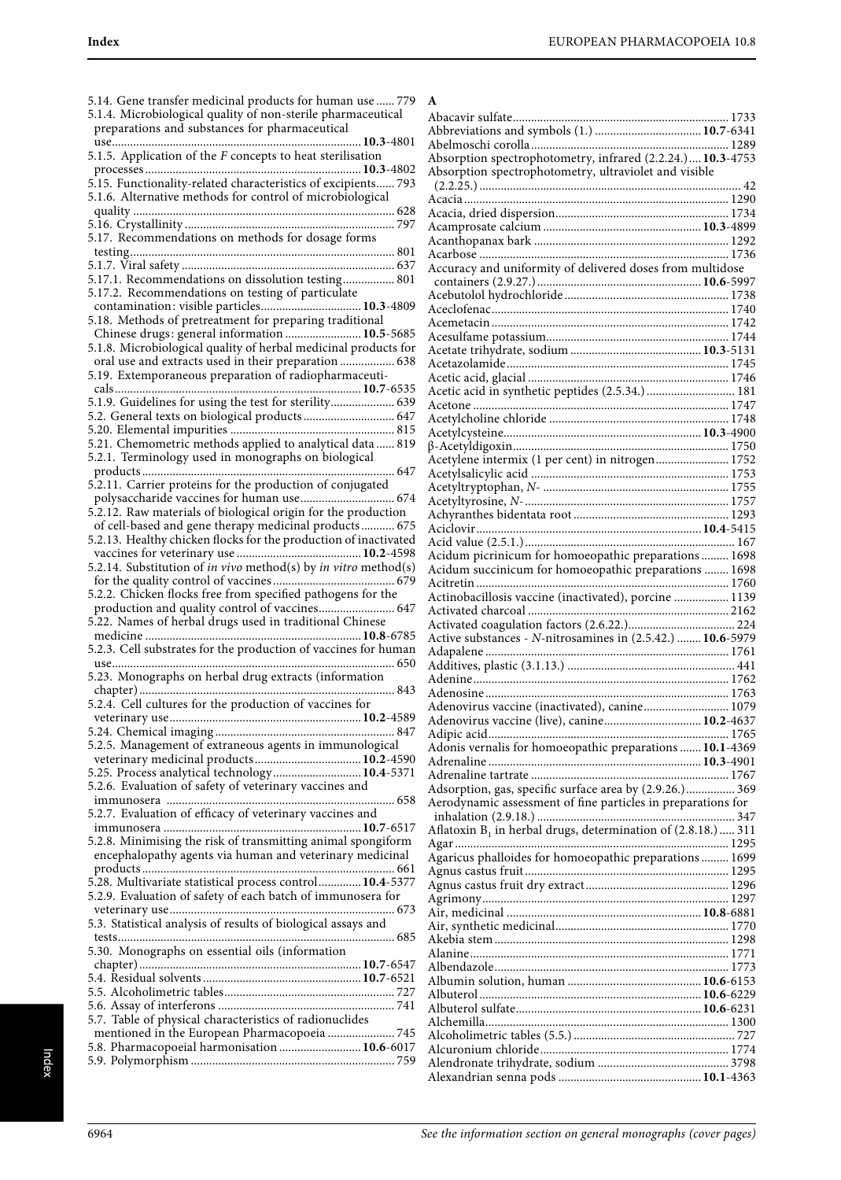| 5.14. Gene transfer medicinal products for human use  779                     | A                        |
|-------------------------------------------------------------------------------|--------------------------|
| 5.1.4. Microbiological quality of non-sterile pharmaceutical                  |                          |
|                                                                               | A                        |
| preparations and substances for pharmaceutical                                | A                        |
|                                                                               | A                        |
| 5.1.5. Application of the $F$ concepts to heat sterilisation                  | A                        |
|                                                                               | A                        |
| 5.15. Functionality-related characteristics of excipients 793                 |                          |
|                                                                               |                          |
| 5.1.6. Alternative methods for control of microbiological                     | Α                        |
|                                                                               | A                        |
|                                                                               | A                        |
| 5.17. Recommendations on methods for dosage forms                             | A                        |
|                                                                               | A                        |
|                                                                               |                          |
|                                                                               | A                        |
| 5.17.1. Recommendations on dissolution testing 801                            | $\overline{\phantom{a}}$ |
| 5.17.2. Recommendations on testing of particulate                             | A                        |
| contamination: visible particles 10.3-4809                                    | A                        |
| 5.18. Methods of pretreatment for preparing traditional                       | A                        |
| Chinese drugs: general information  10.5-5685                                 | A                        |
| 5.1.8. Microbiological quality of herbal medicinal products for               |                          |
|                                                                               | A                        |
| oral use and extracts used in their preparation 638                           | A                        |
| 5.19. Extemporaneous preparation of radiopharmaceuti-                         | A                        |
|                                                                               | A                        |
| 5.1.9. Guidelines for using the test for sterility 639                        | A                        |
| 5.2. General texts on biological products 647                                 | A                        |
|                                                                               |                          |
|                                                                               | A                        |
| 5.21. Chemometric methods applied to analytical data  819                     | $\beta$                  |
| 5.2.1. Terminology used in monographs on biological                           | A                        |
|                                                                               | A                        |
| 5.2.11. Carrier proteins for the production of conjugated                     | A                        |
|                                                                               | A                        |
| 5.2.12. Raw materials of biological origin for the production                 |                          |
|                                                                               | A                        |
| of cell-based and gene therapy medicinal products 675                         | A                        |
| 5.2.13. Healthy chicken flocks for the production of inactivated              | A                        |
|                                                                               | A                        |
| 5.2.14. Substitution of <i>in vivo</i> method(s) by <i>in vitro</i> method(s) | A                        |
|                                                                               | A                        |
| 5.2.2. Chicken flocks free from specified pathogens for the                   |                          |
|                                                                               | A                        |
| production and quality control of vaccines 647                                | A                        |
| 5.22. Names of herbal drugs used in traditional Chinese                       | A                        |
|                                                                               | A                        |
| 5.2.3. Cell substrates for the production of vaccines for human               | A                        |
|                                                                               | A                        |
| 5.23. Monographs on herbal drug extracts (information                         |                          |
|                                                                               | A                        |
|                                                                               | A                        |
| 5.2.4. Cell cultures for the production of vaccines for                       | А                        |
|                                                                               | A                        |
|                                                                               | A                        |
| 5.2.5. Management of extraneous agents in immunological                       | A                        |
|                                                                               | A                        |
| 5.25. Process analytical technology 10.4-5371                                 |                          |
|                                                                               | A                        |
| 5.2.6. Evaluation of safety of veterinary vaccines and                        | A                        |
|                                                                               | A                        |
| 5.2.7. Evaluation of efficacy of veterinary vaccines and                      | j                        |
|                                                                               | A                        |
| 5.2.8. Minimising the risk of transmitting animal spongiform                  | $\overline{A}$           |
| encephalopathy agents via human and veterinary medicinal                      | A                        |
|                                                                               |                          |
|                                                                               | A                        |
|                                                                               | A                        |
| 5.28. Multivariate statistical process control 10.4-5377                      |                          |
| 5.2.9. Evaluation of safety of each batch of immunosera for                   | A                        |
|                                                                               | A                        |
|                                                                               |                          |
| 5.3. Statistical analysis of results of biological assays and                 | A                        |
|                                                                               | A                        |
| 5.30. Monographs on essential oils (information                               | A                        |
|                                                                               | A                        |
|                                                                               | А                        |
|                                                                               | A                        |
|                                                                               | A                        |
|                                                                               |                          |
| 5.7. Table of physical characteristics of radionuclides                       | А                        |
| mentioned in the European Pharmacopoeia  745                                  | A                        |
| 5.8. Pharmacopoeial harmonisation  10.6-6017                                  | A<br>A                   |

| Absorption spectrophotometry, infrared (2.2.24.) 10.3-4753       |  |
|------------------------------------------------------------------|--|
| Absorption spectrophotometry, ultraviolet and visible            |  |
|                                                                  |  |
|                                                                  |  |
|                                                                  |  |
|                                                                  |  |
|                                                                  |  |
| Accuracy and uniformity of delivered doses from multidose        |  |
|                                                                  |  |
|                                                                  |  |
|                                                                  |  |
|                                                                  |  |
|                                                                  |  |
|                                                                  |  |
|                                                                  |  |
|                                                                  |  |
|                                                                  |  |
|                                                                  |  |
|                                                                  |  |
|                                                                  |  |
|                                                                  |  |
| Acetylene intermix (1 per cent) in nitrogen 1752                 |  |
|                                                                  |  |
|                                                                  |  |
|                                                                  |  |
|                                                                  |  |
|                                                                  |  |
| Acidum picrinicum for homoeopathic preparations  1698            |  |
| Acidum succinicum for homoeopathic preparations  1698            |  |
|                                                                  |  |
| Actinobacillosis vaccine (inactivated), porcine  1139            |  |
|                                                                  |  |
|                                                                  |  |
| Active substances - N-nitrosamines in (2.5.42.)  10.6-5979       |  |
|                                                                  |  |
|                                                                  |  |
|                                                                  |  |
| Adenovirus vaccine (inactivated), canine 1079                    |  |
| Adenovirus vaccine (live), canine 10.2-4637                      |  |
|                                                                  |  |
| Adonis vernalis for homoeopathic preparations  10.1-4369         |  |
|                                                                  |  |
|                                                                  |  |
| Adsorption, gas, specific surface area by (2.9.26.) 369          |  |
| Aerodynamic assessment of fine particles in preparations for     |  |
| Aflatoxin $B_1$ in herbal drugs, determination of (2.8.18.)  311 |  |
|                                                                  |  |
| Agaricus phalloides for homoeopathic preparations  1699          |  |
|                                                                  |  |
|                                                                  |  |
|                                                                  |  |
|                                                                  |  |
|                                                                  |  |
|                                                                  |  |
|                                                                  |  |
|                                                                  |  |
|                                                                  |  |
|                                                                  |  |
|                                                                  |  |
|                                                                  |  |
|                                                                  |  |
|                                                                  |  |
|                                                                  |  |
|                                                                  |  |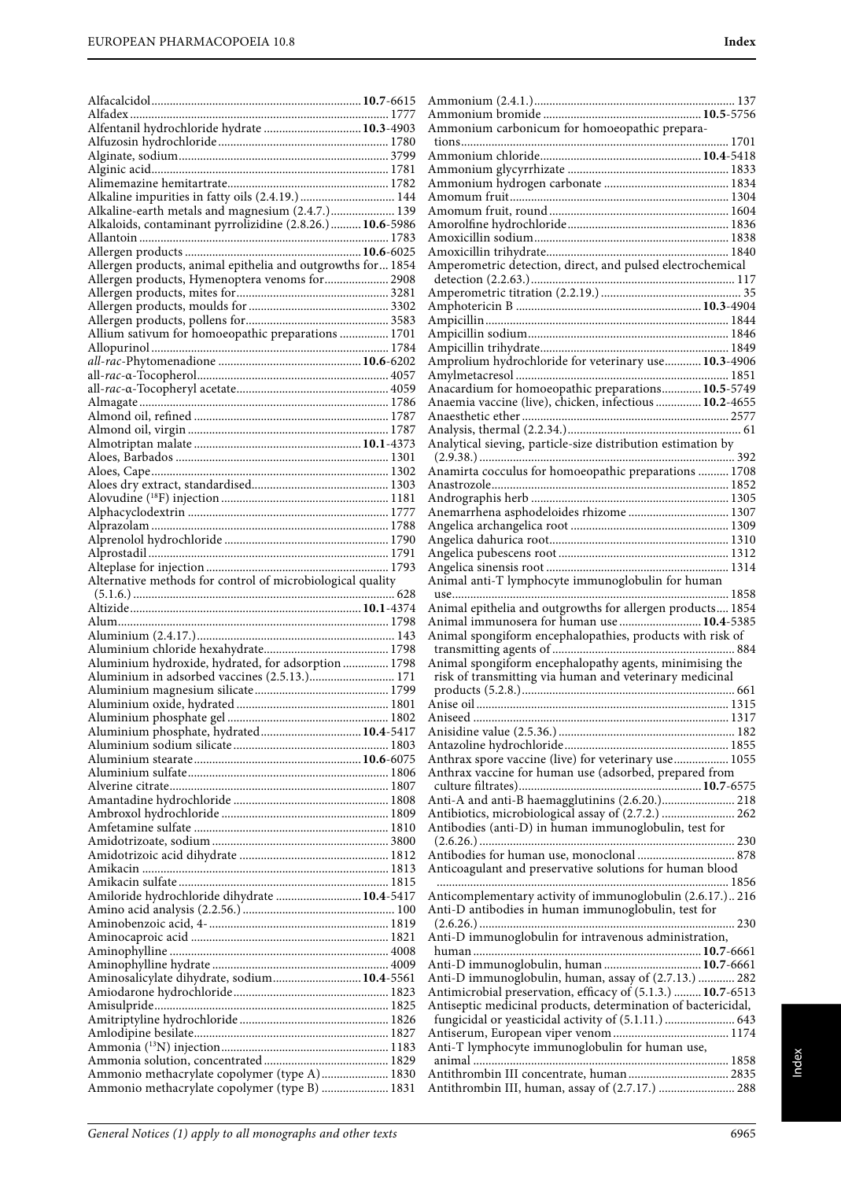| Alfentanil hydrochloride hydrate  10.3-4903                                                          | Ammonium carbonicum for homoeopathic prepara-                                                           |  |
|------------------------------------------------------------------------------------------------------|---------------------------------------------------------------------------------------------------------|--|
|                                                                                                      |                                                                                                         |  |
|                                                                                                      |                                                                                                         |  |
|                                                                                                      |                                                                                                         |  |
|                                                                                                      |                                                                                                         |  |
| Alkaline impurities in fatty oils (2.4.19.)  144<br>Alkaline-earth metals and magnesium (2.4.7.) 139 |                                                                                                         |  |
| Alkaloids, contaminant pyrrolizidine (2.8.26.) 10.6-5986                                             |                                                                                                         |  |
|                                                                                                      |                                                                                                         |  |
|                                                                                                      |                                                                                                         |  |
| Allergen products, animal epithelia and outgrowths for  1854                                         | Amperometric detection, direct, and pulsed electrochemical                                              |  |
| Allergen products, Hymenoptera venoms for 2908                                                       |                                                                                                         |  |
|                                                                                                      |                                                                                                         |  |
|                                                                                                      |                                                                                                         |  |
|                                                                                                      |                                                                                                         |  |
| Allium sativum for homoeopathic preparations  1701                                                   |                                                                                                         |  |
|                                                                                                      |                                                                                                         |  |
|                                                                                                      | Amprolium hydrochloride for veterinary use 10.3-4906                                                    |  |
|                                                                                                      | Anacardium for homoeopathic preparations 10.5-5749                                                      |  |
|                                                                                                      | Anaemia vaccine (live), chicken, infectious  10.2-4655                                                  |  |
|                                                                                                      |                                                                                                         |  |
|                                                                                                      |                                                                                                         |  |
|                                                                                                      | Analytical sieving, particle-size distribution estimation by                                            |  |
|                                                                                                      |                                                                                                         |  |
|                                                                                                      | Anamirta cocculus for homoeopathic preparations  1708                                                   |  |
|                                                                                                      |                                                                                                         |  |
|                                                                                                      |                                                                                                         |  |
|                                                                                                      | Anemarrhena asphodeloides rhizome  1307                                                                 |  |
|                                                                                                      |                                                                                                         |  |
|                                                                                                      |                                                                                                         |  |
|                                                                                                      |                                                                                                         |  |
|                                                                                                      |                                                                                                         |  |
| Alternative methods for control of microbiological quality                                           | Animal anti-T lymphocyte immunoglobulin for human                                                       |  |
|                                                                                                      |                                                                                                         |  |
|                                                                                                      | Animal epithelia and outgrowths for allergen products 1854                                              |  |
|                                                                                                      | Animal immunosera for human use  10.4-5385<br>Animal spongiform encephalopathies, products with risk of |  |
|                                                                                                      |                                                                                                         |  |
| Aluminium hydroxide, hydrated, for adsorption  1798                                                  | Animal spongiform encephalopathy agents, minimising the                                                 |  |
| Aluminium in adsorbed vaccines (2.5.13.) 171                                                         | risk of transmitting via human and veterinary medicinal                                                 |  |
|                                                                                                      |                                                                                                         |  |
|                                                                                                      |                                                                                                         |  |
|                                                                                                      |                                                                                                         |  |
| Aluminium phosphate, hydrated 10.4-5417                                                              |                                                                                                         |  |
|                                                                                                      |                                                                                                         |  |
|                                                                                                      | Anthrax spore vaccine (live) for veterinary use 1055                                                    |  |
|                                                                                                      | Anthrax vaccine for human use (adsorbed, prepared from                                                  |  |
|                                                                                                      |                                                                                                         |  |
|                                                                                                      | Anti-A and anti-B haemagglutinins (2.6.20.) 218                                                         |  |
|                                                                                                      | Antibiotics, microbiological assay of (2.7.2.)  262                                                     |  |
|                                                                                                      | Antibodies (anti-D) in human immunoglobulin, test for                                                   |  |
|                                                                                                      |                                                                                                         |  |
|                                                                                                      | Anticoagulant and preservative solutions for human blood                                                |  |
|                                                                                                      |                                                                                                         |  |
| Amiloride hydrochloride dihydrate  10.4-5417                                                         | Anticomplementary activity of immunoglobulin (2.6.17.) 216                                              |  |
|                                                                                                      | Anti-D antibodies in human immunoglobulin, test for                                                     |  |
|                                                                                                      |                                                                                                         |  |
|                                                                                                      | Anti-D immunoglobulin for intravenous administration,                                                   |  |
|                                                                                                      |                                                                                                         |  |
|                                                                                                      | Anti-D immunoglobulin, human  10.7-6661                                                                 |  |
| Aminosalicylate dihydrate, sodium 10.4-5561                                                          | Anti-D immunoglobulin, human, assay of (2.7.13.)  282                                                   |  |
|                                                                                                      | Antimicrobial preservation, efficacy of (5.1.3.)  10.7-6513                                             |  |
|                                                                                                      | Antiseptic medicinal products, determination of bactericidal,                                           |  |
|                                                                                                      | fungicidal or yeasticidal activity of (5.1.11.)  643                                                    |  |
|                                                                                                      |                                                                                                         |  |
|                                                                                                      | Anti-T lymphocyte immunoglobulin for human use,                                                         |  |
| Ammonio methacrylate copolymer (type A) 1830                                                         |                                                                                                         |  |
| Ammonio methacrylate copolymer (type B)  1831                                                        |                                                                                                         |  |
|                                                                                                      |                                                                                                         |  |

Index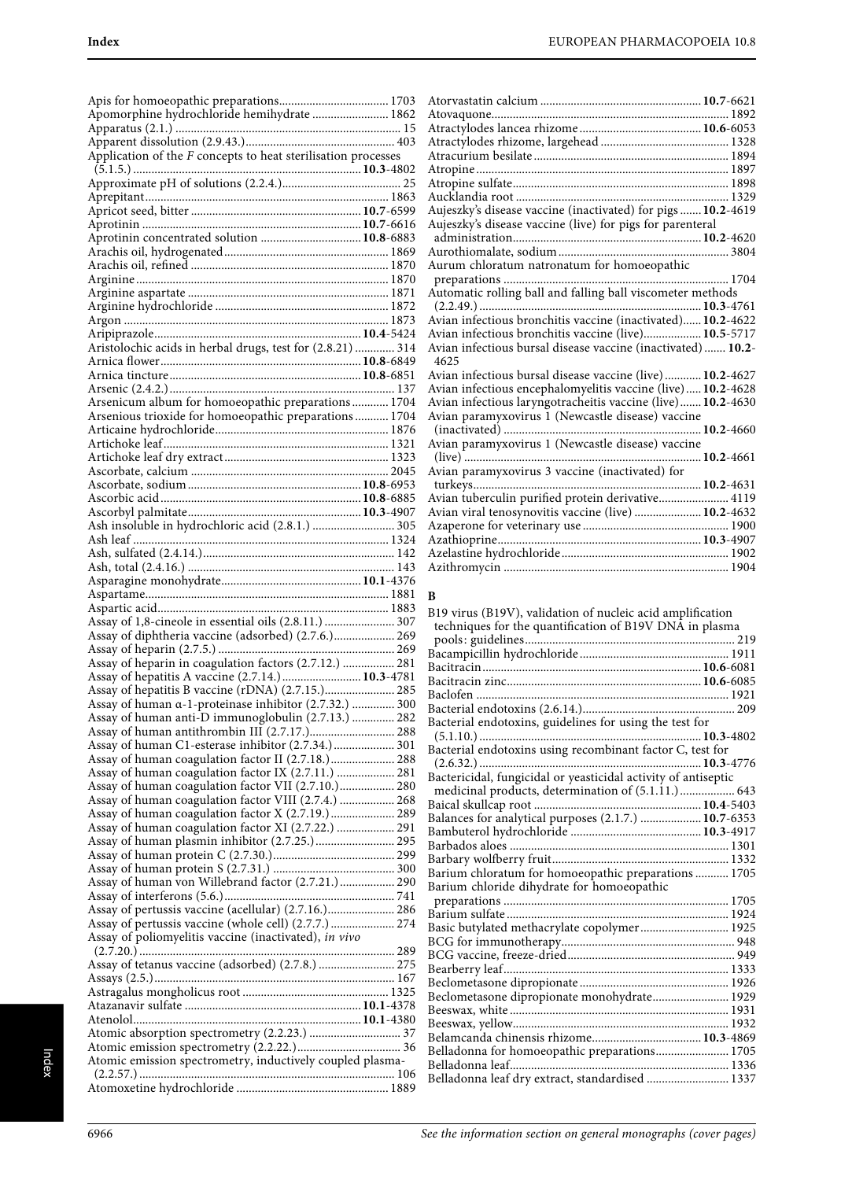| Apomorphine hydrochloride hemihydrate  1862                                                                                                                        |  |
|--------------------------------------------------------------------------------------------------------------------------------------------------------------------|--|
| Application of the $F$ concepts to heat sterilisation processes                                                                                                    |  |
|                                                                                                                                                                    |  |
| Aprotinin concentrated solution  10.8-6883                                                                                                                         |  |
|                                                                                                                                                                    |  |
|                                                                                                                                                                    |  |
|                                                                                                                                                                    |  |
| Aristolochic acids in herbal drugs, test for (2.8.21)  314                                                                                                         |  |
| Arsenicum album for homoeopathic preparations 1704                                                                                                                 |  |
| Arsenious trioxide for homoeopathic preparations 1704                                                                                                              |  |
|                                                                                                                                                                    |  |
|                                                                                                                                                                    |  |
| Ash insoluble in hydrochloric acid (2.8.1.)  305                                                                                                                   |  |
|                                                                                                                                                                    |  |
| Assay of 1,8-cineole in essential oils (2.8.11.)  307                                                                                                              |  |
| Assay of diphtheria vaccine (adsorbed) (2.7.6.) 269<br>Assay of heparin in coagulation factors (2.7.12.)  281                                                      |  |
| Assay of hepatitis A vaccine (2.7.14.)  10.3-4781<br>Assay of hepatitis B vaccine (rDNA) (2.7.15.) 285                                                             |  |
| Assay of human a-1-proteinase inhibitor (2.7.32.)  300<br>Assay of human anti-D immunoglobulin (2.7.13.)  282                                                      |  |
| Assay of human C1-esterase inhibitor (2.7.34.) 301<br>Assay of human coagulation factor II (2.7.18.) 288                                                           |  |
| Assay of human coagulation factor IX (2.7.11.)  281<br>Assay of human coagulation factor VII (2.7.10.) 280<br>Assay of human coagulation factor VIII (2.7.4.)  268 |  |
| Assay of human coagulation factor X (2.7.19.)  289<br>Assay of human coagulation factor XI (2.7.22.)  291<br>Assay of human plasmin inhibitor (2.7.25.) 295        |  |
|                                                                                                                                                                    |  |
| Assay of human von Willebrand factor (2.7.21.) 290<br>Assay of pertussis vaccine (acellular) (2.7.16.) 286                                                         |  |
| Assay of pertussis vaccine (whole cell) (2.7.7.) 274<br>Assay of poliomyelitis vaccine (inactivated), in vivo                                                      |  |
| Assay of tetanus vaccine (adsorbed) (2.7.8.)  275                                                                                                                  |  |
|                                                                                                                                                                    |  |
| Atomic emission spectrometry, inductively coupled plasma-                                                                                                          |  |
|                                                                                                                                                                    |  |

| Aujeszky's disease vaccine (inactivated) for pigs  10.2-4619         |                   |
|----------------------------------------------------------------------|-------------------|
| Aujeszky's disease vaccine (live) for pigs for parenteral            |                   |
|                                                                      |                   |
|                                                                      |                   |
| Aurum chloratum natronatum for homoeopathic                          |                   |
|                                                                      |                   |
| Automatic rolling ball and falling ball viscometer methods           |                   |
|                                                                      |                   |
| Avian infectious bronchitis vaccine (inactivated) 10.2-4622          |                   |
| Avian infectious bronchitis vaccine (live) 10.5-5717                 |                   |
| Avian infectious bursal disease vaccine (inactivated)  10.2-<br>4625 |                   |
| Avian infectious bursal disease vaccine (live) 10.2-4627             |                   |
| Avian infectious encephalomyelitis vaccine (live) 10.2-4628          |                   |
| Avian infectious laryngotracheitis vaccine (live) 10.2-4630          |                   |
| Avian paramyxovirus 1 (Newcastle disease) vaccine                    |                   |
|                                                                      |                   |
| Avian paramyxovirus 1 (Newcastle disease) vaccine                    |                   |
| .                                                                    | <b>10.2</b> -4661 |
| Avian paramyxovirus 3 vaccine (inactivated) for                      |                   |
| turkeys<br>10.2-4631                                                 |                   |
| Avian tuberculin purified protein derivative 4119                    |                   |
| Avian viral tenosynovitis vaccine (live)  10.2-4632                  |                   |
|                                                                      |                   |
|                                                                      |                   |
|                                                                      |                   |
|                                                                      |                   |

### **B**

| B19 virus (B19V), validation of nucleic acid amplification<br>techniques for the quantification of B19V DNA in plasma |
|-----------------------------------------------------------------------------------------------------------------------|
|                                                                                                                       |
|                                                                                                                       |
|                                                                                                                       |
|                                                                                                                       |
|                                                                                                                       |
|                                                                                                                       |
| Bacterial endotoxins, guidelines for using the test for                                                               |
|                                                                                                                       |
| Bacterial endotoxins using recombinant factor C, test for                                                             |
|                                                                                                                       |
| Bactericidal, fungicidal or yeasticidal activity of antiseptic                                                        |
| medicinal products, determination of (5.1.11.)  643                                                                   |
|                                                                                                                       |
| Balances for analytical purposes (2.1.7.)  10.7-6353                                                                  |
|                                                                                                                       |
|                                                                                                                       |
|                                                                                                                       |
| Barium chloratum for homoeopathic preparations 1705                                                                   |
| Barium chloride dihydrate for homoeopathic                                                                            |
|                                                                                                                       |
|                                                                                                                       |
| Basic butylated methacrylate copolymer 1925                                                                           |
|                                                                                                                       |
|                                                                                                                       |
|                                                                                                                       |
|                                                                                                                       |
| Beclometasone dipropionate monohydrate 1929                                                                           |
|                                                                                                                       |
|                                                                                                                       |
|                                                                                                                       |
| Belladonna for homoeopathic preparations 1705                                                                         |
|                                                                                                                       |
| Belladonna leaf dry extract, standardised  1337                                                                       |
|                                                                                                                       |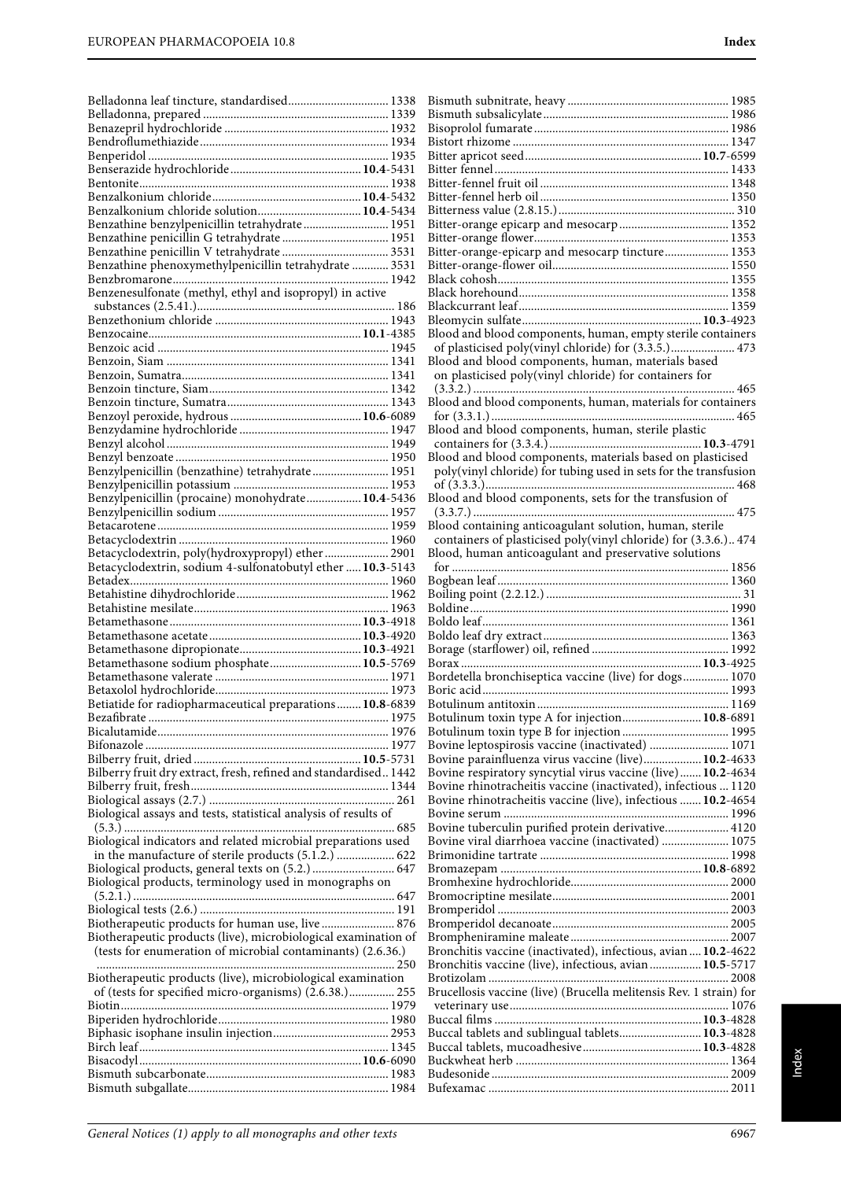| Belladonna leaf tincture, standardised 1338                      |  |
|------------------------------------------------------------------|--|
|                                                                  |  |
|                                                                  |  |
|                                                                  |  |
|                                                                  |  |
|                                                                  |  |
|                                                                  |  |
|                                                                  |  |
| Benzalkonium chloride solution 10.4-5434                         |  |
|                                                                  |  |
| Benzathine benzylpenicillin tetrahydrate 1951                    |  |
|                                                                  |  |
|                                                                  |  |
| Benzathine phenoxymethylpenicillin tetrahydrate  3531            |  |
|                                                                  |  |
| Benzenesulfonate (methyl, ethyl and isopropyl) in active         |  |
|                                                                  |  |
|                                                                  |  |
|                                                                  |  |
|                                                                  |  |
|                                                                  |  |
|                                                                  |  |
|                                                                  |  |
|                                                                  |  |
|                                                                  |  |
|                                                                  |  |
|                                                                  |  |
|                                                                  |  |
|                                                                  |  |
|                                                                  |  |
| Benzylpenicillin (benzathine) tetrahydrate 1951                  |  |
|                                                                  |  |
|                                                                  |  |
| Benzylpenicillin (procaine) monohydrate 10.4-5436                |  |
|                                                                  |  |
|                                                                  |  |
|                                                                  |  |
| Betacyclodextrin, poly(hydroxypropyl) ether 2901                 |  |
| Betacyclodextrin, sodium 4-sulfonatobutyl ether  10.3-5143       |  |
|                                                                  |  |
|                                                                  |  |
|                                                                  |  |
|                                                                  |  |
|                                                                  |  |
|                                                                  |  |
|                                                                  |  |
|                                                                  |  |
|                                                                  |  |
| Betamethasone sodium phosphate 10.5-5769                         |  |
|                                                                  |  |
|                                                                  |  |
| Betiatide for radiopharmaceutical preparations 10.8-6839         |  |
|                                                                  |  |
|                                                                  |  |
|                                                                  |  |
|                                                                  |  |
|                                                                  |  |
| Bilberry fruit dry extract, fresh, refined and standardised 1442 |  |
|                                                                  |  |
|                                                                  |  |
|                                                                  |  |
| Biological assays and tests, statistical analysis of results of  |  |
|                                                                  |  |
| Biological indicators and related microbial preparations used    |  |
| in the manufacture of sterile products (5.1.2.)  622             |  |
| Biological products, general texts on (5.2.)  647                |  |
|                                                                  |  |
| Biological products, terminology used in monographs on           |  |
|                                                                  |  |
|                                                                  |  |
| Biotherapeutic products for human use, live  876                 |  |
| Biotherapeutic products (live), microbiological examination of   |  |
| (tests for enumeration of microbial contaminants) (2.6.36.)      |  |
|                                                                  |  |
| Biotherapeutic products (live), microbiological examination      |  |
|                                                                  |  |
| of (tests for specified micro-organisms) (2.6.38.) 255           |  |
|                                                                  |  |
|                                                                  |  |
|                                                                  |  |
|                                                                  |  |
|                                                                  |  |
|                                                                  |  |

Bismuth subnitrate, heavy ..................................................... 1985 Bismuth subsalicylate............................................................. 1986 Bisoprolol fumarate ................................................................ 1986 Bistort rhizome ....................................................................... 1347 Bitter apricot seed..........................................................**10.7**-6599 Bitter fennel ............................................................................. 1433 Bitter-fennel fruit oil .............................................................. 1348 Bitter-fennel herb oil .............................................................. 1350 Bitterness value (2.8.15.).......................................................... 310

Index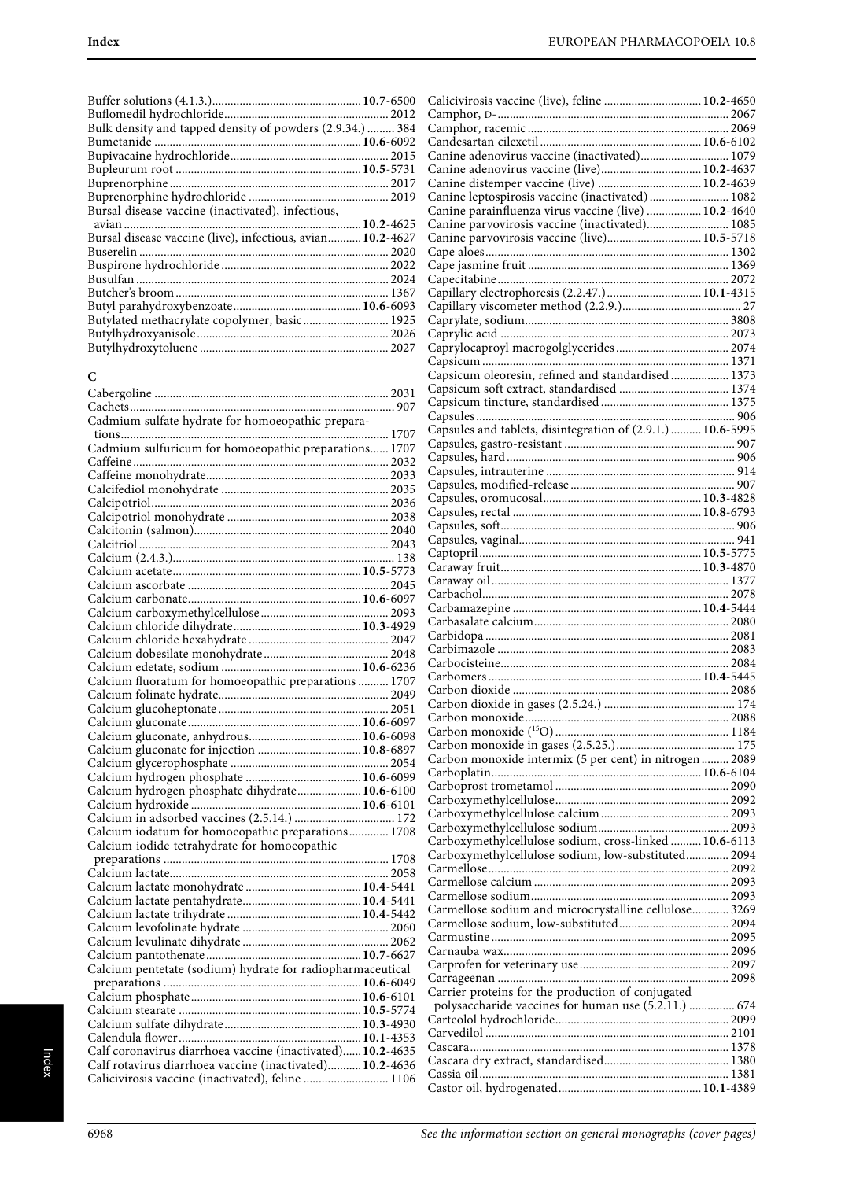| Bulk density and tapped density of powders (2.9.34.)  384  |  |
|------------------------------------------------------------|--|
|                                                            |  |
|                                                            |  |
|                                                            |  |
|                                                            |  |
|                                                            |  |
| Bursal disease vaccine (inactivated), infectious,          |  |
|                                                            |  |
| Bursal disease vaccine (live), infectious, avian 10.2-4627 |  |
|                                                            |  |
|                                                            |  |
|                                                            |  |
|                                                            |  |
|                                                            |  |
| Butylated methacrylate copolymer, basic 1925               |  |
|                                                            |  |
|                                                            |  |
|                                                            |  |

# **C**

| Cadmium sulfate hydrate for homoeopathic prepara-          |  |
|------------------------------------------------------------|--|
|                                                            |  |
|                                                            |  |
|                                                            |  |
|                                                            |  |
|                                                            |  |
|                                                            |  |
|                                                            |  |
|                                                            |  |
|                                                            |  |
|                                                            |  |
|                                                            |  |
|                                                            |  |
|                                                            |  |
|                                                            |  |
|                                                            |  |
|                                                            |  |
|                                                            |  |
|                                                            |  |
|                                                            |  |
| Calcium fluoratum for homoeopathic preparations  1707      |  |
|                                                            |  |
|                                                            |  |
|                                                            |  |
|                                                            |  |
|                                                            |  |
|                                                            |  |
|                                                            |  |
|                                                            |  |
|                                                            |  |
|                                                            |  |
| Calcium iodatum for homoeopathic preparations 1708         |  |
| Calcium iodide tetrahydrate for homoeopathic               |  |
|                                                            |  |
|                                                            |  |
|                                                            |  |
|                                                            |  |
|                                                            |  |
|                                                            |  |
|                                                            |  |
|                                                            |  |
|                                                            |  |
|                                                            |  |
|                                                            |  |
|                                                            |  |
|                                                            |  |
|                                                            |  |
| Calf coronavirus diarrhoea vaccine (inactivated) 10.2-4635 |  |
| Calf rotavirus diarrhoea vaccine (inactivated) 10.2-4636   |  |
| Calicivirosis vaccine (inactivated), feline  1106          |  |
|                                                            |  |

| Calicivirosis vaccine (live), feline  10.2-4650                                                           |  |
|-----------------------------------------------------------------------------------------------------------|--|
|                                                                                                           |  |
|                                                                                                           |  |
|                                                                                                           |  |
| Canine adenovirus vaccine (inactivated) 1079<br>Canine adenovirus vaccine (live) 10.2-4637                |  |
| Canine distemper vaccine (live)  10.2-4639                                                                |  |
| Canine leptospirosis vaccine (inactivated)  1082                                                          |  |
| Canine parainfluenza virus vaccine (live)  10.2-4640                                                      |  |
| Canine parvovirosis vaccine (inactivated) 1085                                                            |  |
| Canine parvovirosis vaccine (live) 10.5-5718                                                              |  |
|                                                                                                           |  |
|                                                                                                           |  |
|                                                                                                           |  |
|                                                                                                           |  |
|                                                                                                           |  |
|                                                                                                           |  |
|                                                                                                           |  |
|                                                                                                           |  |
|                                                                                                           |  |
| Capsicum oleoresin, refined and standardised  1373                                                        |  |
|                                                                                                           |  |
|                                                                                                           |  |
| Capsules and tablets, disintegration of (2.9.1.)  10.6-5995                                               |  |
|                                                                                                           |  |
|                                                                                                           |  |
|                                                                                                           |  |
|                                                                                                           |  |
|                                                                                                           |  |
|                                                                                                           |  |
|                                                                                                           |  |
|                                                                                                           |  |
|                                                                                                           |  |
|                                                                                                           |  |
|                                                                                                           |  |
|                                                                                                           |  |
|                                                                                                           |  |
|                                                                                                           |  |
|                                                                                                           |  |
|                                                                                                           |  |
|                                                                                                           |  |
|                                                                                                           |  |
|                                                                                                           |  |
|                                                                                                           |  |
|                                                                                                           |  |
|                                                                                                           |  |
| Carbon monoxide intermix (5 per cent) in nitrogen  2089                                                   |  |
|                                                                                                           |  |
|                                                                                                           |  |
|                                                                                                           |  |
|                                                                                                           |  |
|                                                                                                           |  |
| Carboxymethylcellulose sodium, cross-linked  10.6-6113                                                    |  |
| Carboxymethylcellulose sodium, low-substituted 2094                                                       |  |
|                                                                                                           |  |
|                                                                                                           |  |
|                                                                                                           |  |
| Carmellose sodium and microcrystalline cellulose 3269                                                     |  |
|                                                                                                           |  |
|                                                                                                           |  |
|                                                                                                           |  |
|                                                                                                           |  |
|                                                                                                           |  |
| Carrier proteins for the production of conjugated<br>polysaccharide vaccines for human use (5.2.11.)  674 |  |
|                                                                                                           |  |
|                                                                                                           |  |
|                                                                                                           |  |
|                                                                                                           |  |
|                                                                                                           |  |
|                                                                                                           |  |
|                                                                                                           |  |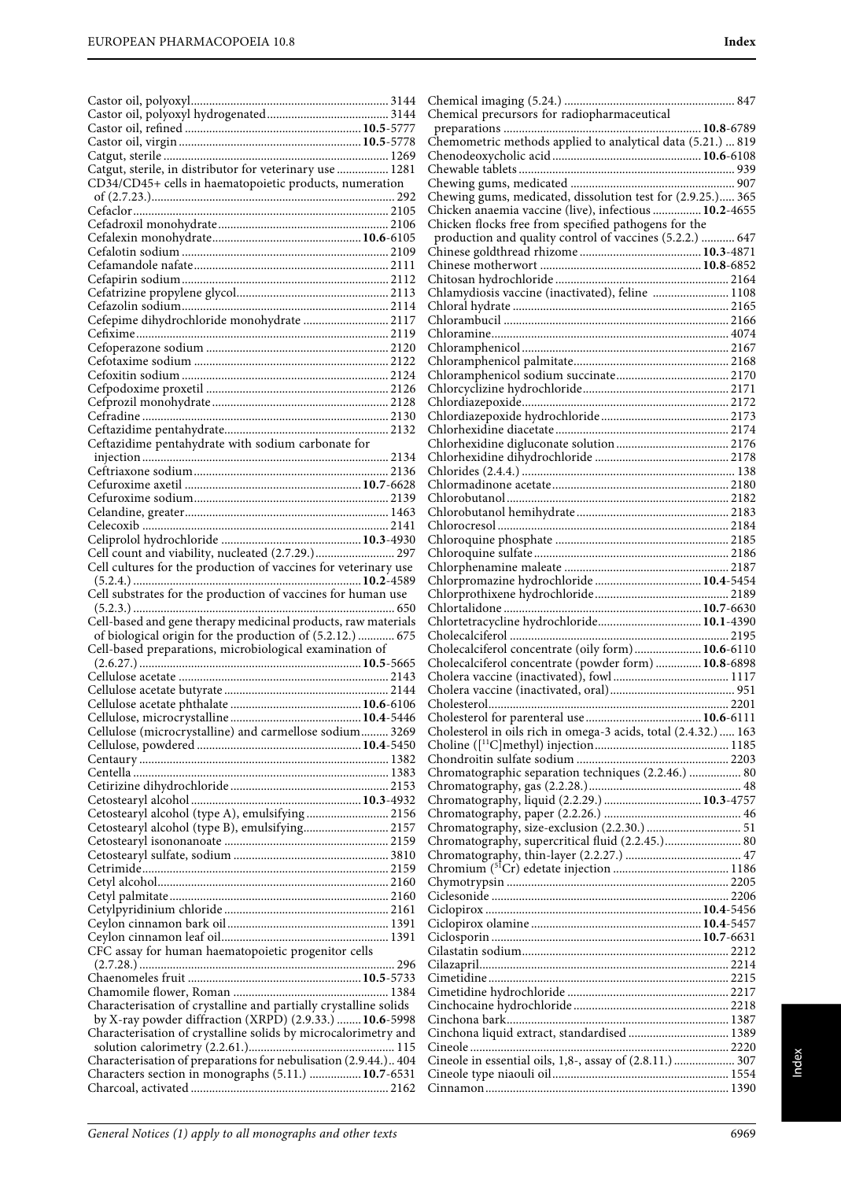| Catgut, sterile, in distributor for veterinary use  1281         |  |
|------------------------------------------------------------------|--|
| CD34/CD45+ cells in haematopoietic products, numeration          |  |
|                                                                  |  |
|                                                                  |  |
|                                                                  |  |
|                                                                  |  |
|                                                                  |  |
|                                                                  |  |
|                                                                  |  |
|                                                                  |  |
|                                                                  |  |
|                                                                  |  |
| Cefepime dihydrochloride monohydrate  2117                       |  |
|                                                                  |  |
|                                                                  |  |
|                                                                  |  |
|                                                                  |  |
|                                                                  |  |
|                                                                  |  |
|                                                                  |  |
|                                                                  |  |
| Ceftazidime pentahydrate with sodium carbonate for               |  |
|                                                                  |  |
|                                                                  |  |
|                                                                  |  |
|                                                                  |  |
|                                                                  |  |
|                                                                  |  |
|                                                                  |  |
|                                                                  |  |
| Cell count and viability, nucleated (2.7.29.) 297                |  |
|                                                                  |  |
|                                                                  |  |
| Cell substrates for the production of vaccines for human use     |  |
|                                                                  |  |
|                                                                  |  |
|                                                                  |  |
| Cell-based and gene therapy medicinal products, raw materials    |  |
| of biological origin for the production of (5.2.12.)  675        |  |
| Cell-based preparations, microbiological examination of          |  |
|                                                                  |  |
|                                                                  |  |
|                                                                  |  |
|                                                                  |  |
|                                                                  |  |
|                                                                  |  |
| Cellulose (microcrystalline) and carmellose sodium 3269          |  |
|                                                                  |  |
|                                                                  |  |
|                                                                  |  |
|                                                                  |  |
|                                                                  |  |
| Cetostearyl alcohol (type A), emulsifying  2156                  |  |
| Cetostearyl alcohol (type B), emulsifying 2157                   |  |
|                                                                  |  |
|                                                                  |  |
|                                                                  |  |
|                                                                  |  |
|                                                                  |  |
|                                                                  |  |
|                                                                  |  |
|                                                                  |  |
|                                                                  |  |
| CFC assay for human haematopoietic progenitor cells              |  |
|                                                                  |  |
|                                                                  |  |
|                                                                  |  |
| Characterisation of crystalline and partially crystalline solids |  |
| by X-ray powder diffraction (XRPD) (2.9.33.)  10.6-5998          |  |
| Characterisation of crystalline solids by microcalorimetry and   |  |
|                                                                  |  |
| Characterisation of preparations for nebulisation (2.9.44.) 404  |  |
| Characters section in monographs (5.11.)  10.7-6531              |  |

| Chemical precursors for radiopharmaceutical                                                      |  |
|--------------------------------------------------------------------------------------------------|--|
| Chemometric methods applied to analytical data (5.21.)  819                                      |  |
|                                                                                                  |  |
|                                                                                                  |  |
| Chewing gums, medicated, dissolution test for (2.9.25.) 365                                      |  |
| Chicken anaemia vaccine (live), infectious  10.2-4655                                            |  |
| Chicken flocks free from specified pathogens for the                                             |  |
| production and quality control of vaccines (5.2.2.)  647                                         |  |
|                                                                                                  |  |
|                                                                                                  |  |
| Chlamydiosis vaccine (inactivated), feline  1108                                                 |  |
|                                                                                                  |  |
|                                                                                                  |  |
|                                                                                                  |  |
|                                                                                                  |  |
|                                                                                                  |  |
|                                                                                                  |  |
|                                                                                                  |  |
|                                                                                                  |  |
|                                                                                                  |  |
|                                                                                                  |  |
|                                                                                                  |  |
|                                                                                                  |  |
|                                                                                                  |  |
|                                                                                                  |  |
| Chlorpromazine hydrochloride  10.4-5454                                                          |  |
|                                                                                                  |  |
| Chlortetracycline hydrochloride 10.1-4390                                                        |  |
|                                                                                                  |  |
| Cholecalciferol concentrate (oily form) 10.6-6110                                                |  |
| Cholecalciferol concentrate (powder form)  10.8-6898                                             |  |
|                                                                                                  |  |
|                                                                                                  |  |
| Cholesterol in oils rich in omega-3 acids, total (2.4.32.)  163                                  |  |
|                                                                                                  |  |
|                                                                                                  |  |
| Chromatographic separation techniques (2.2.46.)  80                                              |  |
|                                                                                                  |  |
|                                                                                                  |  |
| Chromatography, size-exclusion (2.2.30.)  51<br>Chromatography, supercritical fluid (2.2.45.) 80 |  |
|                                                                                                  |  |
|                                                                                                  |  |
|                                                                                                  |  |
|                                                                                                  |  |
|                                                                                                  |  |
|                                                                                                  |  |
|                                                                                                  |  |
|                                                                                                  |  |
|                                                                                                  |  |
|                                                                                                  |  |
| Cinchona liquid extract, standardised  1389                                                      |  |
| Cineole in essential oils, 1,8-, assay of (2.8.11.)  307                                         |  |
|                                                                                                  |  |
|                                                                                                  |  |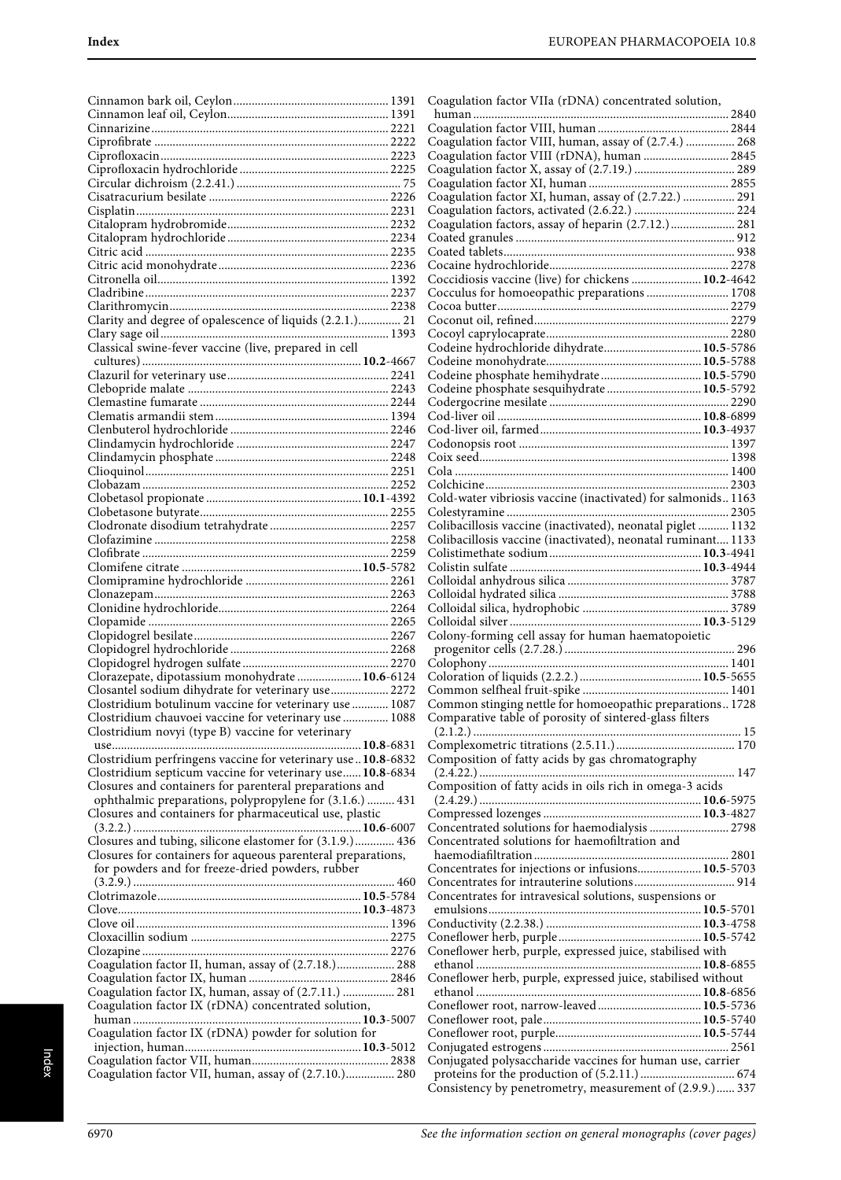| Clarity and degree of opalescence of liquids (2.2.1.) 21     |  |
|--------------------------------------------------------------|--|
|                                                              |  |
| Classical swine-fever vaccine (live, prepared in cell        |  |
|                                                              |  |
|                                                              |  |
|                                                              |  |
|                                                              |  |
|                                                              |  |
|                                                              |  |
|                                                              |  |
|                                                              |  |
|                                                              |  |
|                                                              |  |
|                                                              |  |
|                                                              |  |
|                                                              |  |
|                                                              |  |
|                                                              |  |
|                                                              |  |
|                                                              |  |
|                                                              |  |
|                                                              |  |
|                                                              |  |
|                                                              |  |
|                                                              |  |
|                                                              |  |
|                                                              |  |
|                                                              |  |
|                                                              |  |
|                                                              |  |
|                                                              |  |
|                                                              |  |
|                                                              |  |
|                                                              |  |
| Clorazepate, dipotassium monohydrate  10.6-6124              |  |
| Closantel sodium dihydrate for veterinary use 2272           |  |
|                                                              |  |
| Clostridium botulinum vaccine for veterinary use  1087       |  |
| Clostridium chauvoei vaccine for veterinary use  1088        |  |
| Clostridium novyi (type B) vaccine for veterinary            |  |
|                                                              |  |
|                                                              |  |
| Clostridium perfringens vaccine for veterinary use10.8-6832  |  |
| Clostridium septicum vaccine for veterinary use 10.8-6834    |  |
| Closures and containers for parenteral preparations and      |  |
| ophthalmic preparations, polypropylene for (3.1.6.)  431     |  |
|                                                              |  |
| Closures and containers for pharmaceutical use, plastic      |  |
|                                                              |  |
| Closures and tubing, silicone elastomer for (3.1.9.) 436     |  |
| Closures for containers for aqueous parenteral preparations, |  |
|                                                              |  |
| for powders and for freeze-dried powders, rubber             |  |
|                                                              |  |
|                                                              |  |
|                                                              |  |
|                                                              |  |
|                                                              |  |
|                                                              |  |
|                                                              |  |
| Coagulation factor II, human, assay of (2.7.18.) 288         |  |
|                                                              |  |
|                                                              |  |
| Coagulation factor IX, human, assay of (2.7.11.)  281        |  |
| Coagulation factor IX (rDNA) concentrated solution,          |  |
|                                                              |  |
|                                                              |  |
| Coagulation factor IX (rDNA) powder for solution for         |  |
|                                                              |  |
| Coagulation factor VII, human, assay of (2.7.10.) 280        |  |

| Coagulation factor VIIa (rDNA) concentrated solution,                                                                                                                                                                                                                                                                                                                                                                                                             |  |
|-------------------------------------------------------------------------------------------------------------------------------------------------------------------------------------------------------------------------------------------------------------------------------------------------------------------------------------------------------------------------------------------------------------------------------------------------------------------|--|
|                                                                                                                                                                                                                                                                                                                                                                                                                                                                   |  |
| Coagulation factor VIII, human, assay of (2.7.4.)  268                                                                                                                                                                                                                                                                                                                                                                                                            |  |
| Coagulation factor VIII (rDNA), human  2845                                                                                                                                                                                                                                                                                                                                                                                                                       |  |
|                                                                                                                                                                                                                                                                                                                                                                                                                                                                   |  |
|                                                                                                                                                                                                                                                                                                                                                                                                                                                                   |  |
| Coagulation factor XI, human, assay of (2.7.22.)  291                                                                                                                                                                                                                                                                                                                                                                                                             |  |
|                                                                                                                                                                                                                                                                                                                                                                                                                                                                   |  |
| Coagulation factors, assay of heparin (2.7.12.) 281                                                                                                                                                                                                                                                                                                                                                                                                               |  |
|                                                                                                                                                                                                                                                                                                                                                                                                                                                                   |  |
|                                                                                                                                                                                                                                                                                                                                                                                                                                                                   |  |
|                                                                                                                                                                                                                                                                                                                                                                                                                                                                   |  |
| Coccidiosis vaccine (live) for chickens  10.2-4642                                                                                                                                                                                                                                                                                                                                                                                                                |  |
| Cocculus for homoeopathic preparations  1708                                                                                                                                                                                                                                                                                                                                                                                                                      |  |
|                                                                                                                                                                                                                                                                                                                                                                                                                                                                   |  |
|                                                                                                                                                                                                                                                                                                                                                                                                                                                                   |  |
| Codeine hydrochloride dihydrate 10.5-5786                                                                                                                                                                                                                                                                                                                                                                                                                         |  |
|                                                                                                                                                                                                                                                                                                                                                                                                                                                                   |  |
| Codeine phosphate hemihydrate 10.5-5790                                                                                                                                                                                                                                                                                                                                                                                                                           |  |
| Codeine phosphate sesquihydrate 10.5-5792                                                                                                                                                                                                                                                                                                                                                                                                                         |  |
|                                                                                                                                                                                                                                                                                                                                                                                                                                                                   |  |
|                                                                                                                                                                                                                                                                                                                                                                                                                                                                   |  |
|                                                                                                                                                                                                                                                                                                                                                                                                                                                                   |  |
|                                                                                                                                                                                                                                                                                                                                                                                                                                                                   |  |
|                                                                                                                                                                                                                                                                                                                                                                                                                                                                   |  |
|                                                                                                                                                                                                                                                                                                                                                                                                                                                                   |  |
|                                                                                                                                                                                                                                                                                                                                                                                                                                                                   |  |
| Cold-water vibriosis vaccine (inactivated) for salmonids 1163                                                                                                                                                                                                                                                                                                                                                                                                     |  |
|                                                                                                                                                                                                                                                                                                                                                                                                                                                                   |  |
| Colibacillosis vaccine (inactivated), neonatal piglet  1132                                                                                                                                                                                                                                                                                                                                                                                                       |  |
| Colibacillosis vaccine (inactivated), neonatal ruminant 1133                                                                                                                                                                                                                                                                                                                                                                                                      |  |
|                                                                                                                                                                                                                                                                                                                                                                                                                                                                   |  |
|                                                                                                                                                                                                                                                                                                                                                                                                                                                                   |  |
|                                                                                                                                                                                                                                                                                                                                                                                                                                                                   |  |
|                                                                                                                                                                                                                                                                                                                                                                                                                                                                   |  |
|                                                                                                                                                                                                                                                                                                                                                                                                                                                                   |  |
| Colony-forming cell assay for human haematopoietic                                                                                                                                                                                                                                                                                                                                                                                                                |  |
|                                                                                                                                                                                                                                                                                                                                                                                                                                                                   |  |
|                                                                                                                                                                                                                                                                                                                                                                                                                                                                   |  |
|                                                                                                                                                                                                                                                                                                                                                                                                                                                                   |  |
|                                                                                                                                                                                                                                                                                                                                                                                                                                                                   |  |
| Common stinging nettle for homoeopathic preparations 1728                                                                                                                                                                                                                                                                                                                                                                                                         |  |
| Comparative table of porosity of sintered-glass filters                                                                                                                                                                                                                                                                                                                                                                                                           |  |
|                                                                                                                                                                                                                                                                                                                                                                                                                                                                   |  |
|                                                                                                                                                                                                                                                                                                                                                                                                                                                                   |  |
| Composition of fatty acids by gas chromatography                                                                                                                                                                                                                                                                                                                                                                                                                  |  |
| Composition of fatty acids in oils rich in omega-3 acids                                                                                                                                                                                                                                                                                                                                                                                                          |  |
|                                                                                                                                                                                                                                                                                                                                                                                                                                                                   |  |
|                                                                                                                                                                                                                                                                                                                                                                                                                                                                   |  |
|                                                                                                                                                                                                                                                                                                                                                                                                                                                                   |  |
|                                                                                                                                                                                                                                                                                                                                                                                                                                                                   |  |
| Concentrated solutions for haemodialysis  2798                                                                                                                                                                                                                                                                                                                                                                                                                    |  |
|                                                                                                                                                                                                                                                                                                                                                                                                                                                                   |  |
|                                                                                                                                                                                                                                                                                                                                                                                                                                                                   |  |
|                                                                                                                                                                                                                                                                                                                                                                                                                                                                   |  |
|                                                                                                                                                                                                                                                                                                                                                                                                                                                                   |  |
|                                                                                                                                                                                                                                                                                                                                                                                                                                                                   |  |
|                                                                                                                                                                                                                                                                                                                                                                                                                                                                   |  |
|                                                                                                                                                                                                                                                                                                                                                                                                                                                                   |  |
|                                                                                                                                                                                                                                                                                                                                                                                                                                                                   |  |
|                                                                                                                                                                                                                                                                                                                                                                                                                                                                   |  |
|                                                                                                                                                                                                                                                                                                                                                                                                                                                                   |  |
|                                                                                                                                                                                                                                                                                                                                                                                                                                                                   |  |
|                                                                                                                                                                                                                                                                                                                                                                                                                                                                   |  |
|                                                                                                                                                                                                                                                                                                                                                                                                                                                                   |  |
|                                                                                                                                                                                                                                                                                                                                                                                                                                                                   |  |
|                                                                                                                                                                                                                                                                                                                                                                                                                                                                   |  |
|                                                                                                                                                                                                                                                                                                                                                                                                                                                                   |  |
| Concentrated solutions for haemofiltration and<br>Concentrates for injections or infusions 10.5-5703<br>Concentrates for intravesical solutions, suspensions or<br>Coneflower herb, purple, expressed juice, stabilised with<br>Coneflower herb, purple, expressed juice, stabilised without<br>Coneflower root, narrow-leaved 10.5-5736<br>Conjugated polysaccharide vaccines for human use, carrier<br>Consistency by penetrometry, measurement of (2.9.9.) 337 |  |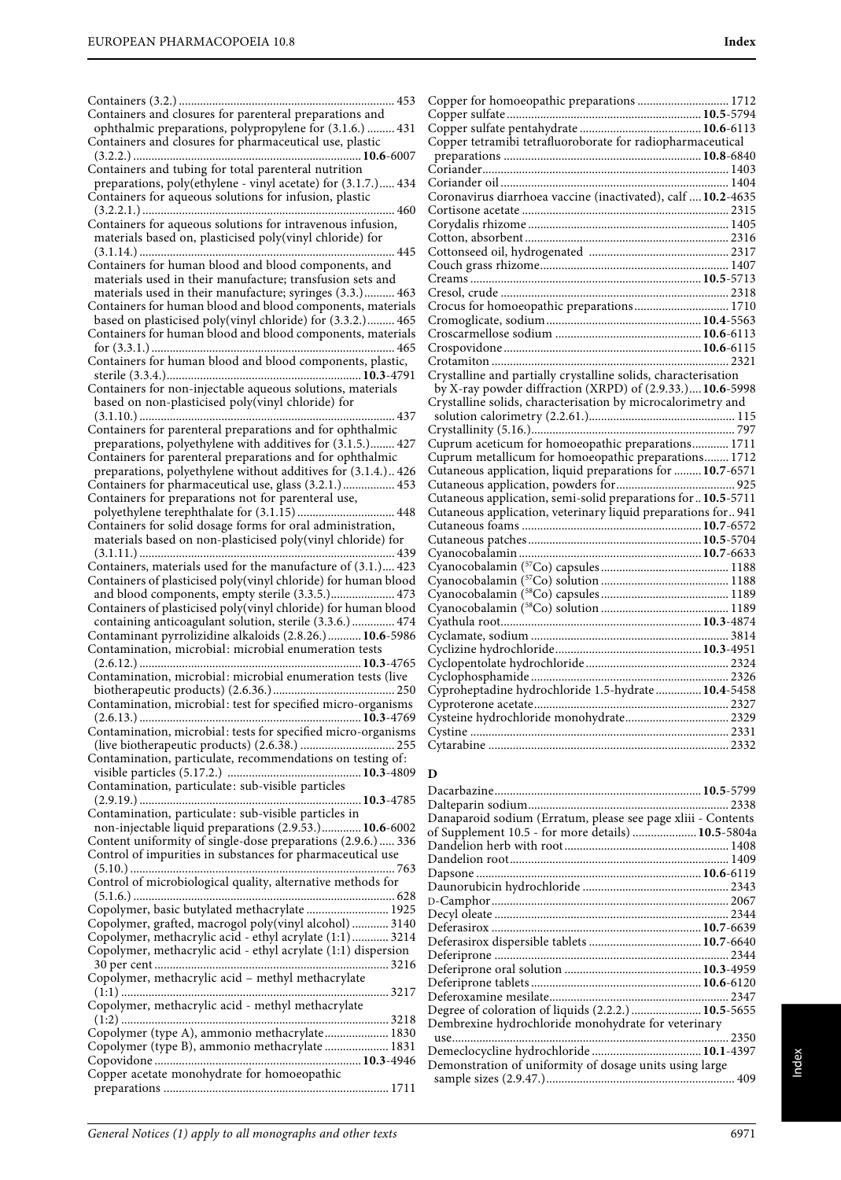Containers (3.2.) ....................................................................... 453 Containers and closures for parenteral preparations and ophthalmic preparations, polypropylene for (3.1.6.) ......... 431 Containers and closures for pharmaceutical use, plastic (3.2.2.) ...........................................................................**10.6**-6007 Containers and tubing for total parenteral nutrition preparations, poly(ethylene - vinyl acetate) for (3.1.7.)..... 434 Containers for aqueous solutions for infusion, plastic (3.2.2.1.) ................................................................................... 460 Containers for aqueous solutions for intravenous infusion, materials based on, plasticised poly(vinyl chloride) for (3.1.14.) .................................................................................... 445 Containers for human blood and blood components, and materials used in their manufacture; transfusion sets and materials used in their manufacture; syringes (3.3.).......... 463 Containers for human blood and blood components, materials based on plasticised poly(vinyl chloride) for (3.3.2.)......... 465 Containers for human blood and blood components, materials for (3.3.1.) ................................................................................ 465 Containers for human blood and blood components, plastic, sterile (3.3.4.)................................................................**10.3**-4791 Containers for non-injectable aqueous solutions, materials based on non-plasticised poly(vinyl chloride) for (3.1.10.) .................................................................................... 437 Containers for parenteral preparations and for ophthalmic preparations, polyethylene with additives for (3.1.5.)........ 427 Containers for parenteral preparations and for ophthalmic preparations, polyethylene without additives for (3.1.4.).. 426 Containers for pharmaceutical use, glass (3.2.1.)................. 453 Containers for preparations not for parenteral use, polyethylene terephthalate for (3.1.15) ................................ 448 Containers for solid dosage forms for oral administration, materials based on non-plasticised poly(vinyl chloride) for (3.1.11.) .................................................................................... 439 Containers, materials used for the manufacture of (3.1.).... 423 Containers of plasticised poly(vinyl chloride) for human blood and blood components, empty sterile (3.3.5.)..................... 473 Containers of plasticised poly(vinyl chloride) for human blood containing anticoagulant solution, sterile (3.3.6.) .............. 474 Contaminant pyrrolizidine alkaloids (2.8.26.)...........**10.6**-5986 Contamination, microbial: microbial enumeration tests (2.6.12.) .........................................................................**10.3**-4765 Contamination, microbial: microbial enumeration tests (live biotherapeutic products) (2.6.36.)........................................ 250 Contamination, microbial: test for specified micro-organisms (2.6.13.) .........................................................................**10.3**-4769 Contamination, microbial: tests for specified micro-organisms (live biotherapeutic products) (2.6.38.) ............................... 255 Contamination, particulate, recommendations on testing of: visible particles (5.17.2.) ............................................**10.3**-4809 **D** Contamination, particulate: sub-visible particles (2.9.19.) .........................................................................**10.3**-4785 Contamination, particulate: sub-visible particles in non-injectable liquid preparations (2.9.53.).............**10.6**-6002 Content uniformity of single-dose preparations (2.9.6.) ..... 336 Control of impurities in substances for pharmaceutical use (5.10.) ....................................................................................... 763 Control of microbiological quality, alternative methods for (5.1.6.) ...................................................................................... 628 Copolymer, basic butylated methacrylate ........................... 1925 Copolymer, grafted, macrogol poly(vinyl alcohol) ............ 3140 Copolymer, methacrylic acid - ethyl acrylate (1:1)............ 3214 Copolymer, methacrylic acid - ethyl acrylate (1:1) dispersion 30 per cent ............................................................................. 3216 Copolymer, methacrylic acid – methyl methacrylate (1:1) ........................................................................................ 3217 Copolymer, methacrylic acid - methyl methacrylate (1:2) ........................................................................................ 3218 Copolymer (type A), ammonio methacrylate..................... 1830 Copolymer (type B), ammonio methacrylate ..................... 1831 Copovidone ....................................................................**10.3**-4946 Copper acetate monohydrate for homoeopathic preparations .......................................................................... 1711

| Copper for homoeopathic preparations  1712                     |  |
|----------------------------------------------------------------|--|
|                                                                |  |
|                                                                |  |
| Copper tetramibi tetrafluoroborate for radiopharmaceutical     |  |
|                                                                |  |
|                                                                |  |
|                                                                |  |
| Coronavirus diarrhoea vaccine (inactivated), calf  10.2-4635   |  |
|                                                                |  |
|                                                                |  |
|                                                                |  |
|                                                                |  |
|                                                                |  |
|                                                                |  |
|                                                                |  |
| Crocus for homoeopathic preparations 1710                      |  |
|                                                                |  |
|                                                                |  |
|                                                                |  |
|                                                                |  |
| Crystalline and partially crystalline solids, characterisation |  |
| by X-ray powder diffraction (XRPD) of (2.9.33.) 10.6-5998      |  |
| Crystalline solids, characterisation by microcalorimetry and   |  |
|                                                                |  |
|                                                                |  |
| Cuprum aceticum for homoeopathic preparations 1711             |  |
| Cuprum metallicum for homoeopathic preparations 1712           |  |
| Cutaneous application, liquid preparations for  10.7-6571      |  |
|                                                                |  |
| Cutaneous application, semi-solid preparations for 10.5-5711   |  |
| Cutaneous application, veterinary liquid preparations for 941  |  |
|                                                                |  |
|                                                                |  |
|                                                                |  |
|                                                                |  |
|                                                                |  |
|                                                                |  |
|                                                                |  |
|                                                                |  |
|                                                                |  |
|                                                                |  |
|                                                                |  |
|                                                                |  |
|                                                                |  |
|                                                                |  |
|                                                                |  |
|                                                                |  |
|                                                                |  |

| Danaparoid sodium (Erratum, please see page xliii - Contents |  |
|--------------------------------------------------------------|--|
| of Supplement 10.5 - for more details)  10.5-5804a           |  |
|                                                              |  |
|                                                              |  |
|                                                              |  |
|                                                              |  |
|                                                              |  |
|                                                              |  |
|                                                              |  |
|                                                              |  |
|                                                              |  |
|                                                              |  |
|                                                              |  |
|                                                              |  |
| Degree of coloration of liquids (2.2.2.)  10.5-5655          |  |
| Dembrexine hydrochloride monohydrate for veterinary          |  |
| use                                                          |  |
|                                                              |  |
| Demonstration of uniformity of dosage units using large      |  |
|                                                              |  |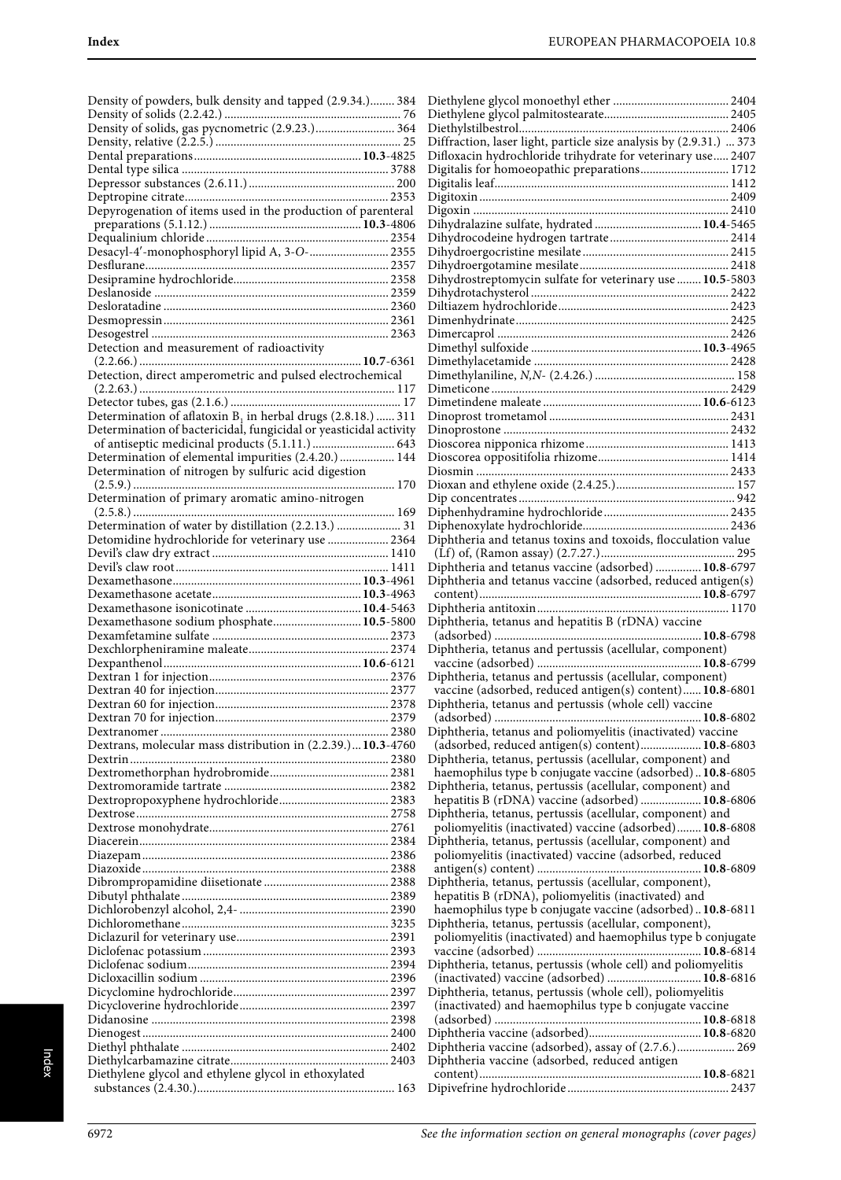| Density of powders, bulk density and tapped (2.9.34.) 384                |  |
|--------------------------------------------------------------------------|--|
|                                                                          |  |
|                                                                          |  |
|                                                                          |  |
|                                                                          |  |
|                                                                          |  |
|                                                                          |  |
| Depyrogenation of items used in the production of parenteral             |  |
|                                                                          |  |
|                                                                          |  |
| Desacyl-4'-monophosphoryl lipid A, 3-O- 2355                             |  |
|                                                                          |  |
|                                                                          |  |
|                                                                          |  |
|                                                                          |  |
|                                                                          |  |
| Detection and measurement of radioactivity                               |  |
|                                                                          |  |
| Detection, direct amperometric and pulsed electrochemical                |  |
|                                                                          |  |
|                                                                          |  |
| Determination of aflatoxin B <sub>1</sub> in herbal drugs (2.8.18.)  311 |  |
| Determination of bactericidal, fungicidal or yeasticidal activity        |  |
| of antiseptic medicinal products (5.1.11.)  643                          |  |
| Determination of elemental impurities (2.4.20.)  144                     |  |
| Determination of nitrogen by sulfuric acid digestion                     |  |
| Determination of primary aromatic amino-nitrogen                         |  |
|                                                                          |  |
| Determination of water by distillation (2.2.13.)  31                     |  |
| Detomidine hydrochloride for veterinary use  2364                        |  |
|                                                                          |  |
|                                                                          |  |
|                                                                          |  |
|                                                                          |  |
|                                                                          |  |
|                                                                          |  |
| Dexamethasone sodium phosphate 10.5-5800                                 |  |
|                                                                          |  |
|                                                                          |  |
|                                                                          |  |
|                                                                          |  |
|                                                                          |  |
|                                                                          |  |
|                                                                          |  |
| Dextrans, molecular mass distribution in (2.2.39.)10.3-4760              |  |
|                                                                          |  |
|                                                                          |  |
|                                                                          |  |
|                                                                          |  |
|                                                                          |  |
|                                                                          |  |
|                                                                          |  |
|                                                                          |  |
|                                                                          |  |
|                                                                          |  |
|                                                                          |  |
|                                                                          |  |
|                                                                          |  |
|                                                                          |  |
|                                                                          |  |
|                                                                          |  |
|                                                                          |  |
|                                                                          |  |
|                                                                          |  |
|                                                                          |  |
| Diethylene glycol and ethylene glycol in ethoxylated                     |  |

| Diffraction, laser light, particle size analysis by (2.9.31.)  373                                                  |
|---------------------------------------------------------------------------------------------------------------------|
| Difloxacin hydrochloride trihydrate for veterinary use 2407<br>Digitalis for homoeopathic preparations 1712         |
|                                                                                                                     |
|                                                                                                                     |
|                                                                                                                     |
|                                                                                                                     |
|                                                                                                                     |
|                                                                                                                     |
| Dihydrostreptomycin sulfate for veterinary use  10.5-5803                                                           |
|                                                                                                                     |
|                                                                                                                     |
|                                                                                                                     |
|                                                                                                                     |
|                                                                                                                     |
|                                                                                                                     |
|                                                                                                                     |
|                                                                                                                     |
|                                                                                                                     |
|                                                                                                                     |
|                                                                                                                     |
|                                                                                                                     |
|                                                                                                                     |
|                                                                                                                     |
|                                                                                                                     |
| Diphtheria and tetanus toxins and toxoids, flocculation value                                                       |
|                                                                                                                     |
| Diphtheria and tetanus vaccine (adsorbed)  10.8-6797                                                                |
| Diphtheria and tetanus vaccine (adsorbed, reduced antigen(s)                                                        |
|                                                                                                                     |
|                                                                                                                     |
|                                                                                                                     |
| Diphtheria, tetanus and hepatitis B (rDNA) vaccine                                                                  |
|                                                                                                                     |
| Diphtheria, tetanus and pertussis (acellular, component)                                                            |
| Diphtheria, tetanus and pertussis (acellular, component)                                                            |
| vaccine (adsorbed, reduced antigen(s) content) 10.8-6801                                                            |
| Diphtheria, tetanus and pertussis (whole cell) vaccine                                                              |
| 10.8-6802                                                                                                           |
| Diphtheria, tetanus and poliomyelitis (inactivated) vaccine                                                         |
| (adsorbed, reduced antigen(s) content) 10.8-6803<br>Diphtheria, tetanus, pertussis (acellular, component) and       |
| haemophilus type b conjugate vaccine (adsorbed) 10.8-6805                                                           |
| Diphtheria, tetanus, pertussis (acellular, component) and                                                           |
| hepatitis B (rDNA) vaccine (adsorbed)  10.8-6806                                                                    |
| Diphtheria, tetanus, pertussis (acellular, component) and                                                           |
| poliomyelitis (inactivated) vaccine (adsorbed) 10.8-6808                                                            |
| Diphtheria, tetanus, pertussis (acellular, component) and<br>poliomyelitis (inactivated) vaccine (adsorbed, reduced |
|                                                                                                                     |
| Diphtheria, tetanus, pertussis (acellular, component),                                                              |
| hepatitis B (rDNA), poliomyelitis (inactivated) and                                                                 |
| haemophilus type b conjugate vaccine (adsorbed) 10.8-6811                                                           |
| Diphtheria, tetanus, pertussis (acellular, component),                                                              |
| poliomyelitis (inactivated) and haemophilus type b conjugate                                                        |
| Diphtheria, tetanus, pertussis (whole cell) and poliomyelitis                                                       |
| (inactivated) vaccine (adsorbed)  10.8-6816                                                                         |
| Diphtheria, tetanus, pertussis (whole cell), poliomyelitis                                                          |
| (inactivated) and haemophilus type b conjugate vaccine                                                              |
|                                                                                                                     |
| Diphtheria vaccine (adsorbed), assay of (2.7.6.) 269                                                                |
| Diphtheria vaccine (adsorbed, reduced antigen                                                                       |
|                                                                                                                     |

<sup>6972</sup> See the information section on general monographs (cover pages)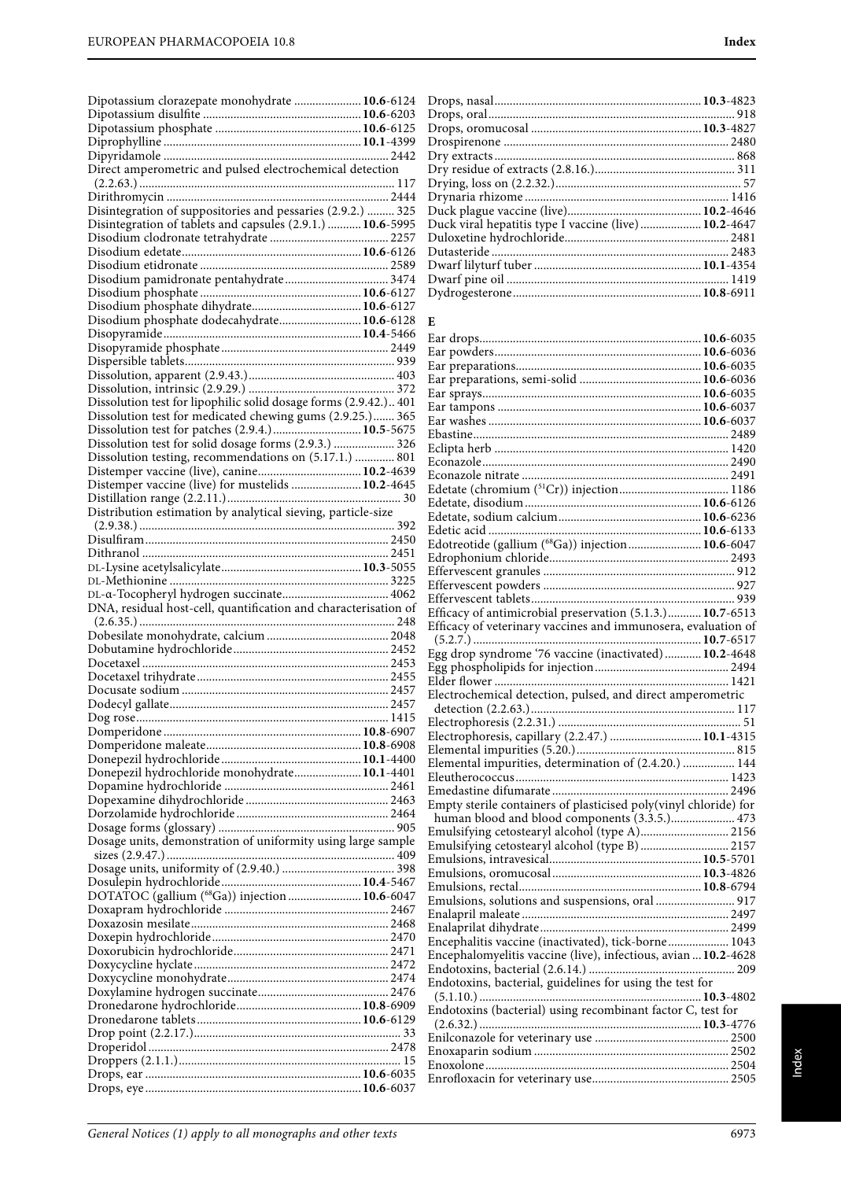| Dipotassium clorazepate monohydrate  10.6-6124                                                                  |                                                                                                                            |  |
|-----------------------------------------------------------------------------------------------------------------|----------------------------------------------------------------------------------------------------------------------------|--|
|                                                                                                                 |                                                                                                                            |  |
|                                                                                                                 |                                                                                                                            |  |
|                                                                                                                 |                                                                                                                            |  |
| Direct amperometric and pulsed electrochemical detection                                                        |                                                                                                                            |  |
|                                                                                                                 |                                                                                                                            |  |
|                                                                                                                 |                                                                                                                            |  |
| Disintegration of suppositories and pessaries (2.9.2.)  325                                                     |                                                                                                                            |  |
| Disintegration of tablets and capsules (2.9.1.)  10.6-5995                                                      | Duck viral hepatitis type I vaccine (live)  10.2-4647                                                                      |  |
|                                                                                                                 |                                                                                                                            |  |
|                                                                                                                 |                                                                                                                            |  |
|                                                                                                                 |                                                                                                                            |  |
|                                                                                                                 |                                                                                                                            |  |
|                                                                                                                 |                                                                                                                            |  |
| Disodium phosphate dodecahydrate 10.6-6128                                                                      |                                                                                                                            |  |
|                                                                                                                 | E                                                                                                                          |  |
|                                                                                                                 |                                                                                                                            |  |
|                                                                                                                 |                                                                                                                            |  |
|                                                                                                                 |                                                                                                                            |  |
|                                                                                                                 |                                                                                                                            |  |
| Dissolution test for lipophilic solid dosage forms (2.9.42.) 401                                                |                                                                                                                            |  |
| Dissolution test for medicated chewing gums (2.9.25.) 365                                                       |                                                                                                                            |  |
|                                                                                                                 |                                                                                                                            |  |
| Dissolution test for solid dosage forms (2.9.3.)  326<br>Dissolution testing, recommendations on (5.17.1.)  801 |                                                                                                                            |  |
| Distemper vaccine (live), canine 10.2-4639                                                                      |                                                                                                                            |  |
| Distemper vaccine (live) for mustelids  10.2-4645                                                               |                                                                                                                            |  |
|                                                                                                                 |                                                                                                                            |  |
| Distribution estimation by analytical sieving, particle-size                                                    |                                                                                                                            |  |
|                                                                                                                 |                                                                                                                            |  |
|                                                                                                                 | Edotreotide (gallium (68Ga)) injection 10.6-6047                                                                           |  |
|                                                                                                                 |                                                                                                                            |  |
|                                                                                                                 |                                                                                                                            |  |
|                                                                                                                 |                                                                                                                            |  |
| DNA, residual host-cell, quantification and characterisation of                                                 |                                                                                                                            |  |
|                                                                                                                 | Efficacy of antimicrobial preservation (5.1.3.) 10.7-6513<br>Efficacy of veterinary vaccines and immunosera, evaluation of |  |
|                                                                                                                 |                                                                                                                            |  |
|                                                                                                                 | Egg drop syndrome '76 vaccine (inactivated) 10.2-4648                                                                      |  |
|                                                                                                                 |                                                                                                                            |  |
|                                                                                                                 |                                                                                                                            |  |
|                                                                                                                 | Electrochemical detection, pulsed, and direct amperometric                                                                 |  |
|                                                                                                                 |                                                                                                                            |  |
|                                                                                                                 |                                                                                                                            |  |
|                                                                                                                 | Electrophoresis, capillary (2.2.47.)  10.1-4315                                                                            |  |
|                                                                                                                 | Elemental impurities, determination of (2.4.20.)  144                                                                      |  |
| Donepezil hydrochloride monohydrate 10.1-4401                                                                   |                                                                                                                            |  |
|                                                                                                                 |                                                                                                                            |  |
|                                                                                                                 | Empty sterile containers of plasticised poly(vinyl chloride) for                                                           |  |
|                                                                                                                 |                                                                                                                            |  |
|                                                                                                                 | Emulsifying cetostearyl alcohol (type A) 2156                                                                              |  |
| Dosage units, demonstration of uniformity using large sample                                                    |                                                                                                                            |  |
|                                                                                                                 |                                                                                                                            |  |
|                                                                                                                 |                                                                                                                            |  |
| DOTATOC (gallium (68Ga)) injection  10.6-6047                                                                   | Emulsions, solutions and suspensions, oral  917                                                                            |  |
|                                                                                                                 |                                                                                                                            |  |
|                                                                                                                 |                                                                                                                            |  |
|                                                                                                                 | Encephalitis vaccine (inactivated), tick-borne 1043                                                                        |  |
|                                                                                                                 | Encephalomyelitis vaccine (live), infectious, avian  10.2-4628                                                             |  |
|                                                                                                                 |                                                                                                                            |  |
|                                                                                                                 | Endotoxins, bacterial, guidelines for using the test for                                                                   |  |
|                                                                                                                 |                                                                                                                            |  |
|                                                                                                                 | Endotoxins (bacterial) using recombinant factor C, test for                                                                |  |
|                                                                                                                 |                                                                                                                            |  |
|                                                                                                                 |                                                                                                                            |  |
|                                                                                                                 |                                                                                                                            |  |
|                                                                                                                 |                                                                                                                            |  |
|                                                                                                                 |                                                                                                                            |  |

| E                                                                |  |
|------------------------------------------------------------------|--|
|                                                                  |  |
|                                                                  |  |
|                                                                  |  |
|                                                                  |  |
|                                                                  |  |
|                                                                  |  |
|                                                                  |  |
|                                                                  |  |
|                                                                  |  |
|                                                                  |  |
|                                                                  |  |
|                                                                  |  |
|                                                                  |  |
|                                                                  |  |
|                                                                  |  |
| Edotreotide (gallium (68Ga)) injection 10.6-6047                 |  |
|                                                                  |  |
|                                                                  |  |
|                                                                  |  |
|                                                                  |  |
| Efficacy of antimicrobial preservation (5.1.3.) 10.7-6513        |  |
| Efficacy of veterinary vaccines and immunosera, evaluation of    |  |
| Egg drop syndrome '76 vaccine (inactivated)  10.2-4648           |  |
|                                                                  |  |
|                                                                  |  |
| Electrochemical detection, pulsed, and direct amperometric       |  |
|                                                                  |  |
|                                                                  |  |
| Electrophoresis, capillary (2.2.47.)  10.1-4315                  |  |
|                                                                  |  |
| Elemental impurities, determination of (2.4.20.)  144            |  |
|                                                                  |  |
|                                                                  |  |
| Empty sterile containers of plasticised poly(vinyl chloride) for |  |
| human blood and blood components (3.3.5.) 473                    |  |
| Emulsifying cetostearyl alcohol (type A) 2156                    |  |
| Emulsifying cetostearyl alcohol (type B)  2157                   |  |
|                                                                  |  |
|                                                                  |  |
|                                                                  |  |
| Emulsions, solutions and suspensions, oral  917                  |  |
|                                                                  |  |
|                                                                  |  |
| Encephalitis vaccine (inactivated), tick-borne 1043              |  |
| Encephalomyelitis vaccine (live), infectious, avian  10.2-4628   |  |
|                                                                  |  |
| Endotoxins, bacterial, guidelines for using the test for         |  |
|                                                                  |  |
| Endotoxins (bacterial) using recombinant factor C, test for      |  |
| $(2.6.32.)$                                                      |  |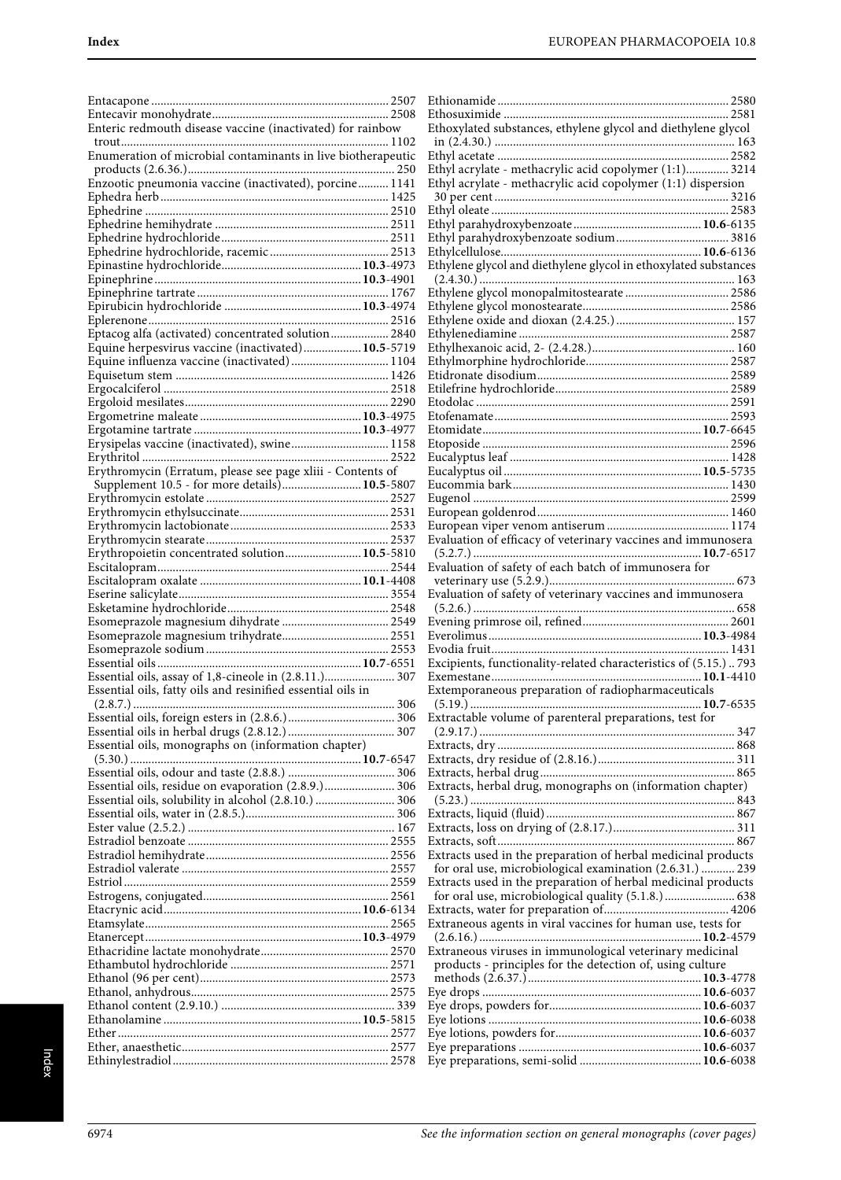| Enteric redmouth disease vaccine (inactivated) for rainbow   |  |
|--------------------------------------------------------------|--|
|                                                              |  |
| Enumeration of microbial contaminants in live biotherapeutic |  |
| Enzootic pneumonia vaccine (inactivated), porcine 1141       |  |
|                                                              |  |
|                                                              |  |
|                                                              |  |
|                                                              |  |
|                                                              |  |
|                                                              |  |
|                                                              |  |
|                                                              |  |
|                                                              |  |
|                                                              |  |
| Eptacog alfa (activated) concentrated solution 2840          |  |
| Equine herpesvirus vaccine (inactivated) 10.5-5719           |  |
| Equine influenza vaccine (inactivated)  1104                 |  |
|                                                              |  |
|                                                              |  |
|                                                              |  |
|                                                              |  |
|                                                              |  |
| Erysipelas vaccine (inactivated), swine 1158                 |  |
|                                                              |  |
| Erythromycin (Erratum, please see page xliii - Contents of   |  |
| Supplement 10.5 - for more details) 10.5-5807                |  |
|                                                              |  |
|                                                              |  |
|                                                              |  |
| Erythropoietin concentrated solution 10.5-5810               |  |
|                                                              |  |
|                                                              |  |
|                                                              |  |
|                                                              |  |
|                                                              |  |
|                                                              |  |
|                                                              |  |
|                                                              |  |
|                                                              |  |
| Essential oils, assay of 1,8-cineole in (2.8.11.) 307        |  |
| Essential oils, fatty oils and resinified essential oils in  |  |
|                                                              |  |
|                                                              |  |
|                                                              |  |
| Essential oils, monographs on (information chapter)          |  |
|                                                              |  |
|                                                              |  |
| Essential oils, residue on evaporation (2.8.9.) 306          |  |
| Essential oils, solubility in alcohol (2.8.10.)  306         |  |
|                                                              |  |
|                                                              |  |
|                                                              |  |
|                                                              |  |
|                                                              |  |
|                                                              |  |
|                                                              |  |
|                                                              |  |
|                                                              |  |
|                                                              |  |
|                                                              |  |
|                                                              |  |
|                                                              |  |
|                                                              |  |
|                                                              |  |
|                                                              |  |
|                                                              |  |

| Ethoxylated substances, ethylene glycol and diethylene glycol                                                             |                    |
|---------------------------------------------------------------------------------------------------------------------------|--------------------|
|                                                                                                                           |                    |
|                                                                                                                           |                    |
| Ethyl acrylate - methacrylic acid copolymer (1:1) 3214<br>Ethyl acrylate - methacrylic acid copolymer (1:1) dispersion    |                    |
|                                                                                                                           |                    |
|                                                                                                                           |                    |
|                                                                                                                           |                    |
|                                                                                                                           |                    |
| Ethylene glycol and diethylene glycol in ethoxylated substances                                                           |                    |
|                                                                                                                           |                    |
| Ethylene glycol monopalmitostearate  2586                                                                                 |                    |
|                                                                                                                           |                    |
|                                                                                                                           |                    |
|                                                                                                                           |                    |
|                                                                                                                           |                    |
|                                                                                                                           |                    |
|                                                                                                                           |                    |
|                                                                                                                           |                    |
|                                                                                                                           |                    |
|                                                                                                                           |                    |
|                                                                                                                           |                    |
|                                                                                                                           |                    |
|                                                                                                                           |                    |
|                                                                                                                           |                    |
| Evaluation of efficacy of veterinary vaccines and immunosera                                                              |                    |
| Evaluation of safety of each batch of immunosera for                                                                      |                    |
|                                                                                                                           |                    |
| Evaluation of safety of veterinary vaccines and immunosera                                                                |                    |
|                                                                                                                           |                    |
|                                                                                                                           |                    |
|                                                                                                                           |                    |
| Excipients, functionality-related characteristics of (5.15.) 793                                                          |                    |
| Extemporaneous preparation of radiopharmaceuticals                                                                        |                    |
|                                                                                                                           | $\ldots$ 10.7-6535 |
| Extractable volume of parenteral preparations, test for                                                                   |                    |
|                                                                                                                           |                    |
|                                                                                                                           |                    |
|                                                                                                                           |                    |
| Extracts, herbal drug, monographs on (information chapter)                                                                |                    |
|                                                                                                                           |                    |
|                                                                                                                           |                    |
|                                                                                                                           |                    |
| Extracts used in the preparation of herbal medicinal products                                                             |                    |
| for oral use, microbiological examination (2.6.31.)  239<br>Extracts used in the preparation of herbal medicinal products |                    |
| for oral use, microbiological quality (5.1.8.)  638                                                                       |                    |
|                                                                                                                           |                    |
| Extraneous agents in viral vaccines for human use, tests for                                                              |                    |
| Extraneous viruses in immunological veterinary medicinal                                                                  |                    |
| products - principles for the detection of, using culture                                                                 |                    |
|                                                                                                                           |                    |
|                                                                                                                           |                    |
|                                                                                                                           |                    |
|                                                                                                                           |                    |
|                                                                                                                           |                    |
|                                                                                                                           |                    |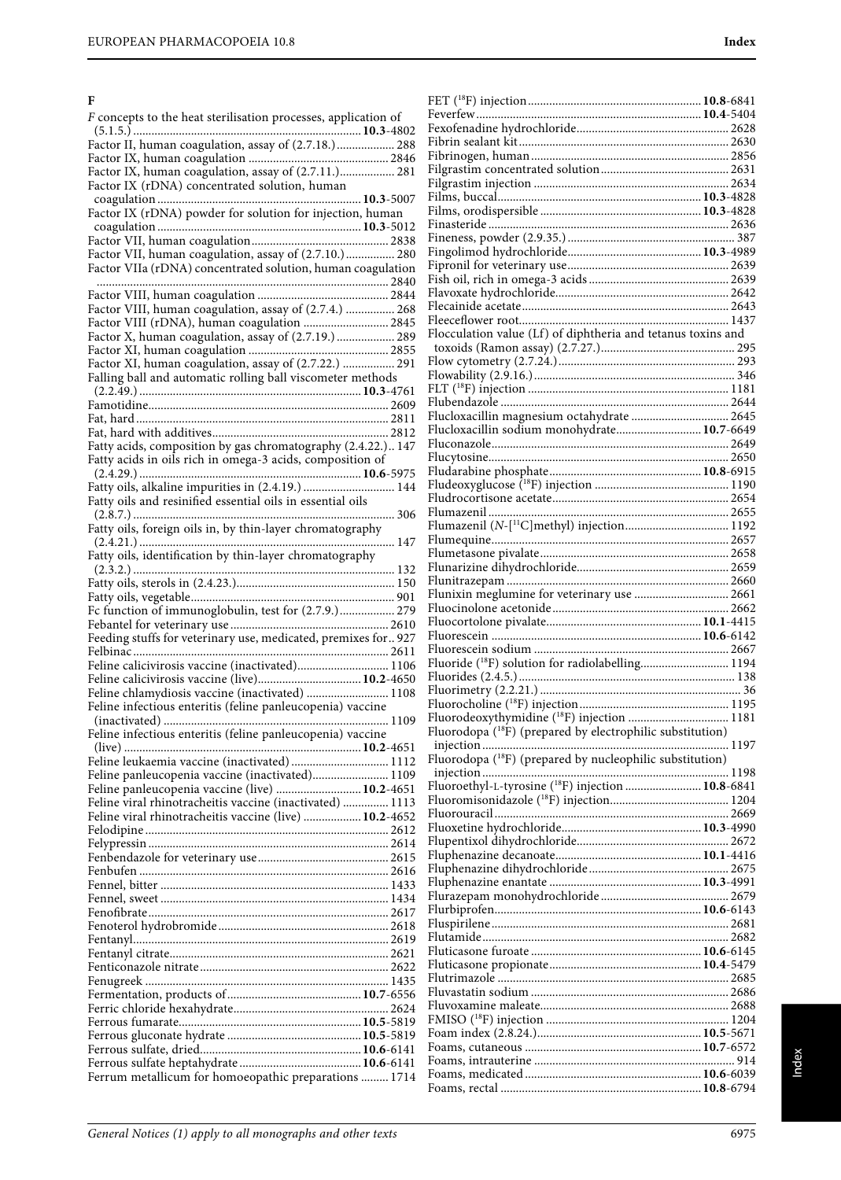### **F**

| F concepts to the heat sterilisation processes, application of                                                            |  |
|---------------------------------------------------------------------------------------------------------------------------|--|
| Factor II, human coagulation, assay of (2.7.18.) 288                                                                      |  |
|                                                                                                                           |  |
| Factor IX, human coagulation, assay of (2.7.11.) 281<br>Factor IX (rDNA) concentrated solution, human                     |  |
| Factor IX (rDNA) powder for solution for injection, human                                                                 |  |
|                                                                                                                           |  |
|                                                                                                                           |  |
| Factor VII, human coagulation, assay of (2.7.10.) 280<br>Factor VIIa (rDNA) concentrated solution, human coagulation      |  |
|                                                                                                                           |  |
| Factor VIII, human coagulation, assay of (2.7.4.)  268                                                                    |  |
| Factor VIII (rDNA), human coagulation  2845                                                                               |  |
| Factor X, human coagulation, assay of (2.7.19.)  289                                                                      |  |
| Factor XI, human coagulation, assay of (2.7.22.)  291                                                                     |  |
| Falling ball and automatic rolling ball viscometer methods                                                                |  |
|                                                                                                                           |  |
|                                                                                                                           |  |
|                                                                                                                           |  |
| Fatty acids, composition by gas chromatography (2.4.22.) 147<br>Fatty acids in oils rich in omega-3 acids, composition of |  |
|                                                                                                                           |  |
| Fatty oils, alkaline impurities in (2.4.19.)  144                                                                         |  |
| Fatty oils and resinified essential oils in essential oils                                                                |  |
| Fatty oils, foreign oils in, by thin-layer chromatography                                                                 |  |
| Fatty oils, identification by thin-layer chromatography                                                                   |  |
|                                                                                                                           |  |
|                                                                                                                           |  |
| Fc function of immunoglobulin, test for (2.7.9.) 279                                                                      |  |
| Feeding stuffs for veterinary use, medicated, premixes for927                                                             |  |
| Feline calicivirosis vaccine (inactivated) 1106                                                                           |  |
| Feline calicivirosis vaccine (live) 10.2-4650                                                                             |  |
| Feline chlamydiosis vaccine (inactivated)  1108                                                                           |  |
| Feline infectious enteritis (feline panleucopenia) vaccine                                                                |  |
| Feline infectious enteritis (feline panleucopenia) vaccine                                                                |  |
|                                                                                                                           |  |
| Feline leukaemia vaccine (inactivated)  1112<br>Feline panleucopenia vaccine (inactivated) 1109                           |  |
| Feline panleucopenia vaccine (live)  10.2-4651                                                                            |  |
| Feline viral rhinotracheitis vaccine (inactivated)  1113<br>Feline viral rhinotracheitis vaccine (live)  10.2-4652        |  |
|                                                                                                                           |  |
|                                                                                                                           |  |
|                                                                                                                           |  |
|                                                                                                                           |  |
|                                                                                                                           |  |
|                                                                                                                           |  |
|                                                                                                                           |  |
|                                                                                                                           |  |
|                                                                                                                           |  |
|                                                                                                                           |  |
|                                                                                                                           |  |
|                                                                                                                           |  |
|                                                                                                                           |  |
| Ferrum metallicum for homoeopathic preparations  1714                                                                     |  |
|                                                                                                                           |  |

| Flocculation value (Lf) of diphtheria and tetanus toxins and           |  |
|------------------------------------------------------------------------|--|
|                                                                        |  |
|                                                                        |  |
|                                                                        |  |
|                                                                        |  |
|                                                                        |  |
| Flucloxacillin magnesium octahydrate  2645                             |  |
| Flucloxacillin sodium monohydrate 10.7-6649                            |  |
|                                                                        |  |
|                                                                        |  |
|                                                                        |  |
|                                                                        |  |
|                                                                        |  |
|                                                                        |  |
|                                                                        |  |
|                                                                        |  |
|                                                                        |  |
|                                                                        |  |
| Flunixin meglumine for veterinary use  2661                            |  |
|                                                                        |  |
|                                                                        |  |
|                                                                        |  |
|                                                                        |  |
| Fluoride ( <sup>18</sup> F) solution for radiolabelling 1194           |  |
|                                                                        |  |
|                                                                        |  |
|                                                                        |  |
|                                                                        |  |
|                                                                        |  |
| Fluorodeoxythymidine ( <sup>18</sup> F) injection  1181                |  |
| Fluorodopa ( <sup>18</sup> F) (prepared by electrophilic substitution) |  |
|                                                                        |  |
|                                                                        |  |
|                                                                        |  |
|                                                                        |  |
|                                                                        |  |
|                                                                        |  |
|                                                                        |  |
|                                                                        |  |
|                                                                        |  |
|                                                                        |  |
|                                                                        |  |
|                                                                        |  |
|                                                                        |  |
|                                                                        |  |
|                                                                        |  |
|                                                                        |  |
|                                                                        |  |
|                                                                        |  |
|                                                                        |  |
|                                                                        |  |
|                                                                        |  |
|                                                                        |  |
|                                                                        |  |
|                                                                        |  |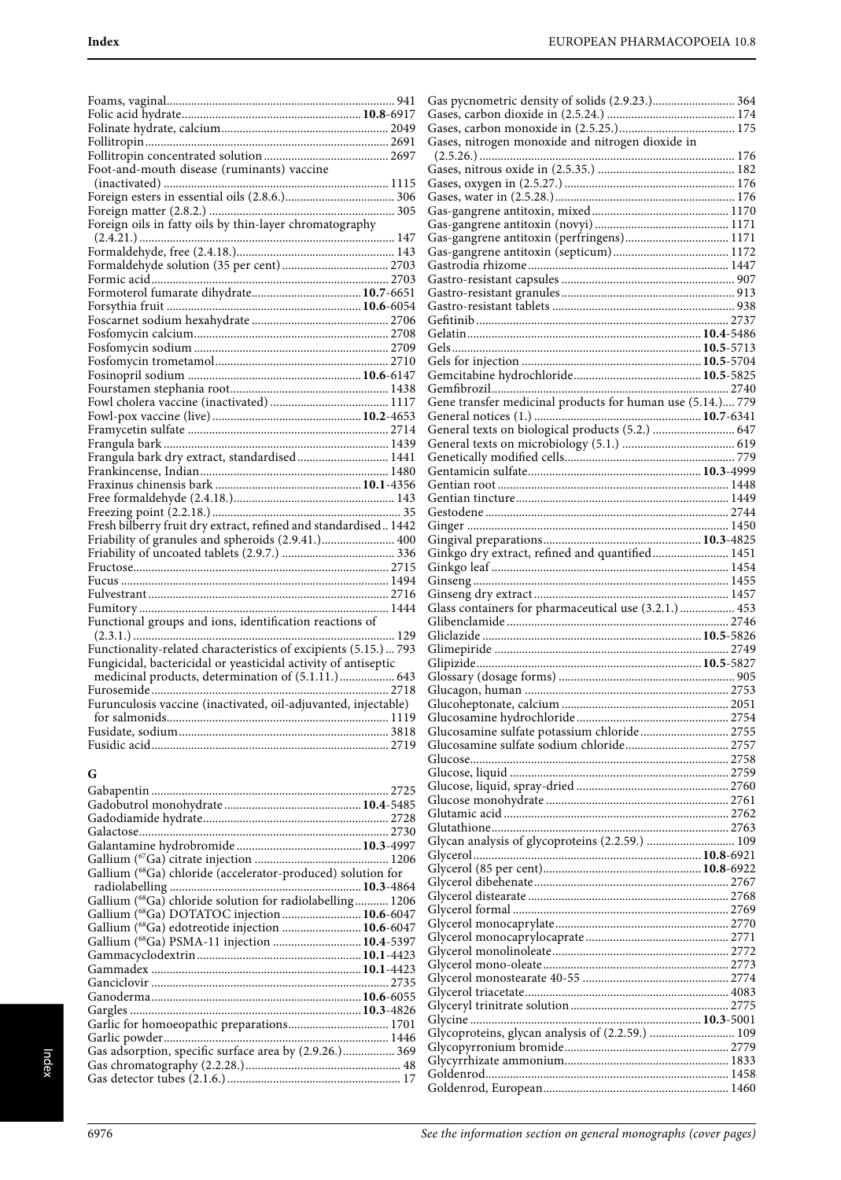| Foot-and-mouth disease (ruminants) vaccine                       |  |
|------------------------------------------------------------------|--|
|                                                                  |  |
|                                                                  |  |
|                                                                  |  |
|                                                                  |  |
|                                                                  |  |
|                                                                  |  |
|                                                                  |  |
|                                                                  |  |
|                                                                  |  |
|                                                                  |  |
|                                                                  |  |
|                                                                  |  |
|                                                                  |  |
|                                                                  |  |
|                                                                  |  |
|                                                                  |  |
|                                                                  |  |
|                                                                  |  |
|                                                                  |  |
|                                                                  |  |
|                                                                  |  |
| Frangula bark dry extract, standardised 1441                     |  |
|                                                                  |  |
|                                                                  |  |
|                                                                  |  |
|                                                                  |  |
| Fresh bilberry fruit dry extract, refined and standardised 1442  |  |
|                                                                  |  |
|                                                                  |  |
|                                                                  |  |
|                                                                  |  |
|                                                                  |  |
|                                                                  |  |
| Functional groups and ions, identification reactions of          |  |
|                                                                  |  |
| Functionality-related characteristics of excipients (5.15.)  793 |  |
| Fungicidal, bactericidal or yeasticidal activity of antiseptic   |  |
| medicinal products, determination of (5.1.11.) 643               |  |
|                                                                  |  |
| Furunculosis vaccine (inactivated, oil-adjuvanted, injectable)   |  |
|                                                                  |  |
|                                                                  |  |
|                                                                  |  |
|                                                                  |  |

# **G**

| Gallium ( <sup>68</sup> Ga) chloride (accelerator-produced) solution for |  |
|--------------------------------------------------------------------------|--|
|                                                                          |  |
| Gallium (68Ga) chloride solution for radiolabelling 1206                 |  |
| Gallium (68Ga) DOTATOC injection  10.6-6047                              |  |
| Gallium (68Ga) edotreotide injection  10.6-6047                          |  |
| Gallium (68Ga) PSMA-11 injection  10.4-5397                              |  |
|                                                                          |  |
|                                                                          |  |
|                                                                          |  |
|                                                                          |  |
|                                                                          |  |
| Garlic for homoeopathic preparations 1701                                |  |
|                                                                          |  |
| Gas adsorption, specific surface area by (2.9.26.) 369                   |  |
|                                                                          |  |
|                                                                          |  |

| Gas pycnometric density of solids (2.9.23.) 364            |  |
|------------------------------------------------------------|--|
|                                                            |  |
| Gases, nitrogen monoxide and nitrogen dioxide in           |  |
|                                                            |  |
|                                                            |  |
|                                                            |  |
|                                                            |  |
|                                                            |  |
| Gas-gangrene antitoxin (perfringens) 1171                  |  |
|                                                            |  |
|                                                            |  |
|                                                            |  |
|                                                            |  |
|                                                            |  |
|                                                            |  |
|                                                            |  |
|                                                            |  |
|                                                            |  |
|                                                            |  |
| Gene transfer medicinal products for human use (5.14.) 779 |  |
|                                                            |  |
| General texts on biological products (5.2.)  647           |  |
|                                                            |  |
|                                                            |  |
|                                                            |  |
|                                                            |  |
|                                                            |  |
|                                                            |  |
|                                                            |  |
|                                                            |  |
| Ginkgo dry extract, refined and quantified 1451            |  |
|                                                            |  |
|                                                            |  |
|                                                            |  |
|                                                            |  |
| Glass containers for pharmaceutical use (3.2.1.)  453      |  |
|                                                            |  |
|                                                            |  |
|                                                            |  |
|                                                            |  |
|                                                            |  |
|                                                            |  |
|                                                            |  |
| Glucosamine sulfate potassium chloride 2755                |  |
|                                                            |  |
|                                                            |  |
|                                                            |  |
|                                                            |  |
|                                                            |  |
|                                                            |  |
|                                                            |  |
| Glycan analysis of glycoproteins (2.2.59.)  109            |  |
|                                                            |  |
|                                                            |  |
|                                                            |  |
|                                                            |  |
|                                                            |  |
|                                                            |  |
|                                                            |  |
|                                                            |  |
|                                                            |  |
|                                                            |  |
|                                                            |  |
|                                                            |  |
| Glycoproteins, glycan analysis of (2.2.59.)  109           |  |
|                                                            |  |
|                                                            |  |
|                                                            |  |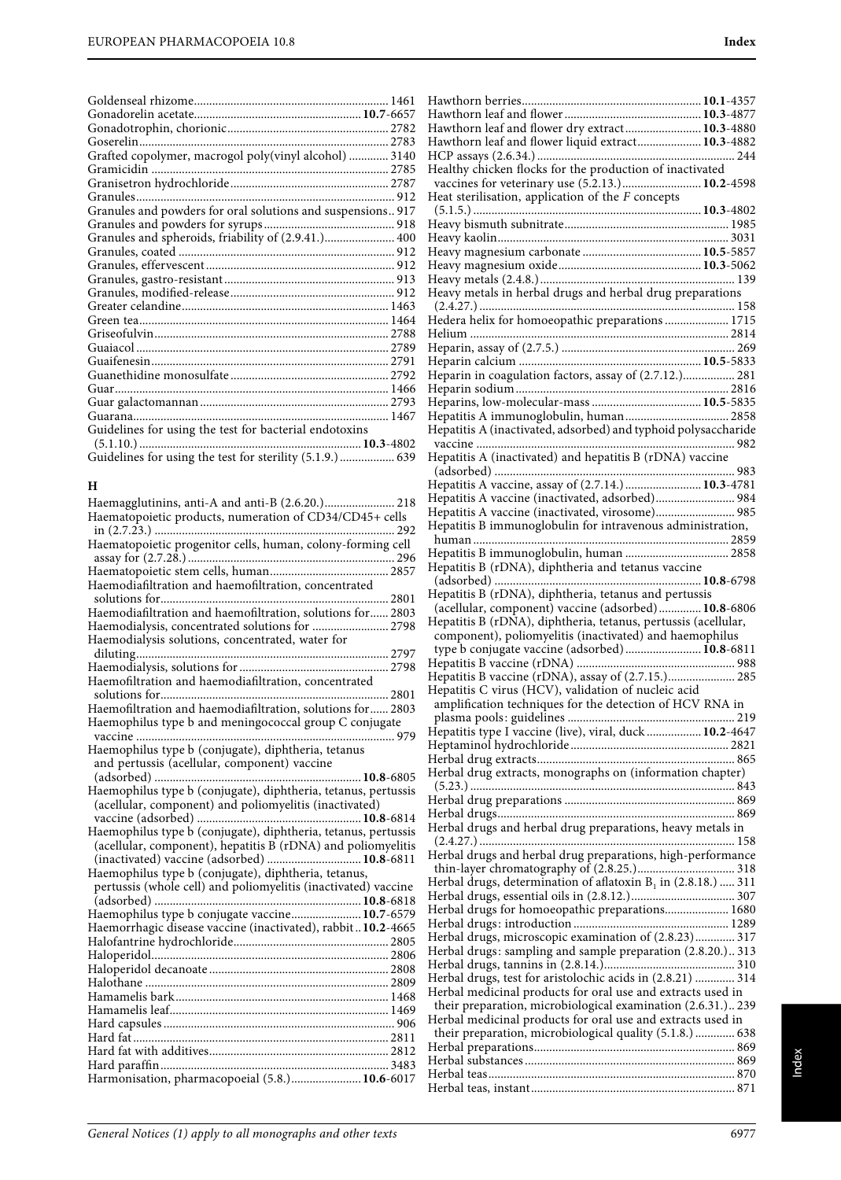| Grafted copolymer, macrogol poly(vinyl alcohol)  3140       |  |
|-------------------------------------------------------------|--|
|                                                             |  |
|                                                             |  |
|                                                             |  |
| Granules and powders for oral solutions and suspensions 917 |  |
|                                                             |  |
| Granules and spheroids, friability of (2.9.41.) 400         |  |
|                                                             |  |
|                                                             |  |
|                                                             |  |
|                                                             |  |
|                                                             |  |
|                                                             |  |
|                                                             |  |
|                                                             |  |
|                                                             |  |
|                                                             |  |
|                                                             |  |
|                                                             |  |
|                                                             |  |
| Guidelines for using the test for bacterial endotoxins      |  |
|                                                             |  |
| Guidelines for using the test for sterility (5.1.9.) 639    |  |

### **H**

| Haemagglutinins, anti-A and anti-B (2.6.20.) 218               |
|----------------------------------------------------------------|
| Haematopoietic products, numeration of CD34/CD45+ cells        |
|                                                                |
| Haematopoietic progenitor cells, human, colony-forming cell    |
|                                                                |
|                                                                |
| Haemodiafiltration and haemofiltration, concentrated           |
|                                                                |
| Haemodiafiltration and haemofiltration, solutions for 2803     |
| Haemodialysis, concentrated solutions for  2798                |
| Haemodialysis solutions, concentrated, water for               |
|                                                                |
|                                                                |
| Haemofiltration and haemodiafiltration, concentrated           |
| 2801                                                           |
| Haemofiltration and haemodiafiltration, solutions for 2803     |
| Haemophilus type b and meningococcal group C conjugate         |
|                                                                |
| Haemophilus type b (conjugate), diphtheria, tetanus            |
| and pertussis (acellular, component) vaccine                   |
|                                                                |
| Haemophilus type b (conjugate), diphtheria, tetanus, pertussis |
| (acellular, component) and poliomyelitis (inactivated)         |
|                                                                |
| Haemophilus type b (conjugate), diphtheria, tetanus, pertussis |
| (acellular, component), hepatitis B (rDNA) and poliomyelitis   |
| (inactivated) vaccine (adsorbed)  10.8-6811                    |
| Haemophilus type b (conjugate), diphtheria, tetanus,           |
| pertussis (whole cell) and poliomyelitis (inactivated) vaccine |
|                                                                |
| Haemophilus type b conjugate vaccine 10.7-6579                 |
| Haemorrhagic disease vaccine (inactivated), rabbit10.2-4665    |
|                                                                |
|                                                                |
|                                                                |
|                                                                |
|                                                                |
|                                                                |
|                                                                |
|                                                                |
|                                                                |
|                                                                |
| Harmonisation, pharmacopoeial (5.8.) 10.6-6017                 |

| Hawthorn leaf and flower dry extract 10.3-4880                                                                                                                                                                                                         |  |
|--------------------------------------------------------------------------------------------------------------------------------------------------------------------------------------------------------------------------------------------------------|--|
| Hawthorn leaf and flower liquid extract 10.3-4882                                                                                                                                                                                                      |  |
| Healthy chicken flocks for the production of inactivated                                                                                                                                                                                               |  |
| vaccines for veterinary use (5.2.13.) 10.2-4598                                                                                                                                                                                                        |  |
| Heat sterilisation, application of the $F$ concepts                                                                                                                                                                                                    |  |
|                                                                                                                                                                                                                                                        |  |
|                                                                                                                                                                                                                                                        |  |
|                                                                                                                                                                                                                                                        |  |
|                                                                                                                                                                                                                                                        |  |
| Heavy metals in herbal drugs and herbal drug preparations                                                                                                                                                                                              |  |
|                                                                                                                                                                                                                                                        |  |
| Hedera helix for homoeopathic preparations 1715                                                                                                                                                                                                        |  |
|                                                                                                                                                                                                                                                        |  |
|                                                                                                                                                                                                                                                        |  |
| Heparin in coagulation factors, assay of (2.7.12.) 281                                                                                                                                                                                                 |  |
|                                                                                                                                                                                                                                                        |  |
| Hepatitis A immunoglobulin, human 2858                                                                                                                                                                                                                 |  |
| Hepatitis A (inactivated, adsorbed) and typhoid polysaccharide                                                                                                                                                                                         |  |
|                                                                                                                                                                                                                                                        |  |
| Hepatitis A (inactivated) and hepatitis B (rDNA) vaccine                                                                                                                                                                                               |  |
| Hepatitis A vaccine, assay of (2.7.14.)  10.3-4781                                                                                                                                                                                                     |  |
| Hepatitis A vaccine (inactivated, adsorbed) 984                                                                                                                                                                                                        |  |
| Hepatitis A vaccine (inactivated, virosome) 985                                                                                                                                                                                                        |  |
| Hepatitis B immunoglobulin for intravenous administration,                                                                                                                                                                                             |  |
| Hepatitis B immunoglobulin, human  2858                                                                                                                                                                                                                |  |
| Hepatitis B (rDNA), diphtheria and tetanus vaccine                                                                                                                                                                                                     |  |
|                                                                                                                                                                                                                                                        |  |
|                                                                                                                                                                                                                                                        |  |
| Hepatitis B (rDNA), diphtheria, tetanus and pertussis                                                                                                                                                                                                  |  |
| (acellular, component) vaccine (adsorbed) 10.8-6806                                                                                                                                                                                                    |  |
| Hepatitis B (rDNA), diphtheria, tetanus, pertussis (acellular,                                                                                                                                                                                         |  |
| component), poliomyelitis (inactivated) and haemophilus<br>type b conjugate vaccine (adsorbed) 10.8-6811                                                                                                                                               |  |
|                                                                                                                                                                                                                                                        |  |
| Hepatitis B vaccine (rDNA), assay of (2.7.15.) 285                                                                                                                                                                                                     |  |
| Hepatitis C virus (HCV), validation of nucleic acid                                                                                                                                                                                                    |  |
|                                                                                                                                                                                                                                                        |  |
| Hepatitis type I vaccine (live), viral, duck  10.2-4647                                                                                                                                                                                                |  |
|                                                                                                                                                                                                                                                        |  |
| Herbal drug extracts, monographs on (information chapter)                                                                                                                                                                                              |  |
|                                                                                                                                                                                                                                                        |  |
|                                                                                                                                                                                                                                                        |  |
|                                                                                                                                                                                                                                                        |  |
| Herbal drugs and herbal drug preparations, heavy metals in                                                                                                                                                                                             |  |
| Herbal drugs and herbal drug preparations, high-performance                                                                                                                                                                                            |  |
|                                                                                                                                                                                                                                                        |  |
| Herbal drugs, determination of aflatoxin $B_1$ in (2.8.18.)  311                                                                                                                                                                                       |  |
| Herbal drugs for homoeopathic preparations 1680                                                                                                                                                                                                        |  |
|                                                                                                                                                                                                                                                        |  |
| Herbal drugs, microscopic examination of (2.8.23) 317                                                                                                                                                                                                  |  |
| Herbal drugs: sampling and sample preparation (2.8.20.) 313                                                                                                                                                                                            |  |
| Herbal drugs, test for aristolochic acids in (2.8.21)  314                                                                                                                                                                                             |  |
|                                                                                                                                                                                                                                                        |  |
|                                                                                                                                                                                                                                                        |  |
|                                                                                                                                                                                                                                                        |  |
|                                                                                                                                                                                                                                                        |  |
|                                                                                                                                                                                                                                                        |  |
| Herbal medicinal products for oral use and extracts used in<br>their preparation, microbiological examination (2.6.31.) 239<br>Herbal medicinal products for oral use and extracts used in<br>their preparation, microbiological quality (5.1.8.)  638 |  |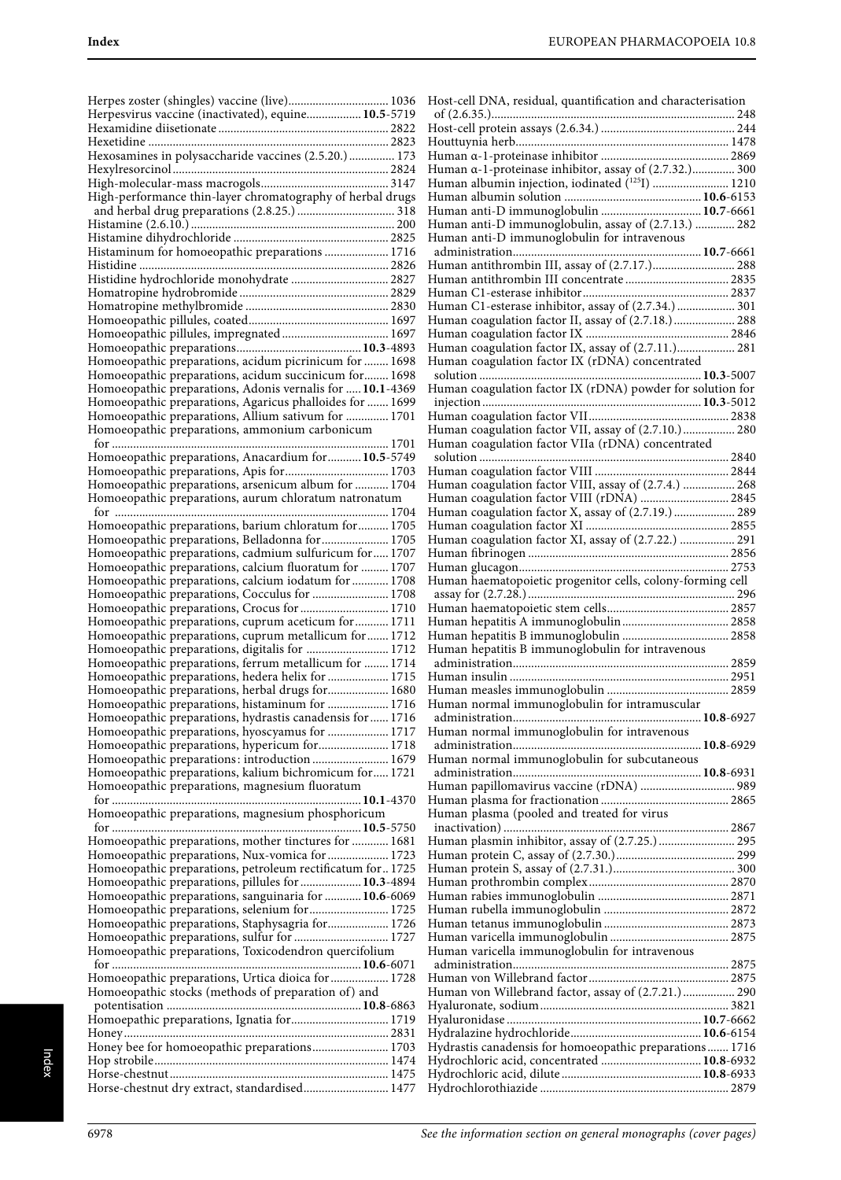| Herpes zoster (shingles) vaccine (live) 1036                                                                    |
|-----------------------------------------------------------------------------------------------------------------|
| Herpesvirus vaccine (inactivated), equine 10.5-5719                                                             |
|                                                                                                                 |
| Hexosamines in polysaccharide vaccines (2.5.20.) 173                                                            |
|                                                                                                                 |
|                                                                                                                 |
| High-performance thin-layer chromatography of herbal drugs                                                      |
|                                                                                                                 |
|                                                                                                                 |
|                                                                                                                 |
| Histaminum for homoeopathic preparations  1716                                                                  |
| Histidine hydrochloride monohydrate  2827                                                                       |
|                                                                                                                 |
|                                                                                                                 |
|                                                                                                                 |
|                                                                                                                 |
|                                                                                                                 |
| Homoeopathic preparations, acidum picrinicum for  1698<br>Homoeopathic preparations, acidum succinicum for 1698 |
| Homoeopathic preparations, Adonis vernalis for  10.1-4369                                                       |
| Homoeopathic preparations, Agaricus phalloides for  1699                                                        |
| Homoeopathic preparations, Allium sativum for  1701                                                             |
| Homoeopathic preparations, ammonium carbonicum                                                                  |
|                                                                                                                 |
| Homoeopathic preparations, Anacardium for  10.5-5749                                                            |
|                                                                                                                 |
| Homoeopathic preparations, arsenicum album for  1704<br>Homoeopathic preparations, aurum chloratum natronatum   |
|                                                                                                                 |
| Homoeopathic preparations, barium chloratum for  1705                                                           |
| Homoeopathic preparations, Belladonna for  1705                                                                 |
| Homoeopathic preparations, cadmium sulfuricum for 1707                                                          |
| Homoeopathic preparations, calcium fluoratum for  1707                                                          |
| Homoeopathic preparations, calcium iodatum for  1708                                                            |
| Homoeopathic preparations, Cocculus for  1708<br>Homoeopathic preparations, Crocus for  1710                    |
| Homoeopathic preparations, cuprum aceticum for  1711                                                            |
| Homoeopathic preparations, cuprum metallicum for 1712                                                           |
| Homoeopathic preparations, digitalis for  1712                                                                  |
| Homoeopathic preparations, ferrum metallicum for  1714                                                          |
| Homoeopathic preparations, hedera helix for  1715                                                               |
| Homoeopathic preparations, herbal drugs for 1680<br>Homoeopathic preparations, histaminum for  1716             |
| Homoeopathic preparations, hydrastis canadensis for  1716                                                       |
| Homoeopathic preparations, hyoscyamus for  1717                                                                 |
| Homoeopathic preparations, hypericum for 1718                                                                   |
| Homoeopathic preparations: introduction 1679                                                                    |
| Homoeopathic preparations, kalium bichromicum for 1721                                                          |
|                                                                                                                 |
| Homoeopathic preparations, magnesium fluoratum                                                                  |
|                                                                                                                 |
| Homoeopathic preparations, magnesium phosphoricum                                                               |
| Homoeopathic preparations, mother tinctures for  1681                                                           |
| Homoeopathic preparations, Nux-vomica for  1723                                                                 |
| Homoeopathic preparations, petroleum rectificatum for1725                                                       |
| Homoeopathic preparations, pillules for  10.3-4894                                                              |
| Homoeopathic preparations, sanguinaria for  10.6-6069                                                           |
| Homoeopathic preparations, selenium for  1725                                                                   |
| Homoeopathic preparations, Staphysagria for 1726                                                                |
| Homoeopathic preparations, sulfur for  1727<br>Homoeopathic preparations, Toxicodendron quercifolium            |
|                                                                                                                 |
| Homoeopathic preparations, Urtica dioica for  1728                                                              |
| Homoeopathic stocks (methods of preparation of) and                                                             |
|                                                                                                                 |
| Homoepathic preparations, Ignatia for 1719                                                                      |
|                                                                                                                 |
| Honey bee for homoeopathic preparations 1703                                                                    |
| Horse-chestnut dry extract, standardised 1477                                                                   |

| Host-cell DNA, residual, quantification and characterisation                                           |
|--------------------------------------------------------------------------------------------------------|
|                                                                                                        |
|                                                                                                        |
|                                                                                                        |
| Human a-1-proteinase inhibitor, assay of (2.7.32.) 300                                                 |
| Human albumin injection, iodinated ( <sup>125</sup> I)  1210                                           |
|                                                                                                        |
| Human anti-D immunoglobulin  10.7-6661                                                                 |
| Human anti-D immunoglobulin, assay of (2.7.13.)  282                                                   |
| Human anti-D immunoglobulin for intravenous                                                            |
| Human antithrombin III, assay of (2.7.17.) 288                                                         |
| Human antithrombin III concentrate  2835                                                               |
|                                                                                                        |
| Human C1-esterase inhibitor, assay of (2.7.34.)  301                                                   |
| Human coagulation factor II, assay of (2.7.18.) 288                                                    |
|                                                                                                        |
| Human coagulation factor IX, assay of (2.7.11.) 281<br>Human coagulation factor IX (rDNA) concentrated |
|                                                                                                        |
|                                                                                                        |
|                                                                                                        |
|                                                                                                        |
| Human coagulation factor VII, assay of (2.7.10.) 280                                                   |
| Human coagulation factor VIIa (rDNA) concentrated                                                      |
|                                                                                                        |
| Human coagulation factor VIII, assay of (2.7.4.)  268                                                  |
| Human coagulation factor VIII (rDNA)  2845                                                             |
| Human coagulation factor X, assay of (2.7.19.)  289                                                    |
|                                                                                                        |
| Human coagulation factor XI, assay of (2.7.22.)  291                                                   |
|                                                                                                        |
| Human haematopoietic progenitor cells, colony-forming cell                                             |
|                                                                                                        |
|                                                                                                        |
|                                                                                                        |
|                                                                                                        |
|                                                                                                        |
| Human hepatitis B immunoglobulin for intravenous                                                       |
|                                                                                                        |
|                                                                                                        |
|                                                                                                        |
| Human normal immunoglobulin for intramuscular                                                          |
|                                                                                                        |
| Human normal immunoglobulin for intravenous                                                            |
| Human normal immunoglobulin for subcutaneous                                                           |
|                                                                                                        |
| Human papillomavirus vaccine (rDNA)  989                                                               |
|                                                                                                        |
| Human plasma (pooled and treated for virus                                                             |
|                                                                                                        |
| Human plasmin inhibitor, assay of (2.7.25.)  295                                                       |
|                                                                                                        |
|                                                                                                        |
|                                                                                                        |
|                                                                                                        |
|                                                                                                        |
|                                                                                                        |
| Human varicella immunoglobulin for intravenous                                                         |
|                                                                                                        |
| Human von Willebrand factor, assay of (2.7.21.) 290                                                    |
|                                                                                                        |
|                                                                                                        |
|                                                                                                        |
| Hydrastis canadensis for homoeopathic preparations 1716                                                |
| Hydrochloric acid, concentrated  10.8-6932                                                             |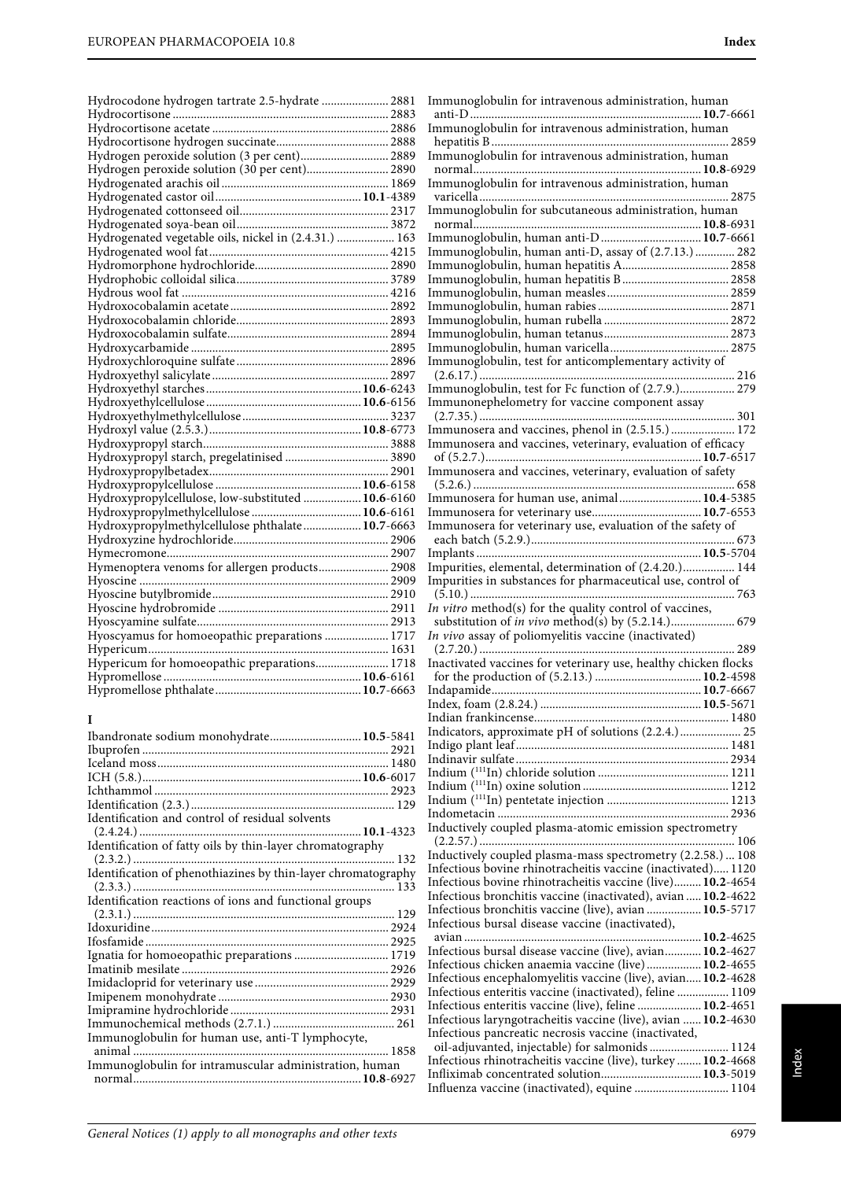| Hydrocodone hydrogen tartrate 2.5-hydrate  2881       |  |
|-------------------------------------------------------|--|
|                                                       |  |
|                                                       |  |
|                                                       |  |
|                                                       |  |
| Hydrogen peroxide solution (30 per cent) 2890         |  |
|                                                       |  |
|                                                       |  |
|                                                       |  |
|                                                       |  |
| Hydrogenated vegetable oils, nickel in (2.4.31.)  163 |  |
|                                                       |  |
|                                                       |  |
|                                                       |  |
|                                                       |  |
|                                                       |  |
|                                                       |  |
|                                                       |  |
|                                                       |  |
|                                                       |  |
|                                                       |  |
|                                                       |  |
|                                                       |  |
|                                                       |  |
|                                                       |  |
|                                                       |  |
| Hydroxypropyl starch, pregelatinised  3890            |  |
|                                                       |  |
|                                                       |  |
| Hydroxypropylcellulose, low-substituted  10.6-6160    |  |
|                                                       |  |
| Hydroxypropylmethylcellulose phthalate 10.7-6663      |  |
|                                                       |  |
|                                                       |  |
| Hymenoptera venoms for allergen products 2908         |  |
|                                                       |  |
|                                                       |  |
|                                                       |  |
|                                                       |  |
| Hyoscyamus for homoeopathic preparations  1717        |  |
|                                                       |  |
| Hypericum for homoeopathic preparations 1718          |  |
|                                                       |  |
|                                                       |  |
|                                                       |  |

## **I**

| Ibandronate sodium monohydrate 10.5-5841                      |  |
|---------------------------------------------------------------|--|
|                                                               |  |
|                                                               |  |
|                                                               |  |
|                                                               |  |
|                                                               |  |
| Identification and control of residual solvents               |  |
|                                                               |  |
| Identification of fatty oils by thin-layer chromatography     |  |
|                                                               |  |
| Identification of phenothiazines by thin-layer chromatography |  |
|                                                               |  |
| Identification reactions of ions and functional groups        |  |
|                                                               |  |
|                                                               |  |
|                                                               |  |
| Ignatia for homoeopathic preparations  1719                   |  |
|                                                               |  |
|                                                               |  |
|                                                               |  |
|                                                               |  |
|                                                               |  |
| Immunoglobulin for human use, anti-T lymphocyte,              |  |
| animal                                                        |  |
| Immunoglobulin for intramuscular administration, human        |  |
|                                                               |  |
|                                                               |  |

| Immunoglobulin for intravenous administration, human                                                                                                                                                                                                                                                                                                                                                                  |  |
|-----------------------------------------------------------------------------------------------------------------------------------------------------------------------------------------------------------------------------------------------------------------------------------------------------------------------------------------------------------------------------------------------------------------------|--|
| Immunoglobulin for intravenous administration, human                                                                                                                                                                                                                                                                                                                                                                  |  |
|                                                                                                                                                                                                                                                                                                                                                                                                                       |  |
| Immunoglobulin for intravenous administration, human                                                                                                                                                                                                                                                                                                                                                                  |  |
| Immunoglobulin for intravenous administration, human                                                                                                                                                                                                                                                                                                                                                                  |  |
|                                                                                                                                                                                                                                                                                                                                                                                                                       |  |
| Immunoglobulin for subcutaneous administration, human                                                                                                                                                                                                                                                                                                                                                                 |  |
|                                                                                                                                                                                                                                                                                                                                                                                                                       |  |
| Immunoglobulin, human anti-D 10.7-6661<br>Immunoglobulin, human anti-D, assay of (2.7.13.)  282                                                                                                                                                                                                                                                                                                                       |  |
|                                                                                                                                                                                                                                                                                                                                                                                                                       |  |
|                                                                                                                                                                                                                                                                                                                                                                                                                       |  |
|                                                                                                                                                                                                                                                                                                                                                                                                                       |  |
|                                                                                                                                                                                                                                                                                                                                                                                                                       |  |
|                                                                                                                                                                                                                                                                                                                                                                                                                       |  |
|                                                                                                                                                                                                                                                                                                                                                                                                                       |  |
| Immunoglobulin, test for anticomplementary activity of                                                                                                                                                                                                                                                                                                                                                                |  |
| Immunoglobulin, test for Fc function of (2.7.9.) 279                                                                                                                                                                                                                                                                                                                                                                  |  |
| Immunonephelometry for vaccine component assay                                                                                                                                                                                                                                                                                                                                                                        |  |
|                                                                                                                                                                                                                                                                                                                                                                                                                       |  |
| Immunosera and vaccines, phenol in (2.5.15.)  172                                                                                                                                                                                                                                                                                                                                                                     |  |
| Immunosera and vaccines, veterinary, evaluation of efficacy                                                                                                                                                                                                                                                                                                                                                           |  |
| Immunosera and vaccines, veterinary, evaluation of safety                                                                                                                                                                                                                                                                                                                                                             |  |
|                                                                                                                                                                                                                                                                                                                                                                                                                       |  |
| Immunosera for human use, animal 10.4-5385                                                                                                                                                                                                                                                                                                                                                                            |  |
| Immunosera for veterinary use, evaluation of the safety of                                                                                                                                                                                                                                                                                                                                                            |  |
|                                                                                                                                                                                                                                                                                                                                                                                                                       |  |
|                                                                                                                                                                                                                                                                                                                                                                                                                       |  |
|                                                                                                                                                                                                                                                                                                                                                                                                                       |  |
| Impurities, elemental, determination of (2.4.20.) 144                                                                                                                                                                                                                                                                                                                                                                 |  |
| Impurities in substances for pharmaceutical use, control of                                                                                                                                                                                                                                                                                                                                                           |  |
|                                                                                                                                                                                                                                                                                                                                                                                                                       |  |
| In vitro method(s) for the quality control of vaccines,                                                                                                                                                                                                                                                                                                                                                               |  |
| In vivo assay of poliomyelitis vaccine (inactivated)                                                                                                                                                                                                                                                                                                                                                                  |  |
|                                                                                                                                                                                                                                                                                                                                                                                                                       |  |
| Inactivated vaccines for veterinary use, healthy chicken flocks                                                                                                                                                                                                                                                                                                                                                       |  |
|                                                                                                                                                                                                                                                                                                                                                                                                                       |  |
| Index, foam (2.8.24.)                                                                                                                                                                                                                                                                                                                                                                                                 |  |
|                                                                                                                                                                                                                                                                                                                                                                                                                       |  |
| Indicators, approximate pH of solutions (2.2.4.) 25                                                                                                                                                                                                                                                                                                                                                                   |  |
|                                                                                                                                                                                                                                                                                                                                                                                                                       |  |
|                                                                                                                                                                                                                                                                                                                                                                                                                       |  |
|                                                                                                                                                                                                                                                                                                                                                                                                                       |  |
|                                                                                                                                                                                                                                                                                                                                                                                                                       |  |
| Inductively coupled plasma-atomic emission spectrometry                                                                                                                                                                                                                                                                                                                                                               |  |
|                                                                                                                                                                                                                                                                                                                                                                                                                       |  |
| Inductively coupled plasma-mass spectrometry (2.2.58.)  108                                                                                                                                                                                                                                                                                                                                                           |  |
| Infectious bovine rhinotracheitis vaccine (inactivated) 1120<br>Infectious bovine rhinotracheitis vaccine (live) 10.2-4654                                                                                                                                                                                                                                                                                            |  |
| Infectious bronchitis vaccine (inactivated), avian  10.2-4622                                                                                                                                                                                                                                                                                                                                                         |  |
| Infectious bronchitis vaccine (live), avian  10.5-5717                                                                                                                                                                                                                                                                                                                                                                |  |
| Infectious bursal disease vaccine (inactivated),                                                                                                                                                                                                                                                                                                                                                                      |  |
| Infectious bursal disease vaccine (live), avian 10.2-4627                                                                                                                                                                                                                                                                                                                                                             |  |
|                                                                                                                                                                                                                                                                                                                                                                                                                       |  |
|                                                                                                                                                                                                                                                                                                                                                                                                                       |  |
|                                                                                                                                                                                                                                                                                                                                                                                                                       |  |
|                                                                                                                                                                                                                                                                                                                                                                                                                       |  |
|                                                                                                                                                                                                                                                                                                                                                                                                                       |  |
| Infectious chicken anaemia vaccine (live) 10.2-4655<br>Infectious encephalomyelitis vaccine (live), avian 10.2-4628<br>Infectious enteritis vaccine (inactivated), feline  1109<br>Infectious enteritis vaccine (live), feline  10.2-4651<br>Infectious laryngotracheitis vaccine (live), avian  10.2-4630<br>Infectious pancreatic necrosis vaccine (inactivated,<br>oil-adjuvanted, injectable) for salmonids  1124 |  |
| Infectious rhinotracheitis vaccine (live), turkey  10.2-4668<br>Infliximab concentrated solution 10.3-5019                                                                                                                                                                                                                                                                                                            |  |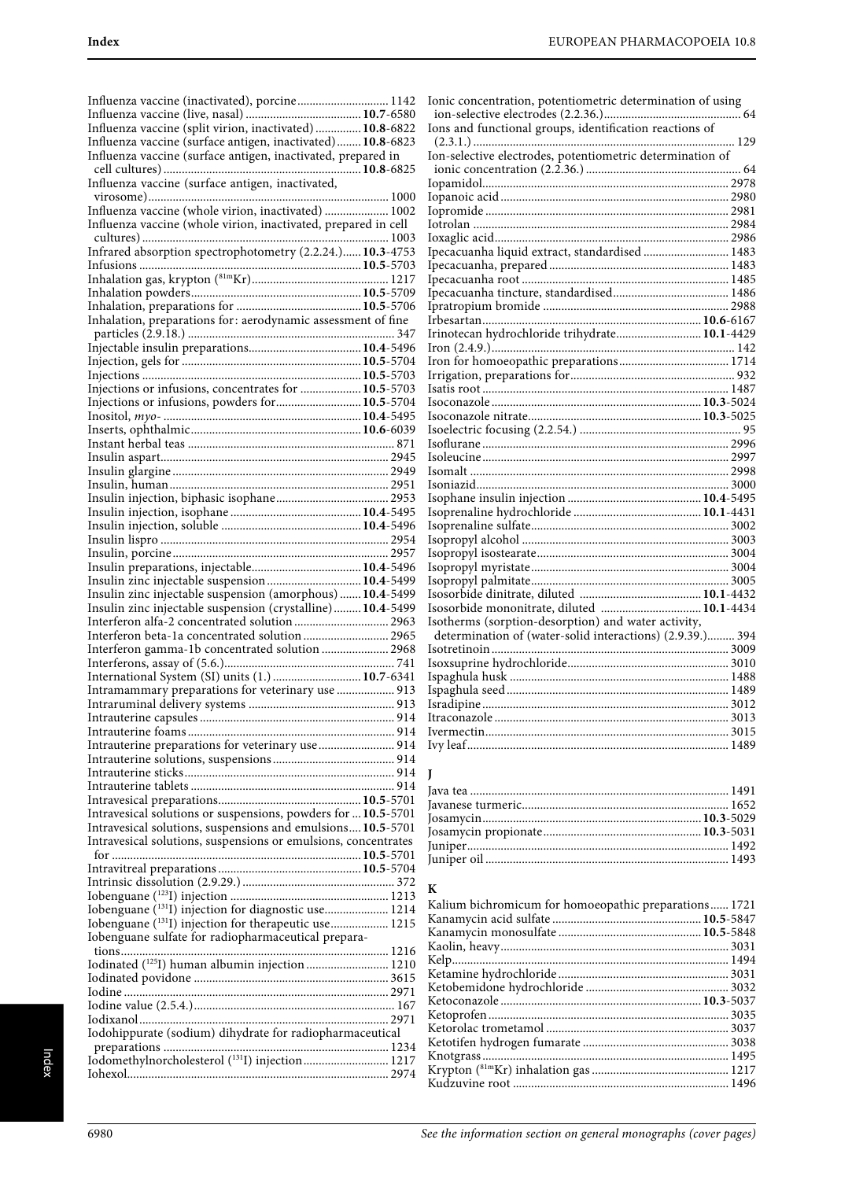| Influenza vaccine (inactivated), porcine 1142                                                                                      | 10                       |
|------------------------------------------------------------------------------------------------------------------------------------|--------------------------|
|                                                                                                                                    | j                        |
| Influenza vaccine (split virion, inactivated)  10.8-6822                                                                           | 10                       |
| Influenza vaccine (surface antigen, inactivated) 10.8-6823                                                                         |                          |
| Influenza vaccine (surface antigen, inactivated, prepared in                                                                       | Ic                       |
|                                                                                                                                    | $\mathbf{I}$             |
| Influenza vaccine (surface antigen, inactivated,                                                                                   | Ic                       |
|                                                                                                                                    | Ic                       |
| Influenza vaccine (whole virion, inactivated)  1002                                                                                | Ic                       |
| Influenza vaccine (whole virion, inactivated, prepared in cell                                                                     | 10                       |
|                                                                                                                                    | 10                       |
| Infrared absorption spectrophotometry (2.2.24.) 10.3-4753                                                                          | Iŗ                       |
|                                                                                                                                    | Iŗ                       |
| $\begin{minipage}{0.9\linewidth} Inflation gas, krypton (81mKr) 10.5-5703\\ Inhalation gas, krypton (81mKr) 1217\\ \end{minipage}$ | Iŗ                       |
|                                                                                                                                    | Iŗ                       |
|                                                                                                                                    | Iŗ                       |
| Inhalation, preparations for: aerodynamic assessment of fine                                                                       | Ir                       |
|                                                                                                                                    | Ir                       |
|                                                                                                                                    | Ir                       |
|                                                                                                                                    | Ir                       |
|                                                                                                                                    | Ir                       |
| Injections or infusions, concentrates for  10.5-5703                                                                               | Is                       |
| Injections or infusions, powders for 10.5-5704                                                                                     | Is                       |
|                                                                                                                                    | Is                       |
|                                                                                                                                    | Is                       |
|                                                                                                                                    | Is                       |
|                                                                                                                                    | Is                       |
|                                                                                                                                    | Is                       |
|                                                                                                                                    | Is                       |
|                                                                                                                                    | Is<br>Is                 |
|                                                                                                                                    | Is                       |
|                                                                                                                                    | Is                       |
|                                                                                                                                    | Is                       |
|                                                                                                                                    | Is                       |
| Insulin zinc injectable suspension  10.4-5499                                                                                      | Is                       |
| Insulin zinc injectable suspension (amorphous)  10.4-5499                                                                          | Is                       |
| Insulin zinc injectable suspension (crystalline) 10.4-5499                                                                         | Is                       |
| Interferon alfa-2 concentrated solution  2963                                                                                      | Is                       |
| Interferon beta-1a concentrated solution 2965                                                                                      | $\overline{\phantom{a}}$ |
| Interferon gamma-1b concentrated solution  2968                                                                                    | Is                       |
|                                                                                                                                    | Is                       |
| International System (SI) units (1.)  10.7-6341                                                                                    | Is                       |
| Intramammary preparations for veterinary use  913                                                                                  | Is                       |
|                                                                                                                                    | Is                       |
|                                                                                                                                    | It                       |
|                                                                                                                                    | Iv                       |
| Intrauterine preparations for veterinary use  914                                                                                  | Iv                       |
|                                                                                                                                    |                          |
|                                                                                                                                    | J                        |
|                                                                                                                                    | Ja                       |
|                                                                                                                                    | Ja                       |
| Intravesical solutions or suspensions, powders for  10.5-5701                                                                      | Jc                       |
| Intravesical solutions, suspensions and emulsions 10.5-5701                                                                        | Jc                       |
| Intravesical solutions, suspensions or emulsions, concentrates                                                                     | Jv                       |
|                                                                                                                                    | Ju                       |
|                                                                                                                                    |                          |
|                                                                                                                                    | K                        |
| Iobenguane (131I) injection for diagnostic use  1214                                                                               | K                        |
| Iobenguane ( <sup>131</sup> I) injection for therapeutic use 1215                                                                  | К                        |
| Iobenguane sulfate for radiopharmaceutical prepara-                                                                                | К                        |
|                                                                                                                                    | К                        |
| Iodinated (125I) human albumin injection  1210                                                                                     | K                        |
|                                                                                                                                    | K                        |
|                                                                                                                                    | К                        |
|                                                                                                                                    | К                        |
|                                                                                                                                    | К                        |
| Iodohippurate (sodium) dihydrate for radiopharmaceutical                                                                           | К                        |
|                                                                                                                                    | K                        |
| Iodomethylnorcholesterol (131I) injection 1217                                                                                     | К<br>К                   |
|                                                                                                                                    | тz                       |

| Ionic concentration, potentiometric determination of using |  |
|------------------------------------------------------------|--|
|                                                            |  |
| Ions and functional groups, identification reactions of    |  |
|                                                            |  |
| Ion-selective electrodes, potentiometric determination of  |  |
|                                                            |  |
|                                                            |  |
|                                                            |  |
|                                                            |  |
|                                                            |  |
|                                                            |  |
| Ipecacuanha liquid extract, standardised  1483             |  |
|                                                            |  |
|                                                            |  |
|                                                            |  |
|                                                            |  |
|                                                            |  |
|                                                            |  |
|                                                            |  |
|                                                            |  |
|                                                            |  |
|                                                            |  |
|                                                            |  |
|                                                            |  |
|                                                            |  |
|                                                            |  |
|                                                            |  |
|                                                            |  |
|                                                            |  |
|                                                            |  |
|                                                            |  |
|                                                            |  |
|                                                            |  |
|                                                            |  |
|                                                            |  |
|                                                            |  |
|                                                            |  |
| Isosorbide mononitrate, diluted  10.1-4434                 |  |
| Isotherms (sorption-desorption) and water activity,        |  |
| determination of (water-solid interactions) (2.9.39.) 394  |  |
|                                                            |  |
|                                                            |  |
|                                                            |  |
|                                                            |  |
|                                                            |  |
|                                                            |  |
|                                                            |  |
|                                                            |  |
|                                                            |  |

### **K**

| Kalium bichromicum for homoeopathic preparations 1721 |  |
|-------------------------------------------------------|--|
|                                                       |  |
|                                                       |  |
|                                                       |  |
|                                                       |  |
|                                                       |  |
|                                                       |  |
|                                                       |  |
|                                                       |  |
|                                                       |  |
|                                                       |  |
|                                                       |  |
|                                                       |  |
|                                                       |  |
|                                                       |  |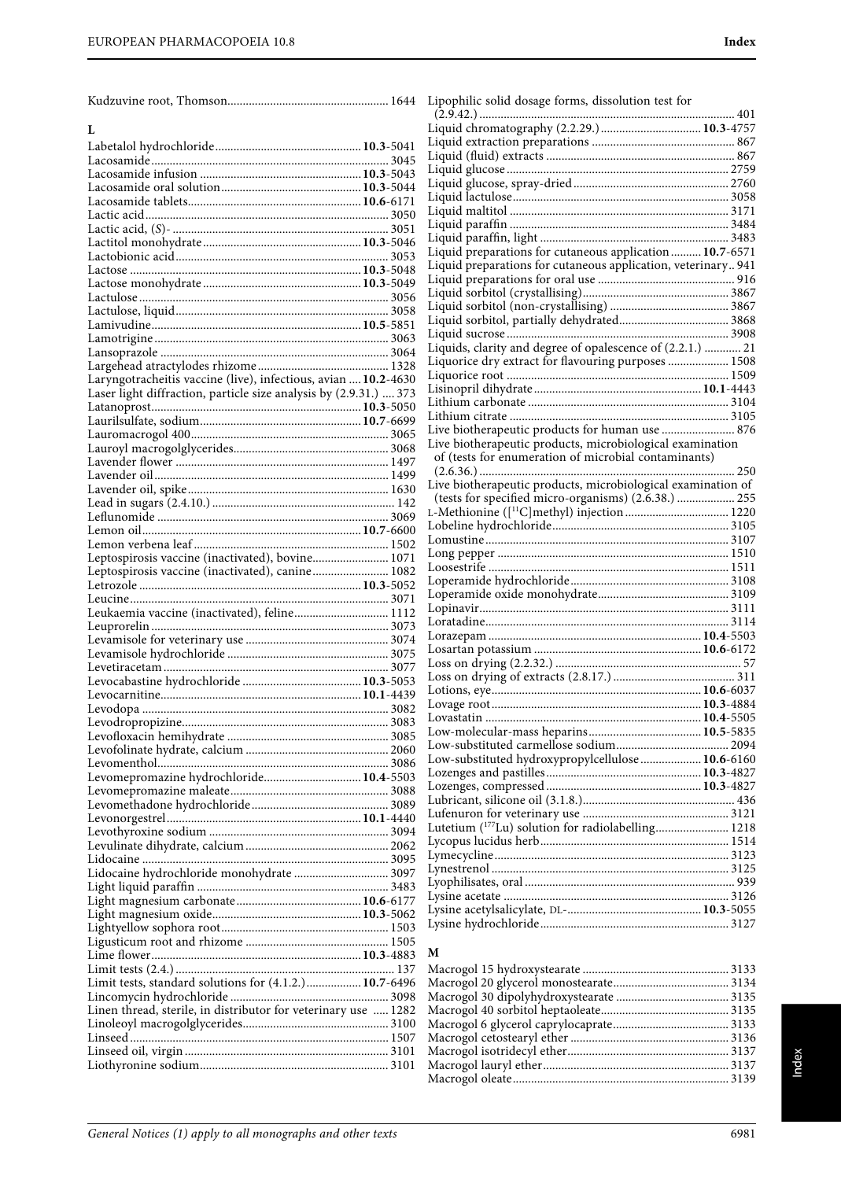**L**

Labetalol hydrochloride................................................**10.3**-5041 Lacosamide.............................................................................. 3045 Lacosamide infusion .....................................................**10.3**-5043 Lacosamide oral solution..............................................**10.3**-5044

| Lipophilic solid dosage forms, dissolution test for            |  |
|----------------------------------------------------------------|--|
|                                                                |  |
|                                                                |  |
|                                                                |  |
|                                                                |  |
|                                                                |  |
|                                                                |  |
|                                                                |  |
|                                                                |  |
|                                                                |  |
| Liquid preparations for cutaneous application  10.7-6571       |  |
| Liquid preparations for cutaneous application, veterinary 941  |  |
|                                                                |  |
|                                                                |  |
|                                                                |  |
|                                                                |  |
|                                                                |  |
| Liquids, clarity and degree of opalescence of (2.2.1.)  21     |  |
| Liquorice dry extract for flavouring purposes  1508            |  |
|                                                                |  |
|                                                                |  |
|                                                                |  |
| Live biotherapeutic products for human use  876                |  |
| Live biotherapeutic products, microbiological examination      |  |
| of (tests for enumeration of microbial contaminants)           |  |
|                                                                |  |
| Live biotherapeutic products, microbiological examination of   |  |
| (tests for specified micro-organisms) (2.6.38.)  255           |  |
|                                                                |  |
|                                                                |  |
|                                                                |  |
|                                                                |  |
|                                                                |  |
|                                                                |  |
|                                                                |  |
|                                                                |  |
|                                                                |  |
|                                                                |  |
|                                                                |  |
|                                                                |  |
|                                                                |  |
|                                                                |  |
|                                                                |  |
|                                                                |  |
| Low-substituted hydroxypropylcellulose 10.6-6160               |  |
|                                                                |  |
|                                                                |  |
|                                                                |  |
|                                                                |  |
| Lutetium ( <sup>177</sup> Lu) solution for radiolabelling 1218 |  |
|                                                                |  |
|                                                                |  |
|                                                                |  |
|                                                                |  |
|                                                                |  |
|                                                                |  |

### **M**

| Laryngotracheitis vaccine (live), infectious, avian  10.2-4630    |  |
|-------------------------------------------------------------------|--|
| Laser light diffraction, particle size analysis by (2.9.31.)  373 |  |
|                                                                   |  |
|                                                                   |  |
|                                                                   |  |
|                                                                   |  |
|                                                                   |  |
|                                                                   |  |
|                                                                   |  |
|                                                                   |  |
|                                                                   |  |
|                                                                   |  |
| Leptospirosis vaccine (inactivated), bovine 1071                  |  |
| Leptospirosis vaccine (inactivated), canine 1082                  |  |
|                                                                   |  |
|                                                                   |  |
| Leukaemia vaccine (inactivated), feline 1112                      |  |
|                                                                   |  |
|                                                                   |  |
|                                                                   |  |
|                                                                   |  |
|                                                                   |  |
|                                                                   |  |
|                                                                   |  |
|                                                                   |  |
|                                                                   |  |
|                                                                   |  |
| Levomepromazine hydrochloride 10.4-5503                           |  |
|                                                                   |  |
|                                                                   |  |
|                                                                   |  |
|                                                                   |  |
|                                                                   |  |
|                                                                   |  |
| Lidocaine hydrochloride monohydrate  3097                         |  |
|                                                                   |  |
|                                                                   |  |
|                                                                   |  |
|                                                                   |  |
|                                                                   |  |
|                                                                   |  |
| Limit tests, standard solutions for (4.1.2.) 10.7-6496            |  |
|                                                                   |  |
| Linen thread, sterile, in distributor for veterinary use  1282    |  |
|                                                                   |  |
|                                                                   |  |
|                                                                   |  |
|                                                                   |  |
|                                                                   |  |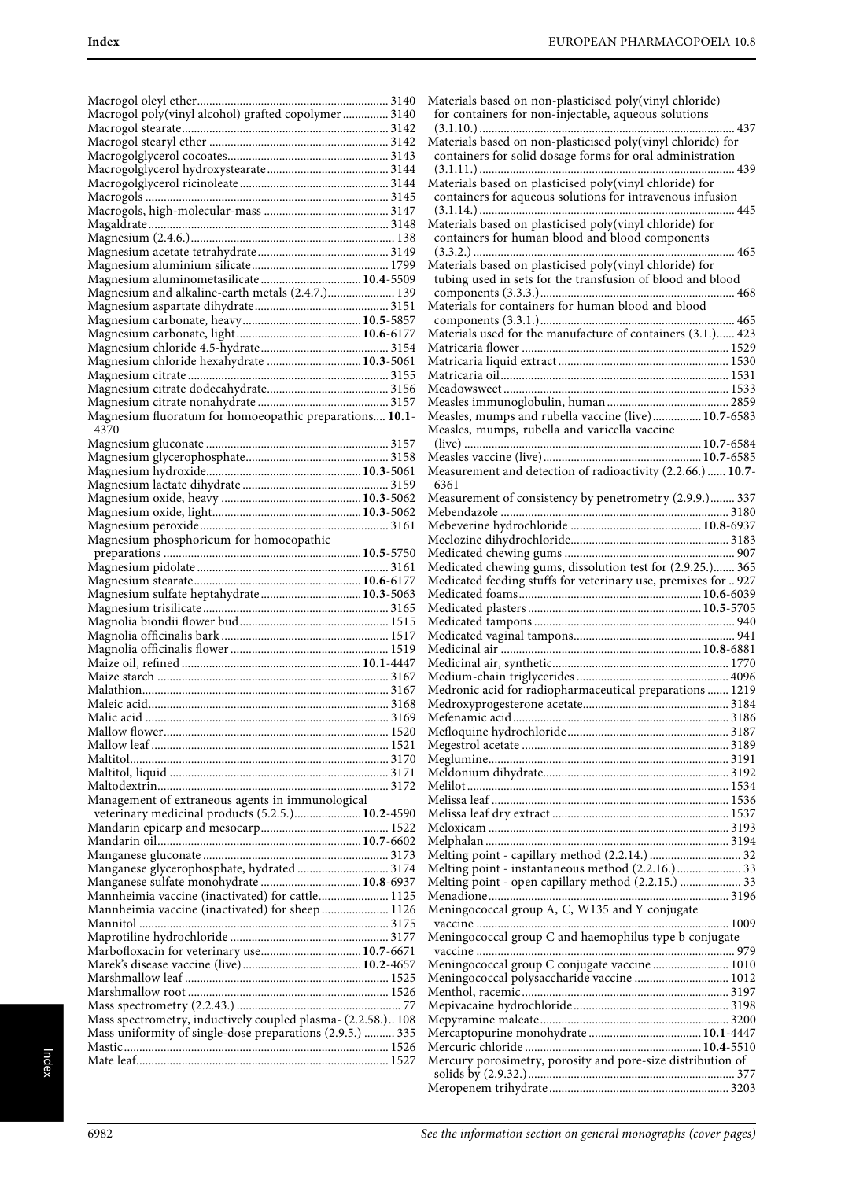| Macrogol poly(vinyl alcohol) grafted copolymer  3140                                        |  |
|---------------------------------------------------------------------------------------------|--|
|                                                                                             |  |
|                                                                                             |  |
|                                                                                             |  |
|                                                                                             |  |
|                                                                                             |  |
|                                                                                             |  |
|                                                                                             |  |
|                                                                                             |  |
|                                                                                             |  |
|                                                                                             |  |
| Magnesium aluminometasilicate 10.4-5509<br>Magnesium and alkaline-earth metals (2.4.7.) 139 |  |
|                                                                                             |  |
|                                                                                             |  |
|                                                                                             |  |
|                                                                                             |  |
| Magnesium chloride hexahydrate  10.3-5061                                                   |  |
|                                                                                             |  |
|                                                                                             |  |
| Magnesium fluoratum for homoeopathic preparations 10.1-                                     |  |
| 4370                                                                                        |  |
|                                                                                             |  |
|                                                                                             |  |
|                                                                                             |  |
|                                                                                             |  |
|                                                                                             |  |
|                                                                                             |  |
| Magnesium phosphoricum for homoeopathic                                                     |  |
|                                                                                             |  |
|                                                                                             |  |
|                                                                                             |  |
| Magnesium sulfate heptahydrate 10.3-5063                                                    |  |
|                                                                                             |  |
|                                                                                             |  |
|                                                                                             |  |
|                                                                                             |  |
|                                                                                             |  |
|                                                                                             |  |
|                                                                                             |  |
|                                                                                             |  |
|                                                                                             |  |
|                                                                                             |  |
|                                                                                             |  |
|                                                                                             |  |
|                                                                                             |  |
|                                                                                             |  |
| Management of extraneous agents in immunological                                            |  |
| veterinary medicinal products (5.2.5.) 10.2-4590                                            |  |
|                                                                                             |  |
|                                                                                             |  |
| Manganese glycerophosphate, hydrated  3174                                                  |  |
| Manganese sulfate monohydrate  10.8-6937                                                    |  |
| Mannheimia vaccine (inactivated) for cattle 1125                                            |  |
| Mannheimia vaccine (inactivated) for sheep  1126                                            |  |
|                                                                                             |  |
|                                                                                             |  |
| Marbofloxacin for veterinary use 10.7-6671                                                  |  |
|                                                                                             |  |
|                                                                                             |  |
|                                                                                             |  |
| Mass spectrometry, inductively coupled plasma- (2.2.58.) 108                                |  |
| Mass uniformity of single-dose preparations (2.9.5.)  335                                   |  |
|                                                                                             |  |

| Materials based on non-plasticised poly(vinyl chloride)<br>for containers for non-injectable, aqueous solutions          |
|--------------------------------------------------------------------------------------------------------------------------|
|                                                                                                                          |
| Materials based on non-plasticised poly(vinyl chloride) for<br>containers for solid dosage forms for oral administration |
| Materials based on plasticised poly(vinyl chloride) for                                                                  |
| containers for aqueous solutions for intravenous infusion                                                                |
| Materials based on plasticised poly(vinyl chloride) for                                                                  |
| containers for human blood and blood components<br>.<br>465                                                              |
|                                                                                                                          |
| Materials based on plasticised poly(vinyl chloride) for<br>tubing used in sets for the transfusion of blood and blood    |
|                                                                                                                          |
| Materials for containers for human blood and blood                                                                       |
| Materials used for the manufacture of containers (3.1.) 423                                                              |
|                                                                                                                          |
|                                                                                                                          |
|                                                                                                                          |
|                                                                                                                          |
|                                                                                                                          |
|                                                                                                                          |
| Measles, mumps and rubella vaccine (live) 10.7-6583<br>Measles, mumps, rubella and varicella vaccine                     |
|                                                                                                                          |
| Measurement and detection of radioactivity (2.2.66.)  10.7-                                                              |
| 6361                                                                                                                     |
| Measurement of consistency by penetrometry (2.9.9.) 337                                                                  |
|                                                                                                                          |
|                                                                                                                          |
|                                                                                                                          |
| Medicated chewing gums, dissolution test for (2.9.25.) 365                                                               |
|                                                                                                                          |
| Medicated feeding stuffs for veterinary use, premixes for  927                                                           |
|                                                                                                                          |
|                                                                                                                          |
|                                                                                                                          |
|                                                                                                                          |
|                                                                                                                          |
|                                                                                                                          |
|                                                                                                                          |
|                                                                                                                          |
|                                                                                                                          |
| Medronic acid for radiopharmaceutical preparations  1219                                                                 |
|                                                                                                                          |
|                                                                                                                          |
|                                                                                                                          |
|                                                                                                                          |
|                                                                                                                          |
|                                                                                                                          |
|                                                                                                                          |
|                                                                                                                          |
|                                                                                                                          |
|                                                                                                                          |
|                                                                                                                          |
|                                                                                                                          |
| Melting point - capillary method (2.2.14.)  32                                                                           |
| Melting point - instantaneous method (2.2.16.)  33                                                                       |
| Melting point - open capillary method (2.2.15.)  33                                                                      |
|                                                                                                                          |
| Meningococcal group A, C, W135 and Y conjugate                                                                           |
|                                                                                                                          |
| Meningococcal group C and haemophilus type b conjugate                                                                   |
|                                                                                                                          |
| Meningococcal group C conjugate vaccine  1010                                                                            |
|                                                                                                                          |
| Meningococcal polysaccharide vaccine  1012                                                                               |
|                                                                                                                          |
|                                                                                                                          |
|                                                                                                                          |
|                                                                                                                          |
|                                                                                                                          |
| Mercury porosimetry, porosity and pore-size distribution of                                                              |
|                                                                                                                          |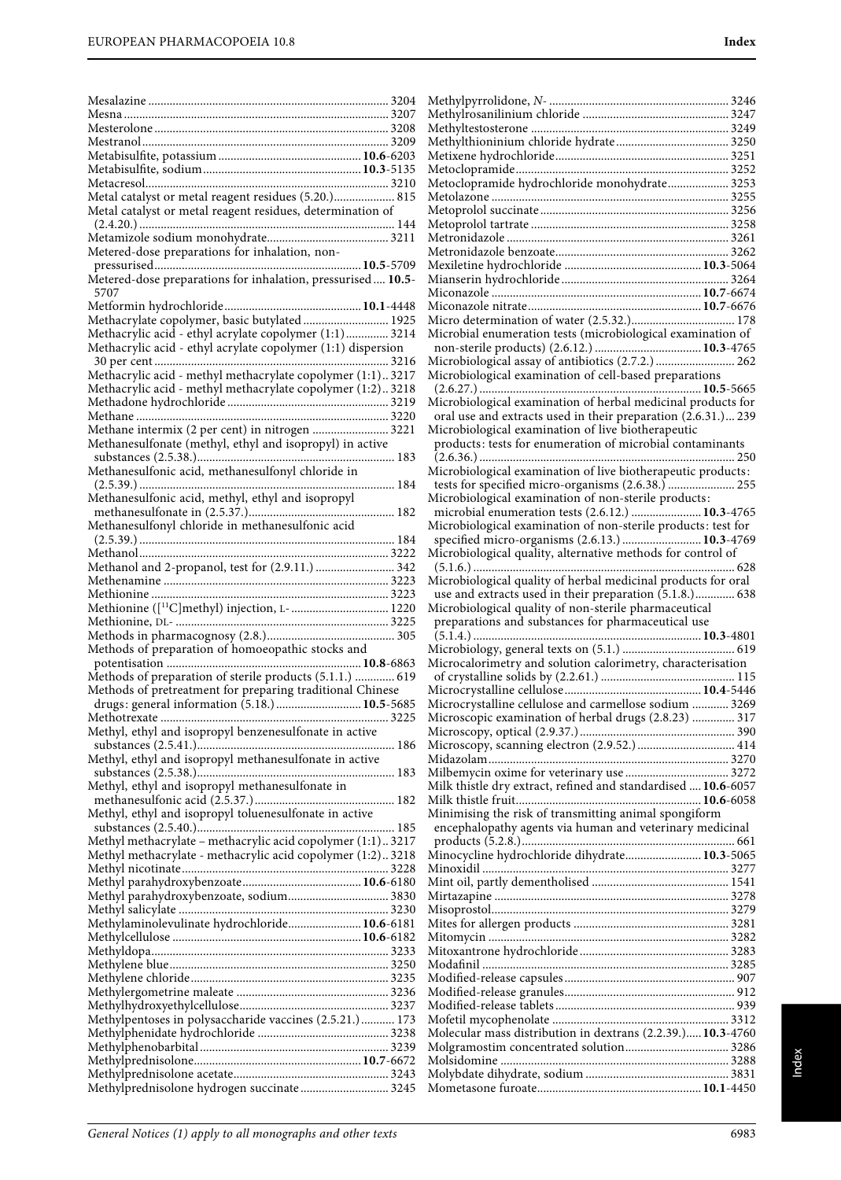| Metal catalyst or metal reagent residues (5.20.) 815                                                      |  |
|-----------------------------------------------------------------------------------------------------------|--|
| Metal catalyst or metal reagent residues, determination of                                                |  |
|                                                                                                           |  |
|                                                                                                           |  |
| Metered-dose preparations for inhalation, non-                                                            |  |
|                                                                                                           |  |
| Metered-dose preparations for inhalation, pressurised 10.5-<br>5707                                       |  |
|                                                                                                           |  |
| Methacrylate copolymer, basic butylated 1925                                                              |  |
| Methacrylic acid - ethyl acrylate copolymer (1:1) 3214                                                    |  |
| Methacrylic acid - ethyl acrylate copolymer (1:1) dispersion                                              |  |
|                                                                                                           |  |
| Methacrylic acid - methyl methacrylate copolymer (1:1)3217                                                |  |
| Methacrylic acid - methyl methacrylate copolymer (1:2)3218                                                |  |
|                                                                                                           |  |
| Methane intermix (2 per cent) in nitrogen  3221                                                           |  |
| Methanesulfonate (methyl, ethyl and isopropyl) in active                                                  |  |
|                                                                                                           |  |
|                                                                                                           |  |
|                                                                                                           |  |
| Methanesulfonic acid, methyl, ethyl and isopropyl                                                         |  |
|                                                                                                           |  |
| Methanesulfonyl chloride in methanesulfonic acid                                                          |  |
|                                                                                                           |  |
| Methanol and 2-propanol, test for (2.9.11.)  342                                                          |  |
|                                                                                                           |  |
|                                                                                                           |  |
| Methionine ([11C]methyl) injection, L- 1220                                                               |  |
|                                                                                                           |  |
|                                                                                                           |  |
| Methods of preparation of homoeopathic stocks and                                                         |  |
|                                                                                                           |  |
| Methods of preparation of sterile products (5.1.1.)  619                                                  |  |
| Methods of pretreatment for preparing traditional Chinese<br>drugs: general information (5.18.) 10.5-5685 |  |
|                                                                                                           |  |
| Methyl, ethyl and isopropyl benzenesulfonate in active                                                    |  |
|                                                                                                           |  |
| Methyl, ethyl and isopropyl methanesulfonate in active                                                    |  |
|                                                                                                           |  |
| Methyl, ethyl and isopropyl methanesulfonate in                                                           |  |
|                                                                                                           |  |
|                                                                                                           |  |
| Methyl, ethyl and isopropyl toluenesulfonate in active                                                    |  |
|                                                                                                           |  |
| Methyl methacrylate - methacrylic acid copolymer (1:1) 3217                                               |  |
| Methyl methacrylate - methacrylic acid copolymer (1:2)3218                                                |  |
|                                                                                                           |  |
| Methyl parahydroxybenzoate, sodium 3830                                                                   |  |
|                                                                                                           |  |
| Methylaminolevulinate hydrochloride 10.6-6181                                                             |  |
|                                                                                                           |  |
|                                                                                                           |  |
|                                                                                                           |  |
|                                                                                                           |  |
|                                                                                                           |  |
| Methylpentoses in polysaccharide vaccines (2.5.21.)  173                                                  |  |
|                                                                                                           |  |
|                                                                                                           |  |
|                                                                                                           |  |
| Methylprednisolone hydrogen succinate 3245                                                                |  |

| Metoclopramide hydrochloride monohydrate 3253                                                                                 |
|-------------------------------------------------------------------------------------------------------------------------------|
|                                                                                                                               |
|                                                                                                                               |
|                                                                                                                               |
|                                                                                                                               |
|                                                                                                                               |
|                                                                                                                               |
|                                                                                                                               |
|                                                                                                                               |
| Microbial enumeration tests (microbiological examination of                                                                   |
|                                                                                                                               |
| Microbiological assay of antibiotics (2.7.2.)  262                                                                            |
| Microbiological examination of cell-based preparations                                                                        |
|                                                                                                                               |
| Microbiological examination of herbal medicinal products for<br>oral use and extracts used in their preparation (2.6.31.) 239 |
| Microbiological examination of live biotherapeutic                                                                            |
| products: tests for enumeration of microbial contaminants                                                                     |
|                                                                                                                               |
| Microbiological examination of live biotherapeutic products:                                                                  |
| tests for specified micro-organisms (2.6.38.)  255                                                                            |
| Microbiological examination of non-sterile products:<br>microbial enumeration tests (2.6.12.)  10.3-4765                      |
| Microbiological examination of non-sterile products: test for                                                                 |
| specified micro-organisms (2.6.13.)  10.3-4769                                                                                |
| Microbiological quality, alternative methods for control of                                                                   |
|                                                                                                                               |
| Microbiological quality of herbal medicinal products for oral                                                                 |
|                                                                                                                               |
| use and extracts used in their preparation (5.1.8.) 638                                                                       |
| Microbiological quality of non-sterile pharmaceutical                                                                         |
| preparations and substances for pharmaceutical use                                                                            |
|                                                                                                                               |
| Microcalorimetry and solution calorimetry, characterisation                                                                   |
|                                                                                                                               |
|                                                                                                                               |
| Microcrystalline cellulose and carmellose sodium  3269<br>Microscopic examination of herbal drugs (2.8.23)  317               |
|                                                                                                                               |
| Microscopy, scanning electron (2.9.52.)  414                                                                                  |
|                                                                                                                               |
|                                                                                                                               |
| Milk thistle dry extract, refined and standardised  10.6-6057                                                                 |
| Minimising the risk of transmitting animal spongiform                                                                         |
| encephalopathy agents via human and veterinary medicinal                                                                      |
|                                                                                                                               |
| Minocycline hydrochloride dihydrate 10.3-5065                                                                                 |
|                                                                                                                               |
|                                                                                                                               |
|                                                                                                                               |
|                                                                                                                               |
|                                                                                                                               |
|                                                                                                                               |
|                                                                                                                               |
|                                                                                                                               |
|                                                                                                                               |
|                                                                                                                               |
| Molecular mass distribution in dextrans (2.2.39.) 10.3-4760                                                                   |
|                                                                                                                               |

Mometasone furoate......................................................**10.1**-4450

Methylpyrrolidone, N- ........................................................... 3246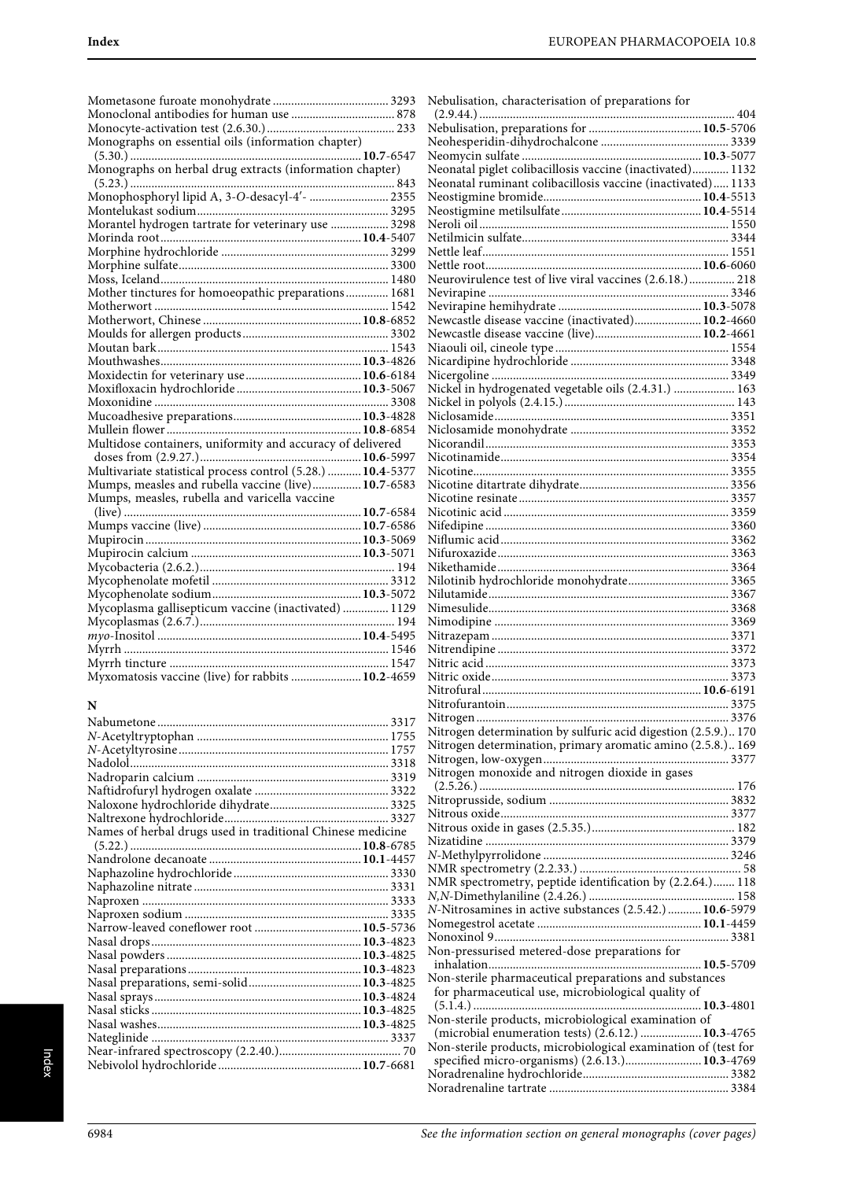Nebulisation, characterisation of preparations for

| Monographs on essential oils (information chapter)          |  |
|-------------------------------------------------------------|--|
|                                                             |  |
|                                                             |  |
|                                                             |  |
|                                                             |  |
|                                                             |  |
| Morantel hydrogen tartrate for veterinary use  3298         |  |
|                                                             |  |
|                                                             |  |
|                                                             |  |
|                                                             |  |
| Mother tinctures for homoeopathic preparations 1681         |  |
|                                                             |  |
|                                                             |  |
|                                                             |  |
|                                                             |  |
|                                                             |  |
|                                                             |  |
|                                                             |  |
|                                                             |  |
|                                                             |  |
|                                                             |  |
| Multidose containers, uniformity and accuracy of delivered  |  |
|                                                             |  |
| Multivariate statistical process control (5.28.)  10.4-5377 |  |
| Mumps, measles and rubella vaccine (live) 10.7-6583         |  |
| Mumps, measles, rubella and varicella vaccine               |  |
|                                                             |  |
|                                                             |  |
|                                                             |  |
|                                                             |  |
|                                                             |  |
|                                                             |  |
|                                                             |  |
| Mycoplasma gallisepticum vaccine (inactivated)  1129        |  |
|                                                             |  |
|                                                             |  |
|                                                             |  |
|                                                             |  |
| Myxomatosis vaccine (live) for rabbits  10.2-4659           |  |

### **N**

| Names of herbal drugs used in traditional Chinese medicine |  |
|------------------------------------------------------------|--|
|                                                            |  |
|                                                            |  |
|                                                            |  |
|                                                            |  |
|                                                            |  |
|                                                            |  |
|                                                            |  |
|                                                            |  |
|                                                            |  |
|                                                            |  |
|                                                            |  |
|                                                            |  |
|                                                            |  |
|                                                            |  |
|                                                            |  |
|                                                            |  |
|                                                            |  |

| Monographs on essential oils (information chapter)          |                                                                 |
|-------------------------------------------------------------|-----------------------------------------------------------------|
|                                                             |                                                                 |
| Monographs on herbal drug extracts (information chapter)    | Neonatal piglet colibacillosis vaccine (inactivated) 1132       |
|                                                             | Neonatal ruminant colibacillosis vaccine (inactivated) 1133     |
| Monophosphoryl lipid A, 3-O-desacyl-4'-  2355               |                                                                 |
|                                                             |                                                                 |
| Morantel hydrogen tartrate for veterinary use  3298         |                                                                 |
|                                                             |                                                                 |
|                                                             |                                                                 |
|                                                             |                                                                 |
|                                                             | Neurovirulence test of live viral vaccines (2.6.18.) 218        |
|                                                             |                                                                 |
| Mother tinctures for homoeopathic preparations 1681         |                                                                 |
|                                                             |                                                                 |
|                                                             | Newcastle disease vaccine (inactivated) 10.2-4660               |
|                                                             |                                                                 |
|                                                             |                                                                 |
|                                                             |                                                                 |
|                                                             |                                                                 |
|                                                             | Nickel in hydrogenated vegetable oils (2.4.31.)  163            |
|                                                             |                                                                 |
|                                                             |                                                                 |
|                                                             |                                                                 |
| Multidose containers, uniformity and accuracy of delivered  |                                                                 |
|                                                             |                                                                 |
| Multivariate statistical process control (5.28.)  10.4-5377 |                                                                 |
| Mumps, measles and rubella vaccine (live) 10.7-6583         |                                                                 |
| Mumps, measles, rubella and varicella vaccine               |                                                                 |
|                                                             |                                                                 |
|                                                             |                                                                 |
|                                                             |                                                                 |
|                                                             |                                                                 |
|                                                             |                                                                 |
|                                                             |                                                                 |
|                                                             |                                                                 |
|                                                             |                                                                 |
| Mycoplasma gallisepticum vaccine (inactivated)  1129        |                                                                 |
|                                                             |                                                                 |
|                                                             |                                                                 |
|                                                             |                                                                 |
|                                                             |                                                                 |
| Myxomatosis vaccine (live) for rabbits  10.2-4659           |                                                                 |
|                                                             |                                                                 |
| N                                                           |                                                                 |
|                                                             |                                                                 |
|                                                             | Nitrogen determination by sulfuric acid digestion (2.5.9.) 170  |
|                                                             | Nitrogen determination, primary aromatic amino (2.5.8.) 169     |
|                                                             |                                                                 |
|                                                             | Nitrogen monoxide and nitrogen dioxide in gases                 |
|                                                             |                                                                 |
|                                                             |                                                                 |
|                                                             |                                                                 |
| Names of herbal drugs used in traditional Chinese medicine  |                                                                 |
|                                                             |                                                                 |
|                                                             |                                                                 |
|                                                             |                                                                 |
|                                                             | NMR spectrometry, peptide identification by (2.2.64.) 118       |
|                                                             |                                                                 |
|                                                             | N-Nitrosamines in active substances (2.5.42.)  10.6-5979        |
|                                                             |                                                                 |
|                                                             |                                                                 |
|                                                             | Non-pressurised metered-dose preparations for                   |
|                                                             |                                                                 |
|                                                             | Non-sterile pharmaceutical preparations and substances          |
|                                                             | for pharmaceutical use, microbiological quality of              |
|                                                             |                                                                 |
|                                                             | Non-sterile products, microbiological examination of            |
|                                                             | (microbial enumeration tests) (2.6.12.)  10.3-4765              |
|                                                             | Non-sterile products, microbiological examination of (test for  |
|                                                             | specified micro-organisms) (2.6.13.) 10.3-4769                  |
|                                                             |                                                                 |
|                                                             |                                                                 |
|                                                             |                                                                 |
|                                                             |                                                                 |
|                                                             |                                                                 |
| 6984                                                        | See the information section on general monographs (cover pages) |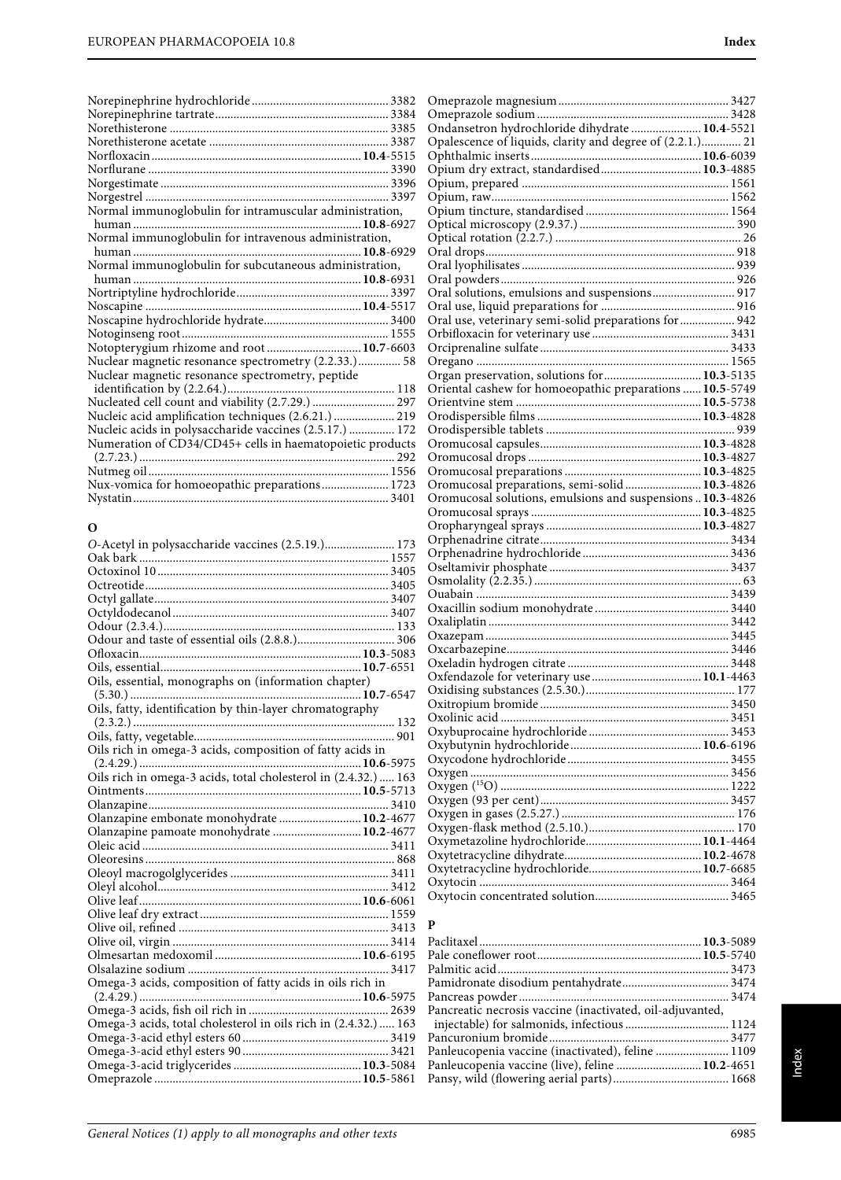| Normal immunoglobulin for intramuscular administration,   |
|-----------------------------------------------------------|
|                                                           |
| Normal immunoglobulin for intravenous administration,     |
|                                                           |
| Normal immunoglobulin for subcutaneous administration,    |
|                                                           |
|                                                           |
|                                                           |
|                                                           |
|                                                           |
| Notopterygium rhizome and root  10.7-6603                 |
| Nuclear magnetic resonance spectrometry (2.2.33.) 58      |
| Nuclear magnetic resonance spectrometry, peptide          |
|                                                           |
| Nucleated cell count and viability (2.7.29.)  297         |
| Nucleic acid amplification techniques (2.6.21.)  219      |
| Nucleic acids in polysaccharide vaccines (2.5.17.)  172   |
| Numeration of CD34/CD45+ cells in haematopoietic products |
|                                                           |
| Nux-vomica for homoeopathic preparations 1723             |
|                                                           |

### **O**

| O-Acetyl in polysaccharide vaccines (2.5.19.) 173               |  |
|-----------------------------------------------------------------|--|
|                                                                 |  |
|                                                                 |  |
|                                                                 |  |
|                                                                 |  |
|                                                                 |  |
|                                                                 |  |
|                                                                 |  |
|                                                                 |  |
|                                                                 |  |
| Oils, essential, monographs on (information chapter)            |  |
|                                                                 |  |
| Oils, fatty, identification by thin-layer chromatography        |  |
|                                                                 |  |
|                                                                 |  |
| Oils rich in omega-3 acids, composition of fatty acids in       |  |
|                                                                 |  |
| Oils rich in omega-3 acids, total cholesterol in (2.4.32.)  163 |  |
|                                                                 |  |
|                                                                 |  |
| Olanzapine embonate monohydrate  10.2-4677                      |  |
| Olanzapine pamoate monohydrate  10.2-4677                       |  |
|                                                                 |  |
|                                                                 |  |
|                                                                 |  |
|                                                                 |  |
|                                                                 |  |
|                                                                 |  |
|                                                                 |  |
|                                                                 |  |
|                                                                 |  |
|                                                                 |  |
| Omega-3 acids, composition of fatty acids in oils rich in       |  |
|                                                                 |  |
|                                                                 |  |
| Omega-3 acids, total cholesterol in oils rich in (2.4.32.)  163 |  |
|                                                                 |  |
|                                                                 |  |
|                                                                 |  |
|                                                                 |  |
|                                                                 |  |

| Ondansetron hydrochloride dihydrate  10.4-5521             |  |
|------------------------------------------------------------|--|
| Opalescence of liquids, clarity and degree of (2.2.1.) 21  |  |
|                                                            |  |
|                                                            |  |
|                                                            |  |
|                                                            |  |
|                                                            |  |
|                                                            |  |
|                                                            |  |
|                                                            |  |
|                                                            |  |
|                                                            |  |
| Oral solutions, emulsions and suspensions 917              |  |
|                                                            |  |
| Oral use, veterinary semi-solid preparations for  942      |  |
|                                                            |  |
|                                                            |  |
|                                                            |  |
| Organ preservation, solutions for 10.3-5135                |  |
| Oriental cashew for homoeopathic preparations  10.5-5749   |  |
|                                                            |  |
|                                                            |  |
|                                                            |  |
|                                                            |  |
|                                                            |  |
|                                                            |  |
| Oromucosal preparations, semi-solid  10.3-4826             |  |
| Oromucosal solutions, emulsions and suspensions  10.3-4826 |  |
|                                                            |  |
|                                                            |  |
|                                                            |  |
|                                                            |  |
|                                                            |  |
|                                                            |  |
|                                                            |  |
|                                                            |  |
|                                                            |  |
|                                                            |  |
|                                                            |  |
|                                                            |  |
|                                                            |  |
|                                                            |  |
|                                                            |  |
|                                                            |  |
|                                                            |  |
|                                                            |  |
|                                                            |  |
|                                                            |  |
|                                                            |  |
|                                                            |  |
|                                                            |  |
|                                                            |  |
|                                                            |  |
|                                                            |  |
|                                                            |  |
|                                                            |  |
|                                                            |  |
|                                                            |  |
|                                                            |  |

| P                                                         |  |
|-----------------------------------------------------------|--|
|                                                           |  |
|                                                           |  |
|                                                           |  |
|                                                           |  |
|                                                           |  |
| Pancreatic necrosis vaccine (inactivated, oil-adjuvanted, |  |
|                                                           |  |
|                                                           |  |
|                                                           |  |
| Panleucopenia vaccine (live), feline  10.2-4651           |  |
|                                                           |  |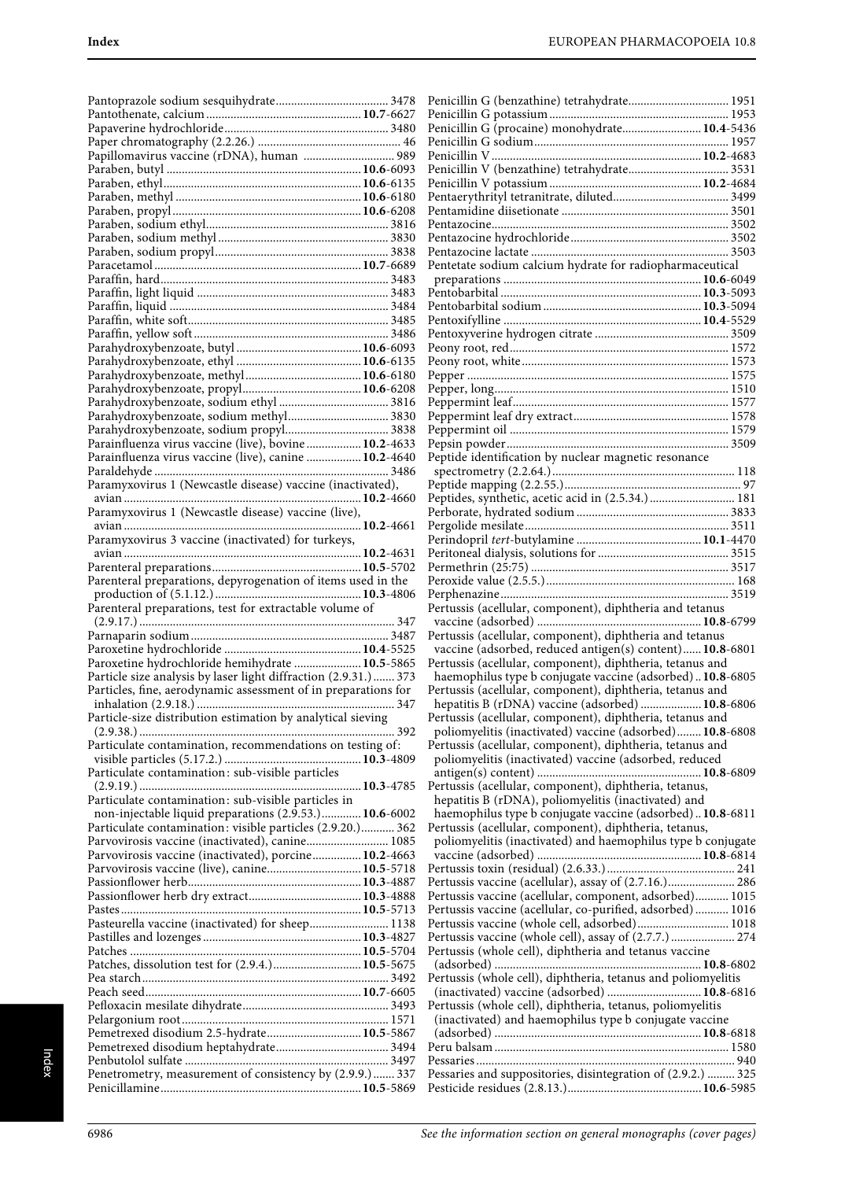| Papillomavirus vaccine (rDNA), human  989                        |  |
|------------------------------------------------------------------|--|
|                                                                  |  |
|                                                                  |  |
|                                                                  |  |
|                                                                  |  |
|                                                                  |  |
|                                                                  |  |
|                                                                  |  |
|                                                                  |  |
|                                                                  |  |
|                                                                  |  |
|                                                                  |  |
|                                                                  |  |
|                                                                  |  |
|                                                                  |  |
|                                                                  |  |
|                                                                  |  |
|                                                                  |  |
|                                                                  |  |
|                                                                  |  |
|                                                                  |  |
|                                                                  |  |
|                                                                  |  |
|                                                                  |  |
|                                                                  |  |
|                                                                  |  |
| Parainfluenza virus vaccine (live), bovine  10.2-4633            |  |
|                                                                  |  |
| Parainfluenza virus vaccine (live), canine  10.2-4640            |  |
|                                                                  |  |
| Paramyxovirus 1 (Newcastle disease) vaccine (inactivated),       |  |
|                                                                  |  |
|                                                                  |  |
| Paramyxovirus 1 (Newcastle disease) vaccine (live),              |  |
|                                                                  |  |
|                                                                  |  |
| Paramyxovirus 3 vaccine (inactivated) for turkeys,               |  |
|                                                                  |  |
|                                                                  |  |
| Parenteral preparations, depyrogenation of items used in the     |  |
|                                                                  |  |
|                                                                  |  |
|                                                                  |  |
|                                                                  |  |
| Parenteral preparations, test for extractable volume of          |  |
|                                                                  |  |
|                                                                  |  |
|                                                                  |  |
|                                                                  |  |
| Paroxetine hydrochloride hemihydrate  10.5-5865                  |  |
| Particle size analysis by laser light diffraction (2.9.31.)  373 |  |
| Particles, fine, aerodynamic assessment of in preparations for   |  |
|                                                                  |  |
|                                                                  |  |
| Particle-size distribution estimation by analytical sieving      |  |
|                                                                  |  |
|                                                                  |  |
| Particulate contamination, recommendations on testing of:        |  |
|                                                                  |  |
| Particulate contamination: sub-visible particles                 |  |
|                                                                  |  |
| Particulate contamination: sub-visible particles in              |  |
|                                                                  |  |
| non-injectable liquid preparations (2.9.53.) 10.6-6002           |  |
| Particulate contamination: visible particles (2.9.20.) 362       |  |
|                                                                  |  |
| Parvovirosis vaccine (inactivated), canine 1085                  |  |
| Parvovirosis vaccine (inactivated), porcine 10.2-4663            |  |
| Parvovirosis vaccine (live), canine 10.5-5718                    |  |
|                                                                  |  |
|                                                                  |  |
|                                                                  |  |
|                                                                  |  |
| Pasteurella vaccine (inactivated) for sheep 1138                 |  |
|                                                                  |  |
|                                                                  |  |
|                                                                  |  |
| Patches, dissolution test for (2.9.4.) 10.5-5675                 |  |
|                                                                  |  |
|                                                                  |  |
|                                                                  |  |
|                                                                  |  |
|                                                                  |  |
|                                                                  |  |
| Pemetrexed disodium 2.5-hydrate 10.5-5867                        |  |
|                                                                  |  |
|                                                                  |  |
| Penetrometry, measurement of consistency by (2.9.9.)  337        |  |

| Penicillin G (benzathine) tetrahydrate 1951                                                                           |
|-----------------------------------------------------------------------------------------------------------------------|
|                                                                                                                       |
| Penicillin G (procaine) monohydrate 10.4-5436                                                                         |
|                                                                                                                       |
|                                                                                                                       |
|                                                                                                                       |
|                                                                                                                       |
|                                                                                                                       |
|                                                                                                                       |
|                                                                                                                       |
| Pentetate sodium calcium hydrate for radiopharmaceutical                                                              |
|                                                                                                                       |
|                                                                                                                       |
|                                                                                                                       |
|                                                                                                                       |
|                                                                                                                       |
|                                                                                                                       |
|                                                                                                                       |
|                                                                                                                       |
|                                                                                                                       |
|                                                                                                                       |
| Peptide identification by nuclear magnetic resonance                                                                  |
|                                                                                                                       |
| Peptides, synthetic, acetic acid in (2.5.34.) 181                                                                     |
|                                                                                                                       |
|                                                                                                                       |
|                                                                                                                       |
|                                                                                                                       |
|                                                                                                                       |
|                                                                                                                       |
| Pertussis (acellular, component), diphtheria and tetanus                                                              |
|                                                                                                                       |
| Pertussis (acellular, component), diphtheria and tetanus                                                              |
| vaccine (adsorbed, reduced antigen(s) content) 10.8-6801<br>Pertussis (acellular, component), diphtheria, tetanus and |
| haemophilus type b conjugate vaccine (adsorbed) 10.8-6805                                                             |
| Pertussis (acellular, component), diphtheria, tetanus and                                                             |
| hepatitis B (rDNA) vaccine (adsorbed)  10.8-6806                                                                      |
| Pertussis (acellular, component), diphtheria, tetanus and<br>poliomyelitis (inactivated) vaccine (adsorbed) 10.8-6808 |
| Pertussis (acellular, component), diphtheria, tetanus and                                                             |
| poliomyelitis (inactivated) vaccine (adsorbed, reduced                                                                |
|                                                                                                                       |
| Pertussis (acellular, component), diphtheria, tetanus,                                                                |
| hepatitis B (rDNA), poliomyelitis (inactivated) and<br>haemophilus type b conjugate vaccine (adsorbed) 10.8-6811      |
| Pertussis (acellular, component), diphtheria, tetanus,                                                                |
| poliomyelitis (inactivated) and haemophilus type b conjugate                                                          |
|                                                                                                                       |
|                                                                                                                       |
| Pertussis vaccine (acellular), assay of (2.7.16.) 286<br>Pertussis vaccine (acellular, component, adsorbed) 1015      |
| Pertussis vaccine (acellular, co-purified, adsorbed) 1016                                                             |
| Pertussis vaccine (whole cell, adsorbed) 1018                                                                         |
| Pertussis vaccine (whole cell), assay of (2.7.7.) 274                                                                 |
| Pertussis (whole cell), diphtheria and tetanus vaccine                                                                |
| Pertussis (whole cell), diphtheria, tetanus and poliomyelitis                                                         |
| (inactivated) vaccine (adsorbed)  10.8-6816                                                                           |
| Pertussis (whole cell), diphtheria, tetanus, poliomyelitis                                                            |
| (inactivated) and haemophilus type b conjugate vaccine                                                                |
|                                                                                                                       |
|                                                                                                                       |
| Pessaries and suppositories, disintegration of (2.9.2.)  325                                                          |
|                                                                                                                       |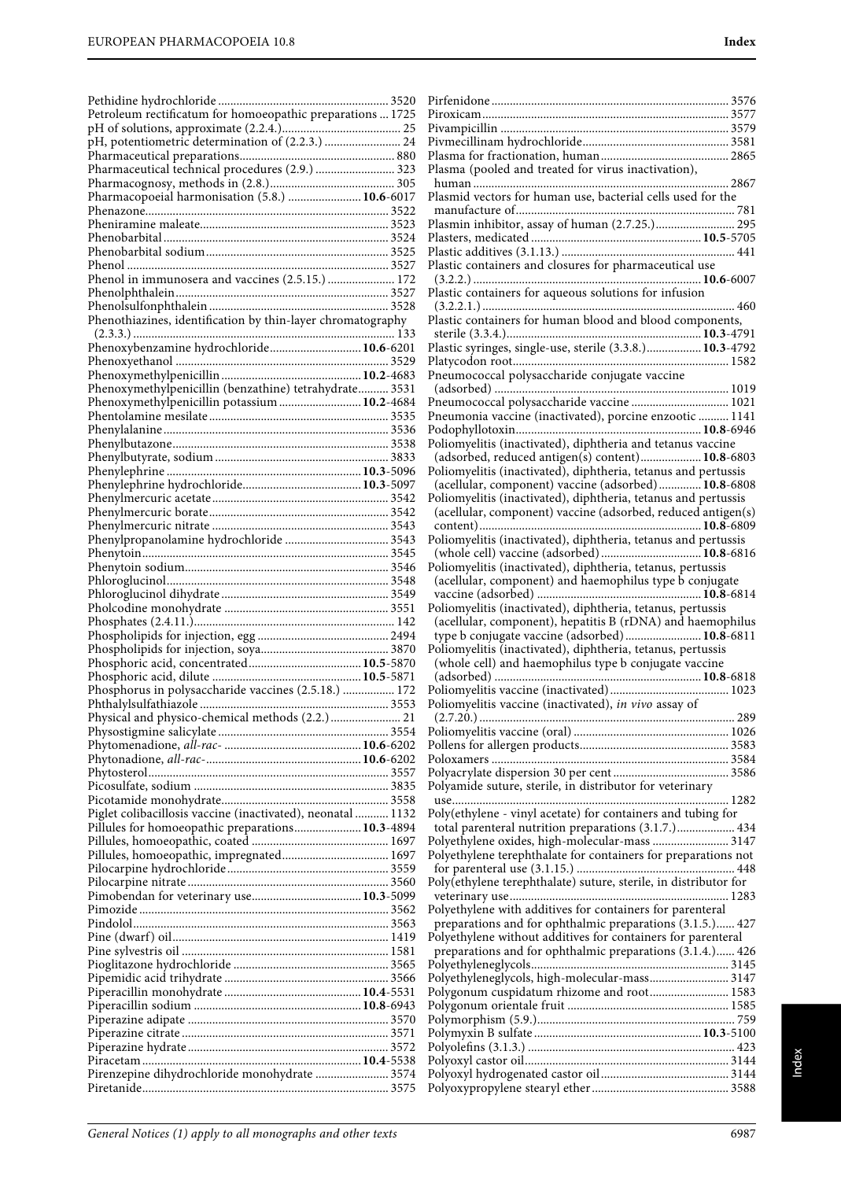| Petroleum rectificatum for homoeopathic preparations  1725  |  |
|-------------------------------------------------------------|--|
|                                                             |  |
| pH, potentiometric determination of (2.2.3.)  24            |  |
| Pharmaceutical technical procedures (2.9.)  323             |  |
|                                                             |  |
| Pharmacopoeial harmonisation (5.8.)  10.6-6017              |  |
|                                                             |  |
|                                                             |  |
|                                                             |  |
|                                                             |  |
|                                                             |  |
| Phenol in immunosera and vaccines (2.5.15.)  172            |  |
|                                                             |  |
|                                                             |  |
| Phenothiazines, identification by thin-layer chromatography |  |
|                                                             |  |
| Phenoxybenzamine hydrochloride 10.6-6201                    |  |
|                                                             |  |
| Phenoxymethylpenicillin (benzathine) tetrahydrate 3531      |  |
| Phenoxymethylpenicillin potassium  10.2-4684                |  |
|                                                             |  |
|                                                             |  |
|                                                             |  |
|                                                             |  |
|                                                             |  |
|                                                             |  |
|                                                             |  |
|                                                             |  |
|                                                             |  |
|                                                             |  |
|                                                             |  |
|                                                             |  |
|                                                             |  |
|                                                             |  |
|                                                             |  |
|                                                             |  |
|                                                             |  |
|                                                             |  |
|                                                             |  |
|                                                             |  |
|                                                             |  |
| Phosphorus in polysaccharide vaccines (2.5.18.)  172        |  |
|                                                             |  |
|                                                             |  |
|                                                             |  |
|                                                             |  |
|                                                             |  |
|                                                             |  |
|                                                             |  |
| Piglet colibacillosis vaccine (inactivated), neonatal  1132 |  |
| Pillules for homoeopathic preparations 10.3-4894            |  |
|                                                             |  |
|                                                             |  |
|                                                             |  |
|                                                             |  |
|                                                             |  |
|                                                             |  |
|                                                             |  |
|                                                             |  |
|                                                             |  |
|                                                             |  |
|                                                             |  |
|                                                             |  |
|                                                             |  |
|                                                             |  |
|                                                             |  |
|                                                             |  |
| Pirenzepine dihydrochloride monohydrate  3574               |  |

| Plasma (pooled and treated for virus inactivation),                                                                  |
|----------------------------------------------------------------------------------------------------------------------|
|                                                                                                                      |
| Plasmid vectors for human use, bacterial cells used for the                                                          |
|                                                                                                                      |
| Plasmin inhibitor, assay of human (2.7.25.) 295                                                                      |
|                                                                                                                      |
| Plastic containers and closures for pharmaceutical use                                                               |
|                                                                                                                      |
| Plastic containers for aqueous solutions for infusion                                                                |
|                                                                                                                      |
| Plastic containers for human blood and blood components,                                                             |
| Plastic syringes, single-use, sterile (3.3.8.) 10.3-4792                                                             |
|                                                                                                                      |
| Pneumococcal polysaccharide conjugate vaccine                                                                        |
|                                                                                                                      |
| Pneumococcal polysaccharide vaccine  1021                                                                            |
| Pneumonia vaccine (inactivated), porcine enzootic  1141                                                              |
|                                                                                                                      |
| Poliomyelitis (inactivated), diphtheria and tetanus vaccine<br>(adsorbed, reduced antigen(s) content) 10.8-6803      |
| Poliomyelitis (inactivated), diphtheria, tetanus and pertussis                                                       |
| (acellular, component) vaccine (adsorbed) 10.8-6808                                                                  |
| Poliomyelitis (inactivated), diphtheria, tetanus and pertussis                                                       |
| (acellular, component) vaccine (adsorbed, reduced antigen(s)                                                         |
|                                                                                                                      |
| Poliomyelitis (inactivated), diphtheria, tetanus and pertussis                                                       |
| (whole cell) vaccine (adsorbed)  10.8-6816<br>Poliomyelitis (inactivated), diphtheria, tetanus, pertussis            |
| (acellular, component) and haemophilus type b conjugate                                                              |
|                                                                                                                      |
| Poliomyelitis (inactivated), diphtheria, tetanus, pertussis                                                          |
| (acellular, component), hepatitis B (rDNA) and haemophilus                                                           |
| type b conjugate vaccine (adsorbed) 10.8-6811                                                                        |
| Poliomyelitis (inactivated), diphtheria, tetanus, pertussis<br>(whole cell) and haemophilus type b conjugate vaccine |
|                                                                                                                      |
|                                                                                                                      |
| Poliomyelitis vaccine (inactivated), in vivo assay of                                                                |
|                                                                                                                      |
|                                                                                                                      |
|                                                                                                                      |
|                                                                                                                      |
| Polyamide suture, sterile, in distributor for veterinary                                                             |
|                                                                                                                      |
| Poly(ethylene - vinyl acetate) for containers and tubing for                                                         |
| total parenteral nutrition preparations (3.1.7.) 434                                                                 |
| Polyethylene oxides, high-molecular-mass  3147                                                                       |
| Polyethylene terephthalate for containers for preparations not                                                       |
| Poly(ethylene terephthalate) suture, sterile, in distributor for                                                     |
|                                                                                                                      |
| Polyethylene with additives for containers for parenteral                                                            |
| preparations and for ophthalmic preparations (3.1.5.) 427                                                            |
| Polyethylene without additives for containers for parenteral                                                         |
| preparations and for ophthalmic preparations (3.1.4.) 426                                                            |
| Polyethyleneglycols, high-molecular-mass 3147                                                                        |
| Polygonum cuspidatum rhizome and root 1583                                                                           |
|                                                                                                                      |
|                                                                                                                      |
|                                                                                                                      |
|                                                                                                                      |
|                                                                                                                      |
|                                                                                                                      |
|                                                                                                                      |

Index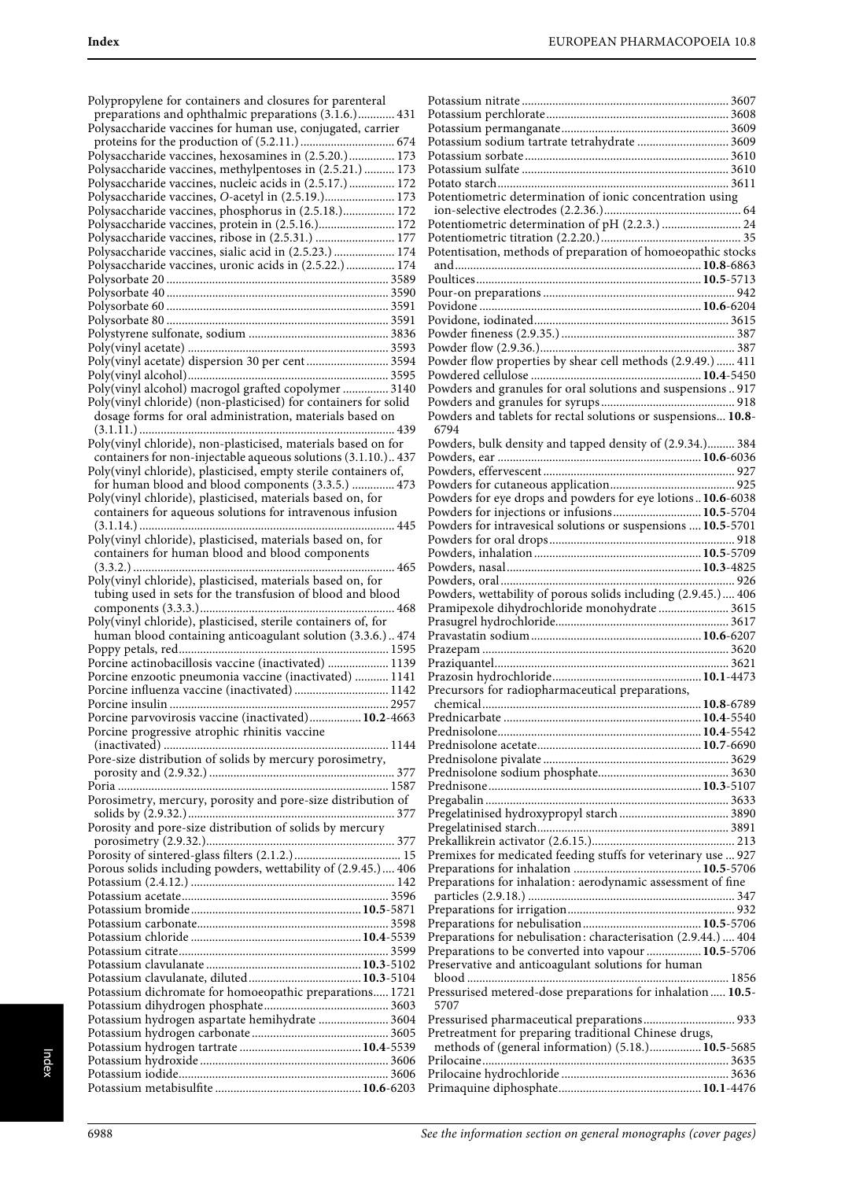| Polypropylene for containers and closures for parenteral<br>preparations and ophthalmic preparations (3.1.6.) 431              |  |
|--------------------------------------------------------------------------------------------------------------------------------|--|
| Polysaccharide vaccines for human use, conjugated, carrier                                                                     |  |
| Polysaccharide vaccines, hexosamines in (2.5.20.) 173                                                                          |  |
| Polysaccharide vaccines, methylpentoses in (2.5.21.)  173<br>Polysaccharide vaccines, nucleic acids in (2.5.17.) 172           |  |
| Polysaccharide vaccines, O-acetyl in (2.5.19.) 173                                                                             |  |
| Polysaccharide vaccines, phosphorus in (2.5.18.) 172<br>Polysaccharide vaccines, protein in (2.5.16.) 172                      |  |
| Polysaccharide vaccines, ribose in (2.5.31.)  177                                                                              |  |
| Polysaccharide vaccines, sialic acid in (2.5.23.)  174                                                                         |  |
| Polysaccharide vaccines, uronic acids in (2.5.22.) 174                                                                         |  |
|                                                                                                                                |  |
|                                                                                                                                |  |
|                                                                                                                                |  |
| Poly(vinyl acetate) dispersion 30 per cent 3594                                                                                |  |
|                                                                                                                                |  |
| Poly(vinyl alcohol) macrogol grafted copolymer  3140                                                                           |  |
| Poly(vinyl chloride) (non-plasticised) for containers for solid<br>dosage forms for oral administration, materials based on    |  |
|                                                                                                                                |  |
| Poly(vinyl chloride), non-plasticised, materials based on for<br>containers for non-injectable aqueous solutions (3.1.10.) 437 |  |
| Poly(vinyl chloride), plasticised, empty sterile containers of,                                                                |  |
| for human blood and blood components (3.3.5.)  473                                                                             |  |
| Poly(vinyl chloride), plasticised, materials based on, for<br>containers for aqueous solutions for intravenous infusion        |  |
| Poly(vinyl chloride), plasticised, materials based on, for<br>containers for human blood and blood components                  |  |
| Poly(vinyl chloride), plasticised, materials based on, for                                                                     |  |
| tubing used in sets for the transfusion of blood and blood                                                                     |  |
| Poly(vinyl chloride), plasticised, sterile containers of, for                                                                  |  |
| human blood containing anticoagulant solution (3.3.6.) 474                                                                     |  |
|                                                                                                                                |  |
| Porcine actinobacillosis vaccine (inactivated)  1139<br>Porcine enzootic pneumonia vaccine (inactivated)  1141                 |  |
| Porcine influenza vaccine (inactivated)  1142                                                                                  |  |
| Porcine insulin<br>2957<br>Porcine parvovirosis vaccine (inactivated) 10.2-4663                                                |  |
| Porcine progressive atrophic rhinitis vaccine                                                                                  |  |
| Pore-size distribution of solids by mercury porosimetry,                                                                       |  |
|                                                                                                                                |  |
|                                                                                                                                |  |
| Porosimetry, mercury, porosity and pore-size distribution of                                                                   |  |
| Porosity and pore-size distribution of solids by mercury                                                                       |  |
|                                                                                                                                |  |
| Porous solids including powders, wettability of (2.9.45.) 406                                                                  |  |
|                                                                                                                                |  |
|                                                                                                                                |  |
|                                                                                                                                |  |
|                                                                                                                                |  |
|                                                                                                                                |  |
|                                                                                                                                |  |
| Potassium dichromate for homoeopathic preparations 1721                                                                        |  |
| Potassium hydrogen aspartate hemihydrate  3604                                                                                 |  |
|                                                                                                                                |  |
|                                                                                                                                |  |
|                                                                                                                                |  |
|                                                                                                                                |  |

| Potassium sodium tartrate tetrahydrate  3609                   |                 |
|----------------------------------------------------------------|-----------------|
|                                                                |                 |
|                                                                |                 |
|                                                                |                 |
| Potentiometric determination of ionic concentration using      |                 |
|                                                                |                 |
|                                                                |                 |
| Potentiometric determination of pH (2.2.3.)  24                |                 |
|                                                                |                 |
| Potentisation, methods of preparation of homoeopathic stocks   |                 |
|                                                                |                 |
|                                                                |                 |
|                                                                |                 |
|                                                                |                 |
|                                                                |                 |
|                                                                |                 |
|                                                                |                 |
|                                                                |                 |
|                                                                |                 |
| Powder flow properties by shear cell methods (2.9.49.)  411    |                 |
|                                                                |                 |
|                                                                |                 |
|                                                                |                 |
|                                                                |                 |
| Powders and tablets for rectal solutions or suspensions 10.8-  |                 |
| 6794                                                           |                 |
| Powders, bulk density and tapped density of (2.9.34.) 384      |                 |
|                                                                |                 |
|                                                                |                 |
|                                                                |                 |
|                                                                |                 |
| Powders for eye drops and powders for eye lotions10.6-6038     |                 |
| Powders for injections or infusions 10.5-5704                  |                 |
|                                                                |                 |
| Powders for intravesical solutions or suspensions  10.5-5701   |                 |
|                                                                |                 |
|                                                                |                 |
|                                                                |                 |
|                                                                |                 |
|                                                                |                 |
| Powders, wettability of porous solids including (2.9.45.) 406  |                 |
| Pramipexole dihydrochloride monohydrate  3615                  |                 |
|                                                                |                 |
|                                                                |                 |
|                                                                |                 |
|                                                                |                 |
|                                                                |                 |
|                                                                |                 |
| Precursors for radiopharmaceutical preparations,               |                 |
| chemical                                                       | $, 10.8 - 6789$ |
|                                                                |                 |
|                                                                |                 |
|                                                                |                 |
|                                                                |                 |
|                                                                |                 |
|                                                                |                 |
|                                                                |                 |
|                                                                |                 |
|                                                                |                 |
|                                                                |                 |
|                                                                |                 |
|                                                                |                 |
|                                                                |                 |
|                                                                |                 |
| Premixes for medicated feeding stuffs for veterinary use  927  |                 |
|                                                                |                 |
|                                                                |                 |
| Preparations for inhalation: aerodynamic assessment of fine    |                 |
|                                                                |                 |
|                                                                |                 |
|                                                                |                 |
| Preparations for nebulisation: characterisation (2.9.44.)  404 |                 |
|                                                                |                 |
| Preparations to be converted into vapour  10.5-5706            |                 |
| Preservative and anticoagulant solutions for human             |                 |
|                                                                |                 |
| Pressurised metered-dose preparations for inhalation  10.5-    |                 |
| 5707                                                           |                 |
|                                                                |                 |
| Pressurised pharmaceutical preparations 933                    |                 |
| Pretreatment for preparing traditional Chinese drugs,          |                 |
| methods of (general information) (5.18.)10.5-5685              |                 |
|                                                                |                 |
|                                                                |                 |
|                                                                |                 |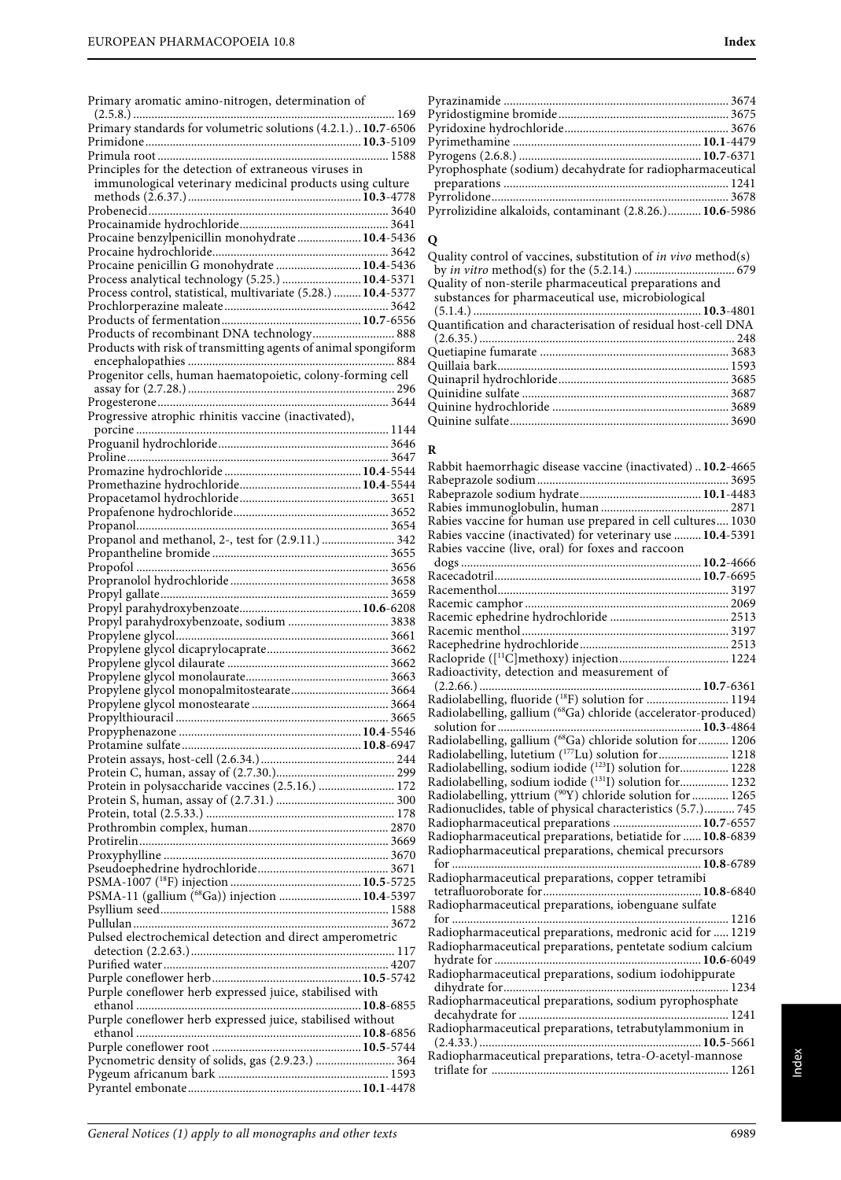| Primary aromatic amino-nitrogen, determination of                                                                 |  |
|-------------------------------------------------------------------------------------------------------------------|--|
| Primary standards for volumetric solutions (4.2.1.)  10.7-6506                                                    |  |
|                                                                                                                   |  |
|                                                                                                                   |  |
| Principles for the detection of extraneous viruses in                                                             |  |
| immunological veterinary medicinal products using culture                                                         |  |
|                                                                                                                   |  |
|                                                                                                                   |  |
| Procaine benzylpenicillin monohydrate 10.4-5436                                                                   |  |
|                                                                                                                   |  |
| Procaine penicillin G monohydrate  10.4-5436                                                                      |  |
| Process analytical technology (5.25.)  10.4-5371<br>Process control, statistical, multivariate (5.28.)  10.4-5377 |  |
|                                                                                                                   |  |
|                                                                                                                   |  |
| Products of recombinant DNA technology 888                                                                        |  |
| Products with risk of transmitting agents of animal spongiform                                                    |  |
|                                                                                                                   |  |
| Progenitor cells, human haematopoietic, colony-forming cell                                                       |  |
|                                                                                                                   |  |
| Progressive atrophic rhinitis vaccine (inactivated),                                                              |  |
|                                                                                                                   |  |
|                                                                                                                   |  |
|                                                                                                                   |  |
|                                                                                                                   |  |
|                                                                                                                   |  |
|                                                                                                                   |  |
|                                                                                                                   |  |
| Propanol and methanol, 2-, test for (2.9.11.)  342                                                                |  |
|                                                                                                                   |  |
|                                                                                                                   |  |
|                                                                                                                   |  |
|                                                                                                                   |  |
| Propyl parahydroxybenzoate, sodium  3838                                                                          |  |
|                                                                                                                   |  |
|                                                                                                                   |  |
|                                                                                                                   |  |
|                                                                                                                   |  |
|                                                                                                                   |  |
|                                                                                                                   |  |
|                                                                                                                   |  |
|                                                                                                                   |  |
|                                                                                                                   |  |
| Protein in polysaccharide vaccines (2.5.16.)  172                                                                 |  |
|                                                                                                                   |  |
|                                                                                                                   |  |
|                                                                                                                   |  |
|                                                                                                                   |  |
|                                                                                                                   |  |
|                                                                                                                   |  |
| PSMA-11 (gallium (68Ga)) injection  10.4-5397                                                                     |  |
|                                                                                                                   |  |
|                                                                                                                   |  |
| Pulsed electrochemical detection and direct amperometric                                                          |  |
|                                                                                                                   |  |
|                                                                                                                   |  |
| Purple coneflower herb expressed juice, stabilised with                                                           |  |
|                                                                                                                   |  |
| Purple coneflower herb expressed juice, stabilised without                                                        |  |
|                                                                                                                   |  |
| Pycnometric density of solids, gas (2.9.23.)  364                                                                 |  |
|                                                                                                                   |  |
|                                                                                                                   |  |

| Pyrophosphate (sodium) decahydrate for radiopharmaceutical |  |
|------------------------------------------------------------|--|
|                                                            |  |
|                                                            |  |
| Pyrrolizidine alkaloids, contaminant (2.8.26.) 10.6-5986   |  |
|                                                            |  |

### **Q**

Quality control of vaccines, substitution of in vivo method(s) by in vitro method(s) for the (5.2.14.) ................................. 679 Quality of non-sterile pharmaceutical preparations and substances for pharmaceutical use, microbiological (5.1.4.) ...........................................................................**10.3**-4801 Quantification and characterisation of residual host-cell DNA (2.6.35.) .................................................................................... 248 Quetiapine fumarate .............................................................. 3683 Quillaia bark............................................................................ 1593 Quinapril hydrochloride........................................................ 3685 Quinidine sulfate .................................................................... 3687 Quinine hydrochloride .......................................................... 3689 Quinine sulfate........................................................................ 3690

### **R**

| Rabbit haemorrhagic disease vaccine (inactivated)  10.2-4665    |  |
|-----------------------------------------------------------------|--|
|                                                                 |  |
|                                                                 |  |
|                                                                 |  |
| Rabies vaccine for human use prepared in cell cultures 1030     |  |
| Rabies vaccine (inactivated) for veterinary use  10.4-5391      |  |
| Rabies vaccine (live, oral) for foxes and raccoon               |  |
|                                                                 |  |
|                                                                 |  |
|                                                                 |  |
|                                                                 |  |
|                                                                 |  |
|                                                                 |  |
|                                                                 |  |
|                                                                 |  |
| Radioactivity, detection and measurement of                     |  |
|                                                                 |  |
| Radiolabelling, fluoride (18F) solution for  1194               |  |
| Radiolabelling, gallium (68Ga) chloride (accelerator-produced)  |  |
|                                                                 |  |
| Radiolabelling, gallium (68Ga) chloride solution for  1206      |  |
| Radiolabelling, lutetium ( <sup>177</sup> Lu) solution for 1218 |  |
| Radiolabelling, sodium iodide (123I) solution for 1228          |  |
| Radiolabelling, sodium iodide (1311) solution for 1232          |  |
| Radiolabelling, yttrium (90Y) chloride solution for  1265       |  |
| Radionuclides, table of physical characteristics (5.7.) 745     |  |
| Radiopharmaceutical preparations  10.7-6557                     |  |
| Radiopharmaceutical preparations, betiatide for  10.8-6839      |  |
| Radiopharmaceutical preparations, chemical precursors           |  |
|                                                                 |  |
| Radiopharmaceutical preparations, copper tetramibi              |  |
|                                                                 |  |
| Radiopharmaceutical preparations, iobenguane sulfate            |  |
|                                                                 |  |
| Radiopharmaceutical preparations, medronic acid for  1219       |  |
| Radiopharmaceutical preparations, pentetate sodium calcium      |  |
|                                                                 |  |
|                                                                 |  |
|                                                                 |  |
|                                                                 |  |
|                                                                 |  |
| Radiopharmaceutical preparations, tetrabutylammonium in         |  |
|                                                                 |  |
| Radiopharmaceutical preparations, tetra-O-acetyl-mannose        |  |
|                                                                 |  |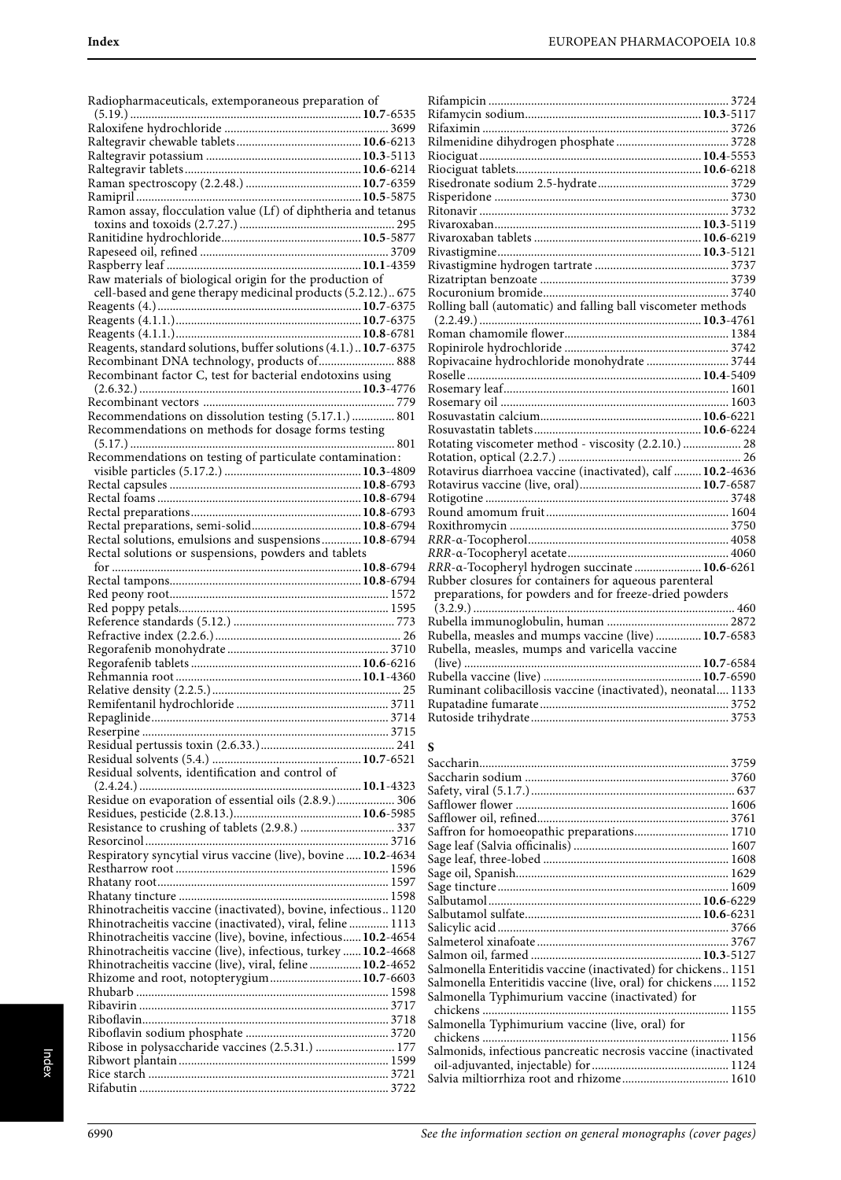| Radiopharmaceuticals, extemporaneous preparation of                                                                       |  |
|---------------------------------------------------------------------------------------------------------------------------|--|
| $(5.19.)$                                                                                                                 |  |
|                                                                                                                           |  |
|                                                                                                                           |  |
|                                                                                                                           |  |
|                                                                                                                           |  |
|                                                                                                                           |  |
| Ramon assay, flocculation value (Lf) of diphtheria and tetanus                                                            |  |
|                                                                                                                           |  |
|                                                                                                                           |  |
|                                                                                                                           |  |
| Raw materials of biological origin for the production of                                                                  |  |
| cell-based and gene therapy medicinal products (5.2.12.) 675                                                              |  |
|                                                                                                                           |  |
|                                                                                                                           |  |
| Reagents, standard solutions, buffer solutions (4.1.) 10.7-6375                                                           |  |
| Recombinant DNA technology, products of 888                                                                               |  |
| Recombinant factor C, test for bacterial endotoxins using                                                                 |  |
|                                                                                                                           |  |
|                                                                                                                           |  |
| Recommendations on dissolution testing (5.17.1.)  801                                                                     |  |
| Recommendations on methods for dosage forms testing                                                                       |  |
|                                                                                                                           |  |
| Recommendations on testing of particulate contamination:                                                                  |  |
|                                                                                                                           |  |
|                                                                                                                           |  |
|                                                                                                                           |  |
|                                                                                                                           |  |
| Rectal solutions, emulsions and suspensions 10.8-6794                                                                     |  |
| Rectal solutions or suspensions, powders and tablets                                                                      |  |
|                                                                                                                           |  |
|                                                                                                                           |  |
|                                                                                                                           |  |
|                                                                                                                           |  |
|                                                                                                                           |  |
|                                                                                                                           |  |
|                                                                                                                           |  |
|                                                                                                                           |  |
|                                                                                                                           |  |
|                                                                                                                           |  |
|                                                                                                                           |  |
|                                                                                                                           |  |
|                                                                                                                           |  |
|                                                                                                                           |  |
| Residual solvents, identification and control of                                                                          |  |
|                                                                                                                           |  |
| Residue on evaporation of essential oils (2.8.9.) 306                                                                     |  |
|                                                                                                                           |  |
|                                                                                                                           |  |
|                                                                                                                           |  |
| Respiratory syncytial virus vaccine (live), bovine  10.2-4634                                                             |  |
|                                                                                                                           |  |
|                                                                                                                           |  |
| Rhinotracheitis vaccine (inactivated), bovine, infectious 1120                                                            |  |
| Rhinotracheitis vaccine (inactivated), viral, feline  1113                                                                |  |
| Rhinotracheitis vaccine (live), bovine, infectious 10.2-4654                                                              |  |
| Rhinotracheitis vaccine (live), infectious, turkey  10.2-4668<br>Rhinotracheitis vaccine (live), viral, feline  10.2-4652 |  |
| Rhizome and root, notopterygium 10.7-6603                                                                                 |  |
|                                                                                                                           |  |
|                                                                                                                           |  |
|                                                                                                                           |  |
|                                                                                                                           |  |
| Ribose in polysaccharide vaccines (2.5.31.)  177                                                                          |  |
|                                                                                                                           |  |

| Rolling ball (automatic) and falling ball viscometer methods                                          |  |
|-------------------------------------------------------------------------------------------------------|--|
|                                                                                                       |  |
|                                                                                                       |  |
|                                                                                                       |  |
| Ropivacaine hydrochloride monohydrate  3744                                                           |  |
|                                                                                                       |  |
|                                                                                                       |  |
|                                                                                                       |  |
|                                                                                                       |  |
|                                                                                                       |  |
| Rotating viscometer method - viscosity (2.2.10.)  28                                                  |  |
|                                                                                                       |  |
| Rotavirus diarrhoea vaccine (inactivated), calf  10.2-4636                                            |  |
|                                                                                                       |  |
|                                                                                                       |  |
|                                                                                                       |  |
|                                                                                                       |  |
|                                                                                                       |  |
|                                                                                                       |  |
| RRR-a-Tocopheryl hydrogen succinate 10.6-6261                                                         |  |
| Rubber closures for containers for aqueous parenteral                                                 |  |
|                                                                                                       |  |
|                                                                                                       |  |
|                                                                                                       |  |
| Rubella, measles and mumps vaccine (live)  10.7-6583<br>Rubella, measles, mumps and varicella vaccine |  |
|                                                                                                       |  |
|                                                                                                       |  |
| Ruminant colibacillosis vaccine (inactivated), neonatal 1133                                          |  |
|                                                                                                       |  |
|                                                                                                       |  |

## **S**

| Saffron for homoeopathic preparations 1710                     |
|----------------------------------------------------------------|
|                                                                |
|                                                                |
|                                                                |
|                                                                |
|                                                                |
|                                                                |
|                                                                |
|                                                                |
|                                                                |
| Salmonella Enteritidis vaccine (inactivated) for chickens 1151 |
| Salmonella Enteritidis vaccine (live, oral) for chickens 1152  |
| Salmonella Typhimurium vaccine (inactivated) for               |
| . 1155                                                         |
| Salmonella Typhimurium vaccine (live, oral) for                |
|                                                                |
| Salmonids, infectious pancreatic necrosis vaccine (inactivated |
|                                                                |
| Salvia miltiorrhiza root and rhizome 1610                      |
|                                                                |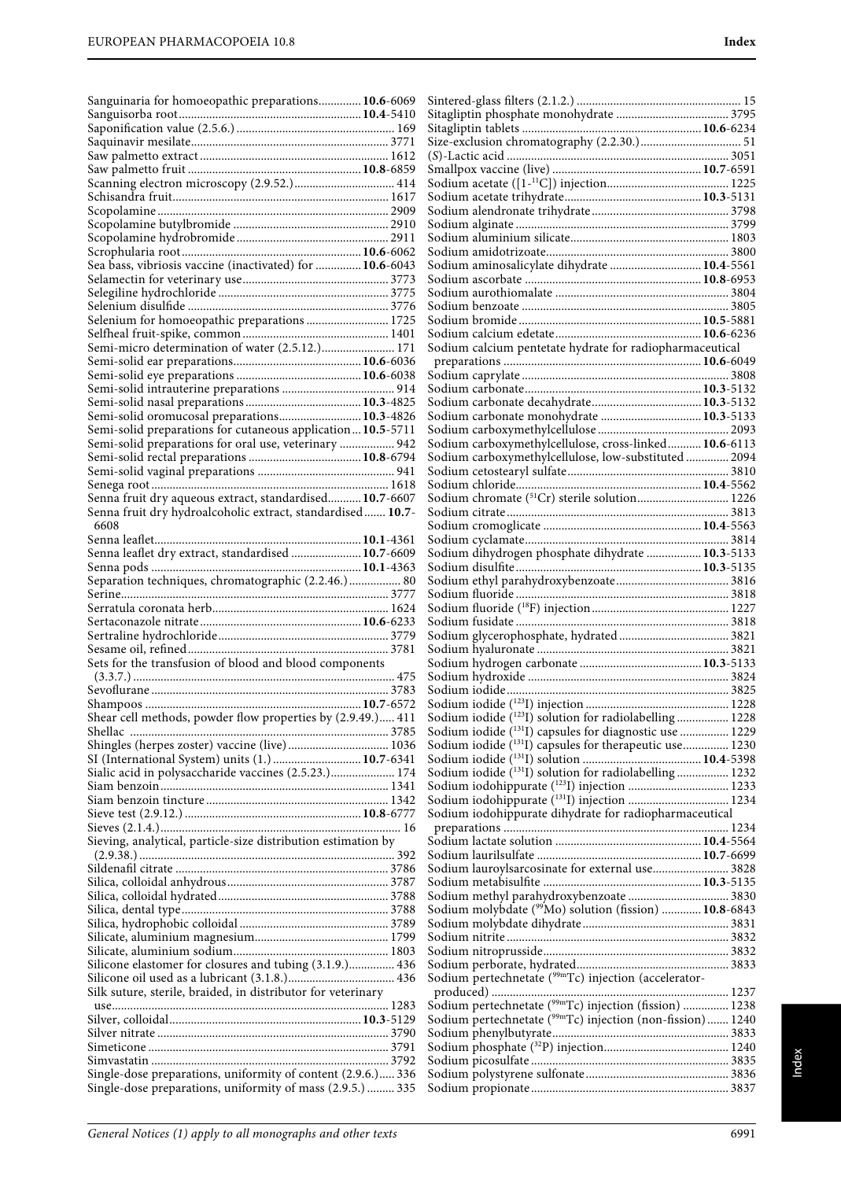| Sanguinaria for homoeopathic preparations 10.6-6069                                                                   |                                                                         |
|-----------------------------------------------------------------------------------------------------------------------|-------------------------------------------------------------------------|
|                                                                                                                       |                                                                         |
|                                                                                                                       |                                                                         |
|                                                                                                                       |                                                                         |
|                                                                                                                       |                                                                         |
|                                                                                                                       |                                                                         |
|                                                                                                                       |                                                                         |
|                                                                                                                       |                                                                         |
|                                                                                                                       |                                                                         |
|                                                                                                                       |                                                                         |
|                                                                                                                       |                                                                         |
| Sea bass, vibriosis vaccine (inactivated) for  10.6-6043                                                              | Sodium aminosalicylate dihydrate  10.4-5561                             |
|                                                                                                                       |                                                                         |
|                                                                                                                       |                                                                         |
|                                                                                                                       |                                                                         |
| Selenium for homoeopathic preparations  1725                                                                          |                                                                         |
|                                                                                                                       |                                                                         |
| Semi-micro determination of water (2.5.12.) 171                                                                       | Sodium calcium pentetate hydrate for radiopharmaceutical                |
|                                                                                                                       |                                                                         |
|                                                                                                                       |                                                                         |
|                                                                                                                       |                                                                         |
| Semi-solid oromucosal preparations 10.3-4826                                                                          | Sodium carbonate monohydrate  10.3-5133                                 |
| Semi-solid preparations for cutaneous application 10.5-5711                                                           |                                                                         |
| Semi-solid preparations for oral use, veterinary  942                                                                 | Sodium carboxymethylcellulose, cross-linked 10.6-6113                   |
|                                                                                                                       | Sodium carboxymethylcellulose, low-substituted  2094                    |
|                                                                                                                       |                                                                         |
|                                                                                                                       | Sodium chromate (51Cr) sterile solution 1226                            |
| Senna fruit dry aqueous extract, standardised 10.7-6607<br>Senna fruit dry hydroalcoholic extract, standardised 10.7- |                                                                         |
| 6608                                                                                                                  |                                                                         |
|                                                                                                                       |                                                                         |
| Senna leaflet dry extract, standardised  10.7-6609                                                                    | Sodium dihydrogen phosphate dihydrate  10.3-5133                        |
|                                                                                                                       |                                                                         |
| Separation techniques, chromatographic (2.2.46.) 80                                                                   |                                                                         |
|                                                                                                                       |                                                                         |
|                                                                                                                       |                                                                         |
|                                                                                                                       |                                                                         |
|                                                                                                                       |                                                                         |
| Sets for the transfusion of blood and blood components                                                                |                                                                         |
|                                                                                                                       |                                                                         |
|                                                                                                                       |                                                                         |
|                                                                                                                       |                                                                         |
| Shear cell methods, powder flow properties by (2.9.49.) 411                                                           | Sodium iodide ( <sup>123</sup> I) solution for radiolabelling  1228     |
|                                                                                                                       | Sodium iodide (131I) capsules for diagnostic use  1229                  |
|                                                                                                                       | Sodium iodide (131) capsules for therapeutic use 1230                   |
| SI (International System) units (1.)  10.7-6341<br>Sialic acid in polysaccharide vaccines (2.5.23.) 174               | Sodium iodide ( <sup>131</sup> I) solution for radiolabelling  1232     |
|                                                                                                                       |                                                                         |
|                                                                                                                       |                                                                         |
|                                                                                                                       | Sodium iodohippurate dihydrate for radiopharmaceutical                  |
|                                                                                                                       |                                                                         |
| Sieving, analytical, particle-size distribution estimation by                                                         |                                                                         |
|                                                                                                                       |                                                                         |
|                                                                                                                       | Sodium lauroylsarcosinate for external use 3828                         |
|                                                                                                                       |                                                                         |
|                                                                                                                       | Sodium molybdate (99Mo) solution (fission)  10.8-6843                   |
|                                                                                                                       |                                                                         |
|                                                                                                                       |                                                                         |
|                                                                                                                       |                                                                         |
| Silicone elastomer for closures and tubing (3.1.9.) 436                                                               |                                                                         |
|                                                                                                                       | Sodium pertechnetate (99mTc) injection (accelerator-                    |
| Silk suture, sterile, braided, in distributor for veterinary                                                          |                                                                         |
|                                                                                                                       | Sodium pertechnetate (99mTc) injection (fission)  1238                  |
|                                                                                                                       | Sodium pertechnetate ( <sup>99m</sup> Tc) injection (non-fission)  1240 |
|                                                                                                                       |                                                                         |
|                                                                                                                       |                                                                         |
| Single-dose preparations, uniformity of content (2.9.6.) 336                                                          |                                                                         |
| Single-dose preparations, uniformity of mass (2.9.5.)  335                                                            |                                                                         |
|                                                                                                                       |                                                                         |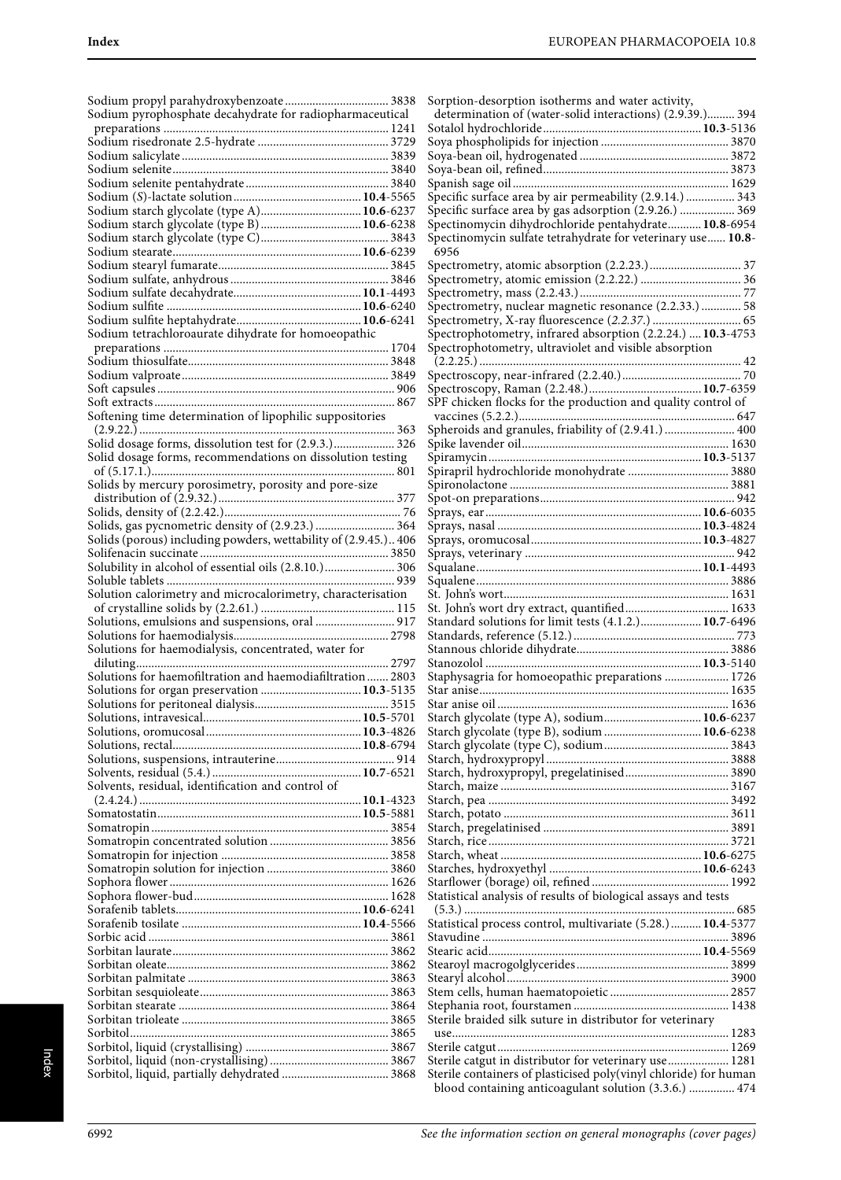| Sodium pyrophosphate decahydrate for radiopharmaceutical        |  |
|-----------------------------------------------------------------|--|
|                                                                 |  |
|                                                                 |  |
|                                                                 |  |
|                                                                 |  |
|                                                                 |  |
|                                                                 |  |
| Sodium starch glycolate (type A) 10.6-6237                      |  |
|                                                                 |  |
|                                                                 |  |
|                                                                 |  |
|                                                                 |  |
|                                                                 |  |
|                                                                 |  |
|                                                                 |  |
|                                                                 |  |
| Sodium tetrachloroaurate dihydrate for homoeopathic             |  |
|                                                                 |  |
|                                                                 |  |
|                                                                 |  |
|                                                                 |  |
|                                                                 |  |
| Softening time determination of lipophilic suppositories        |  |
|                                                                 |  |
|                                                                 |  |
| Solid dosage forms, recommendations on dissolution testing      |  |
|                                                                 |  |
| Solids by mercury porosimetry, porosity and pore-size           |  |
|                                                                 |  |
|                                                                 |  |
| Solids, gas pycnometric density of (2.9.23.)  364               |  |
| Solids (porous) including powders, wettability of (2.9.45.) 406 |  |
|                                                                 |  |
|                                                                 |  |
|                                                                 |  |
| Solution calorimetry and microcalorimetry, characterisation     |  |
|                                                                 |  |
| Solutions, emulsions and suspensions, oral  917                 |  |
|                                                                 |  |
| Solutions for haemodialysis, concentrated, water for            |  |
|                                                                 |  |
| Solutions for haemofiltration and haemodiafiltration 2803       |  |
| Solutions for organ preservation  10.3-5135                     |  |
|                                                                 |  |
|                                                                 |  |
|                                                                 |  |
|                                                                 |  |
|                                                                 |  |
|                                                                 |  |
| Solvents, residual, identification and control of               |  |
|                                                                 |  |
|                                                                 |  |
|                                                                 |  |
|                                                                 |  |
|                                                                 |  |
|                                                                 |  |
|                                                                 |  |
|                                                                 |  |
|                                                                 |  |
|                                                                 |  |
|                                                                 |  |
|                                                                 |  |
|                                                                 |  |
|                                                                 |  |
|                                                                 |  |
|                                                                 |  |
|                                                                 |  |
|                                                                 |  |
|                                                                 |  |
|                                                                 |  |
|                                                                 |  |

| Sorption-desorption isotherms and water activity,                                                                         |  |
|---------------------------------------------------------------------------------------------------------------------------|--|
| determination of (water-solid interactions) (2.9.39.) 394                                                                 |  |
|                                                                                                                           |  |
|                                                                                                                           |  |
|                                                                                                                           |  |
|                                                                                                                           |  |
|                                                                                                                           |  |
| Specific surface area by air permeability (2.9.14.)  343                                                                  |  |
| Specific surface area by gas adsorption (2.9.26.)  369                                                                    |  |
| Spectinomycin dihydrochloride pentahydrate 10.8-6954                                                                      |  |
| Spectinomycin sulfate tetrahydrate for veterinary use 10.8-                                                               |  |
|                                                                                                                           |  |
| 6956                                                                                                                      |  |
|                                                                                                                           |  |
|                                                                                                                           |  |
|                                                                                                                           |  |
| Spectrometry, nuclear magnetic resonance (2.2.33.)  58                                                                    |  |
|                                                                                                                           |  |
| Spectrophotometry, infrared absorption (2.2.24.)  10.3-4753                                                               |  |
| Spectrophotometry, ultraviolet and visible absorption                                                                     |  |
|                                                                                                                           |  |
|                                                                                                                           |  |
|                                                                                                                           |  |
| SPF chicken flocks for the production and quality control of                                                              |  |
|                                                                                                                           |  |
| Spheroids and granules, friability of (2.9.41.)  400                                                                      |  |
|                                                                                                                           |  |
|                                                                                                                           |  |
| Spirapril hydrochloride monohydrate  3880                                                                                 |  |
|                                                                                                                           |  |
|                                                                                                                           |  |
|                                                                                                                           |  |
|                                                                                                                           |  |
|                                                                                                                           |  |
|                                                                                                                           |  |
|                                                                                                                           |  |
|                                                                                                                           |  |
|                                                                                                                           |  |
|                                                                                                                           |  |
|                                                                                                                           |  |
|                                                                                                                           |  |
|                                                                                                                           |  |
| Standard solutions for limit tests (4.1.2.) 10.7-6496                                                                     |  |
|                                                                                                                           |  |
|                                                                                                                           |  |
|                                                                                                                           |  |
| Staphysagria for homoeopathic preparations  1726                                                                          |  |
|                                                                                                                           |  |
|                                                                                                                           |  |
| Starch glycolate (type A), sodium 10.6-6237                                                                               |  |
| Starch glycolate (type B), sodium  10.6-6238                                                                              |  |
|                                                                                                                           |  |
|                                                                                                                           |  |
|                                                                                                                           |  |
|                                                                                                                           |  |
|                                                                                                                           |  |
|                                                                                                                           |  |
|                                                                                                                           |  |
|                                                                                                                           |  |
|                                                                                                                           |  |
|                                                                                                                           |  |
|                                                                                                                           |  |
| Statistical analysis of results of biological assays and tests                                                            |  |
|                                                                                                                           |  |
|                                                                                                                           |  |
| Statistical process control, multivariate (5.28.)  10.4-5377                                                              |  |
|                                                                                                                           |  |
|                                                                                                                           |  |
|                                                                                                                           |  |
|                                                                                                                           |  |
|                                                                                                                           |  |
|                                                                                                                           |  |
| Sterile braided silk suture in distributor for veterinary                                                                 |  |
|                                                                                                                           |  |
|                                                                                                                           |  |
| Sterile catgut in distributor for veterinary use 1281                                                                     |  |
| Sterile containers of plasticised poly(vinyl chloride) for human<br>blood containing anticoagulant solution (3.3.6.)  474 |  |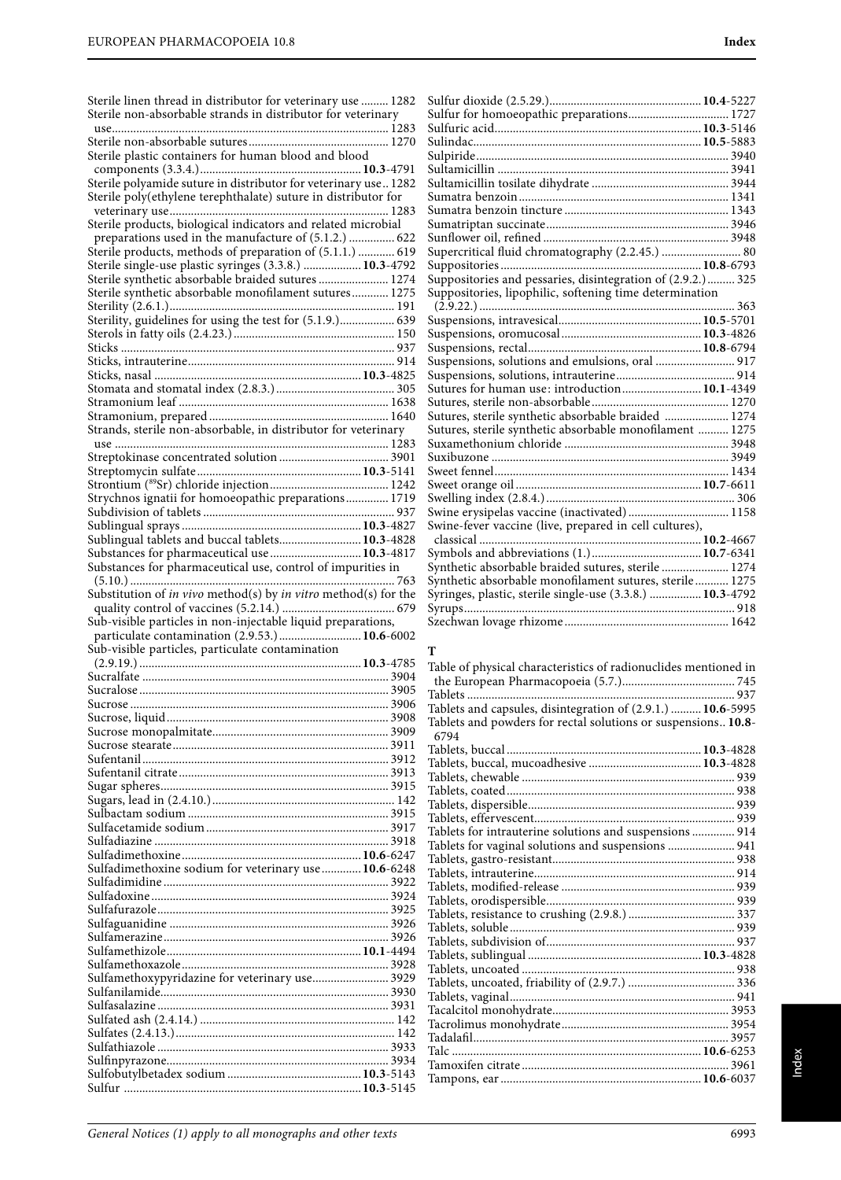Sterile linen thread in distributor for veterinary use ......... 1282 Sterile non-absorbable strands in distributor for veterinary

| use                                                             |  |
|-----------------------------------------------------------------|--|
|                                                                 |  |
| Sterile plastic containers for human blood and blood            |  |
| Sterile polyamide suture in distributor for veterinary use 1282 |  |
| Sterile poly(ethylene terephthalate) suture in distributor for  |  |
|                                                                 |  |
| Sterile products, biological indicators and related microbial   |  |
| preparations used in the manufacture of (5.1.2.)  622           |  |
| Sterile products, methods of preparation of (5.1.1.)  619       |  |
| Sterile single-use plastic syringes (3.3.8.)  10.3-4792         |  |
| Sterile synthetic absorbable braided sutures 1274               |  |
| Sterile synthetic absorbable monofilament sutures 1275          |  |
| Sterility, guidelines for using the test for (5.1.9.) 639       |  |
|                                                                 |  |
|                                                                 |  |
|                                                                 |  |
|                                                                 |  |
|                                                                 |  |
|                                                                 |  |
|                                                                 |  |
| Strands, sterile non-absorbable, in distributor for veterinary  |  |
|                                                                 |  |
|                                                                 |  |
|                                                                 |  |
| Strychnos ignatii for homoeopathic preparations 1719            |  |
|                                                                 |  |
|                                                                 |  |
| Sublingual tablets and buccal tablets 10.3-4828                 |  |
| Substances for pharmaceutical use  10.3-4817                    |  |
| Substances for pharmaceutical use, control of impurities in     |  |
|                                                                 |  |
| Substitution of in vivo method(s) by in vitro method(s) for the |  |
|                                                                 |  |
|                                                                 |  |
| Sub-visible particles in non-injectable liquid preparations,    |  |
| particulate contamination (2.9.53.) 10.6-6002                   |  |
| Sub-visible particles, particulate contamination                |  |
|                                                                 |  |
|                                                                 |  |
|                                                                 |  |
|                                                                 |  |
|                                                                 |  |
|                                                                 |  |
|                                                                 |  |
|                                                                 |  |
|                                                                 |  |
|                                                                 |  |
|                                                                 |  |
|                                                                 |  |
|                                                                 |  |
|                                                                 |  |
| Sulfadimethoxine sodium for veterinary use  10.6-6248           |  |
|                                                                 |  |
|                                                                 |  |
|                                                                 |  |
|                                                                 |  |
|                                                                 |  |
|                                                                 |  |
| Sulfamethoxypyridazine for veterinary use 3929                  |  |
|                                                                 |  |
|                                                                 |  |
|                                                                 |  |
|                                                                 |  |
|                                                                 |  |
|                                                                 |  |

| Sulfur for homoeopathic preparations 1727                   |  |
|-------------------------------------------------------------|--|
|                                                             |  |
|                                                             |  |
|                                                             |  |
|                                                             |  |
|                                                             |  |
|                                                             |  |
|                                                             |  |
|                                                             |  |
|                                                             |  |
| Supercritical fluid chromatography (2.2.45.)  80            |  |
|                                                             |  |
| Suppositories and pessaries, disintegration of (2.9.2.) 325 |  |
| Suppositories, lipophilic, softening time determination     |  |
|                                                             |  |
|                                                             |  |
|                                                             |  |
|                                                             |  |
| Suspensions, solutions and emulsions, oral  917             |  |
|                                                             |  |
| Sutures for human use: introduction 10.1-4349               |  |
|                                                             |  |
| Sutures, sterile synthetic absorbable braided  1274         |  |
| Sutures, sterile synthetic absorbable monofilament  1275    |  |
|                                                             |  |
|                                                             |  |
|                                                             |  |
|                                                             |  |
|                                                             |  |
| Swine erysipelas vaccine (inactivated) 1158                 |  |
| Swine-fever vaccine (live, prepared in cell cultures),      |  |
|                                                             |  |
| Synthetic absorbable braided sutures, sterile  1274         |  |
| Synthetic absorbable monofilament sutures, sterile 1275     |  |
| Syringes, plastic, sterile single-use (3.3.8.)  10.3-4792   |  |
|                                                             |  |
|                                                             |  |
|                                                             |  |

### **T**

| Table of physical characteristics of radionuclides mentioned in       |  |
|-----------------------------------------------------------------------|--|
|                                                                       |  |
|                                                                       |  |
| Tablets and capsules, disintegration of (2.9.1.)  10.6-5995           |  |
| Tablets and powders for rectal solutions or suspensions 10.8-<br>6794 |  |
|                                                                       |  |
|                                                                       |  |
|                                                                       |  |
|                                                                       |  |
|                                                                       |  |
|                                                                       |  |
| Tablets for intrauterine solutions and suspensions  914               |  |
| Tablets for vaginal solutions and suspensions  941                    |  |
|                                                                       |  |
|                                                                       |  |
|                                                                       |  |
|                                                                       |  |
|                                                                       |  |
|                                                                       |  |
|                                                                       |  |
|                                                                       |  |
|                                                                       |  |
|                                                                       |  |
|                                                                       |  |
|                                                                       |  |
|                                                                       |  |
|                                                                       |  |
| Talc ……………………………………………………………………… 10.6-6253                            |  |
|                                                                       |  |
|                                                                       |  |
|                                                                       |  |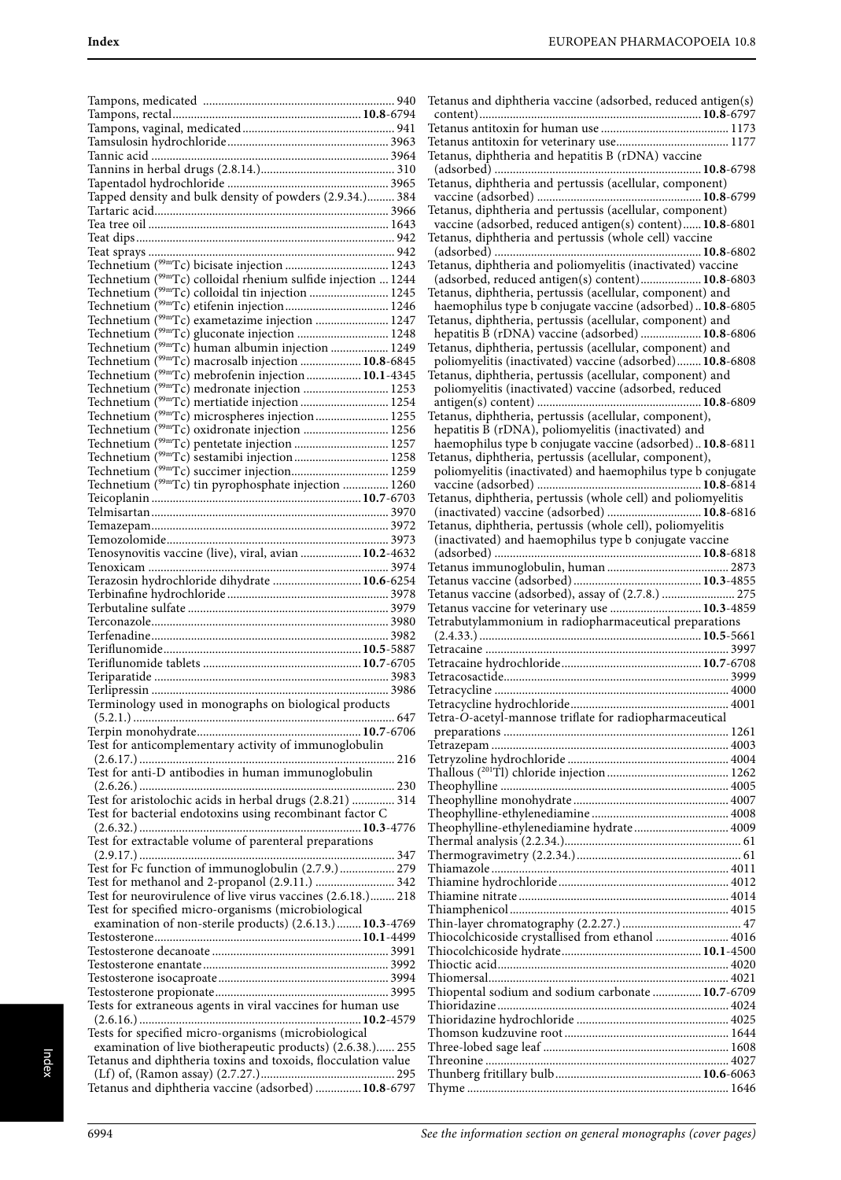| Tapped density and bulk density of powders (2.9.34.) 384                                                        |  |
|-----------------------------------------------------------------------------------------------------------------|--|
|                                                                                                                 |  |
|                                                                                                                 |  |
|                                                                                                                 |  |
|                                                                                                                 |  |
| Technetium $(99mTc)$ colloidal rhenium sulfide injection  1244                                                  |  |
| Technetium ( <sup>99m</sup> Tc) colloidal tin injection  1245                                                   |  |
| Technetium ( <sup>99m</sup> Tc) exametazime injection  1247                                                     |  |
| Technetium (99mTc) gluconate injection  1248                                                                    |  |
| Technetium ( <sup>99m</sup> Tc) human albumin injection  1249                                                   |  |
| Technetium (99mTc) macrosalb injection  10.8-6845                                                               |  |
| Technetium ( <sup>99m</sup> Tc) mebrofenin injection 10.1-4345                                                  |  |
| Technetium ( <sup>99m</sup> Tc) medronate injection  1253                                                       |  |
| Technetium ( <sup>99m</sup> Tc) mertiatide injection  1254                                                      |  |
| Technetium ( <sup>99m</sup> Tc) microspheres injection  1255<br>Technetium (99mTc) oxidronate injection  1256   |  |
| Technetium ( <sup>99m</sup> Tc) pentetate injection  1257                                                       |  |
| Technetium ( <sup>99m</sup> Tc) sestamibi injection 1258                                                        |  |
|                                                                                                                 |  |
| Technetium ( <sup>99m</sup> Tc) tin pyrophosphate injection  1260                                               |  |
|                                                                                                                 |  |
|                                                                                                                 |  |
|                                                                                                                 |  |
| Tenosynovitis vaccine (live), viral, avian  10.2-4632                                                           |  |
|                                                                                                                 |  |
| Terazosin hydrochloride dihydrate  10.6-6254                                                                    |  |
|                                                                                                                 |  |
|                                                                                                                 |  |
|                                                                                                                 |  |
|                                                                                                                 |  |
|                                                                                                                 |  |
|                                                                                                                 |  |
| Terminology used in monographs on biological products                                                           |  |
|                                                                                                                 |  |
|                                                                                                                 |  |
| Test for anticomplementary activity of immunoglobulin                                                           |  |
|                                                                                                                 |  |
| Test for anti-D antibodies in human immunoglobulin                                                              |  |
| Test for aristolochic acids in herbal drugs (2.8.21)  314                                                       |  |
| Test for bacterial endotoxins using recombinant factor C                                                        |  |
|                                                                                                                 |  |
| Test for extractable volume of parenteral preparations                                                          |  |
|                                                                                                                 |  |
| Test for Fc function of immunoglobulin (2.7.9.) 279                                                             |  |
| Test for methanol and 2-propanol (2.9.11.)  342<br>Test for neurovirulence of live virus vaccines (2.6.18.) 218 |  |
| Test for specified micro-organisms (microbiological                                                             |  |
| examination of non-sterile products) (2.6.13.) 10.3-4769                                                        |  |
|                                                                                                                 |  |
|                                                                                                                 |  |
|                                                                                                                 |  |
|                                                                                                                 |  |
| Tests for extraneous agents in viral vaccines for human use                                                     |  |
|                                                                                                                 |  |
| Tests for specified micro-organisms (microbiological                                                            |  |
| examination of live biotherapeutic products) (2.6.38.) 255                                                      |  |
| Tetanus and diphtheria toxins and toxoids, flocculation value                                                   |  |
| Tetanus and diphtheria vaccine (adsorbed)  10.8-6797                                                            |  |

| Tetanus and diphtheria vaccine (adsorbed, reduced antigen(s)                                                  |
|---------------------------------------------------------------------------------------------------------------|
|                                                                                                               |
|                                                                                                               |
| Tetanus, diphtheria and hepatitis B (rDNA) vaccine                                                            |
|                                                                                                               |
| Tetanus, diphtheria and pertussis (acellular, component)                                                      |
| Tetanus, diphtheria and pertussis (acellular, component)                                                      |
| vaccine (adsorbed, reduced antigen(s) content) 10.8-6801                                                      |
| Tetanus, diphtheria and pertussis (whole cell) vaccine                                                        |
| Tetanus, diphtheria and poliomyelitis (inactivated) vaccine                                                   |
| (adsorbed, reduced antigen(s) content) 10.8-6803                                                              |
| Tetanus, diphtheria, pertussis (acellular, component) and                                                     |
| haemophilus type b conjugate vaccine (adsorbed) 10.8-6805                                                     |
| Tetanus, diphtheria, pertussis (acellular, component) and                                                     |
| hepatitis B (rDNA) vaccine (adsorbed)  10.8-6806<br>Tetanus, diphtheria, pertussis (acellular, component) and |
| poliomyelitis (inactivated) vaccine (adsorbed) 10.8-6808                                                      |
| Tetanus, diphtheria, pertussis (acellular, component) and                                                     |
| poliomyelitis (inactivated) vaccine (adsorbed, reduced                                                        |
|                                                                                                               |
| Tetanus, diphtheria, pertussis (acellular, component),<br>hepatitis B (rDNA), poliomyelitis (inactivated) and |
| haemophilus type b conjugate vaccine (adsorbed) 10.8-6811                                                     |
| Tetanus, diphtheria, pertussis (acellular, component),                                                        |
| poliomyelitis (inactivated) and haemophilus type b conjugate                                                  |
|                                                                                                               |
| Tetanus, diphtheria, pertussis (whole cell) and poliomyelitis<br>(inactivated) vaccine (adsorbed)  10.8-6816  |
| Tetanus, diphtheria, pertussis (whole cell), poliomyelitis                                                    |
| (inactivated) and haemophilus type b conjugate vaccine                                                        |
|                                                                                                               |
|                                                                                                               |
|                                                                                                               |
|                                                                                                               |
| Tetanus vaccine (adsorbed), assay of (2.7.8.)  275                                                            |
| Tetanus vaccine for veterinary use  10.3-4859<br>Tetrabutylammonium in radiopharmaceutical preparations       |
|                                                                                                               |
|                                                                                                               |
|                                                                                                               |
|                                                                                                               |
|                                                                                                               |
| Tetra-O-acetyl-mannose triflate for radiopharmaceutical                                                       |
|                                                                                                               |
|                                                                                                               |
|                                                                                                               |
|                                                                                                               |
|                                                                                                               |
|                                                                                                               |
| Theophylline-ethylenediamine hydrate 4009                                                                     |
|                                                                                                               |
|                                                                                                               |
|                                                                                                               |
|                                                                                                               |
|                                                                                                               |
| Thiocolchicoside crystallised from ethanol  4016                                                              |
|                                                                                                               |
|                                                                                                               |
| Thiopental sodium and sodium carbonate  10.7-6709                                                             |
|                                                                                                               |
|                                                                                                               |
|                                                                                                               |
|                                                                                                               |
|                                                                                                               |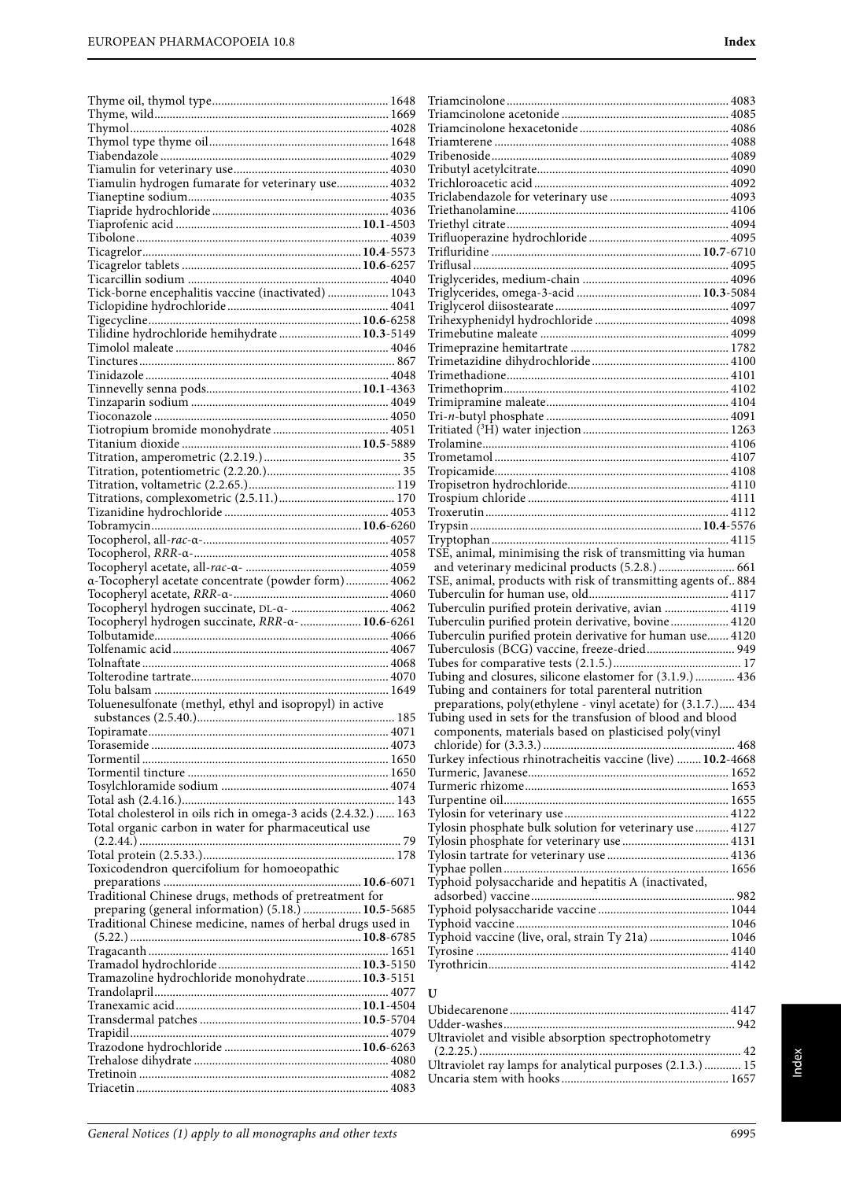| Tiamulin hydrogen fumarate for veterinary use 4032                                                                |  |
|-------------------------------------------------------------------------------------------------------------------|--|
|                                                                                                                   |  |
|                                                                                                                   |  |
|                                                                                                                   |  |
|                                                                                                                   |  |
|                                                                                                                   |  |
|                                                                                                                   |  |
| Tick-borne encephalitis vaccine (inactivated)  1043                                                               |  |
|                                                                                                                   |  |
|                                                                                                                   |  |
| Tilidine hydrochloride hemihydrate  10.3-5149                                                                     |  |
|                                                                                                                   |  |
|                                                                                                                   |  |
|                                                                                                                   |  |
|                                                                                                                   |  |
|                                                                                                                   |  |
|                                                                                                                   |  |
|                                                                                                                   |  |
|                                                                                                                   |  |
|                                                                                                                   |  |
|                                                                                                                   |  |
|                                                                                                                   |  |
|                                                                                                                   |  |
|                                                                                                                   |  |
|                                                                                                                   |  |
| a-Tocopheryl acetate concentrate (powder form) 4062                                                               |  |
|                                                                                                                   |  |
| Tocopheryl hydrogen succinate, DL-α-  4062                                                                        |  |
|                                                                                                                   |  |
| Tocopheryl hydrogen succinate, RRR-a-  10.6-6261                                                                  |  |
|                                                                                                                   |  |
|                                                                                                                   |  |
|                                                                                                                   |  |
|                                                                                                                   |  |
| Toluenesulfonate (methyl, ethyl and isopropyl) in active                                                          |  |
|                                                                                                                   |  |
|                                                                                                                   |  |
|                                                                                                                   |  |
|                                                                                                                   |  |
|                                                                                                                   |  |
|                                                                                                                   |  |
| Total cholesterol in oils rich in omega-3 acids (2.4.32.)  163                                                    |  |
| Total organic carbon in water for pharmaceutical use                                                              |  |
|                                                                                                                   |  |
|                                                                                                                   |  |
| Toxicodendron quercifolium for homoeopathic                                                                       |  |
|                                                                                                                   |  |
| Traditional Chinese drugs, methods of pretreatment for                                                            |  |
| preparing (general information) (5.18.)  10.5-5685<br>Traditional Chinese medicine, names of herbal drugs used in |  |
|                                                                                                                   |  |
|                                                                                                                   |  |
|                                                                                                                   |  |
| Tramazoline hydrochloride monohydrate 10.3-5151                                                                   |  |
|                                                                                                                   |  |
|                                                                                                                   |  |
|                                                                                                                   |  |
|                                                                                                                   |  |
|                                                                                                                   |  |
|                                                                                                                   |  |

| TSE, animal, minimising the risk of transmitting via human    |  |
|---------------------------------------------------------------|--|
| and veterinary medicinal products (5.2.8.)  661               |  |
| TSE, animal, products with risk of transmitting agents of 884 |  |
|                                                               |  |
| Tuberculin purified protein derivative, avian  4119           |  |
| Tuberculin purified protein derivative, bovine 4120           |  |
| Tuberculin purified protein derivative for human use 4120     |  |
| Tuberculosis (BCG) vaccine, freeze-dried 949                  |  |
|                                                               |  |
| Tubing and closures, silicone elastomer for (3.1.9.) 436      |  |
| Tubing and containers for total parenteral nutrition          |  |
| preparations, poly(ethylene - vinyl acetate) for (3.1.7.) 434 |  |
| Tubing used in sets for the transfusion of blood and blood    |  |
|                                                               |  |
|                                                               |  |
| Turkey infectious rhinotracheitis vaccine (live)  10.2-4668   |  |
|                                                               |  |
|                                                               |  |
|                                                               |  |
|                                                               |  |
|                                                               |  |
| Tylosin phosphate bulk solution for veterinary use  4127      |  |
|                                                               |  |
|                                                               |  |
|                                                               |  |
| Typhoid polysaccharide and hepatitis A (inactivated,          |  |
|                                                               |  |
|                                                               |  |
|                                                               |  |
| Typhoid vaccine (live, oral, strain Ty 21a)  1046             |  |
|                                                               |  |
|                                                               |  |

# **U**

| Ultraviolet and visible absorption spectrophotometry       |  |
|------------------------------------------------------------|--|
|                                                            |  |
| Ultraviolet ray lamps for analytical purposes (2.1.3.)  15 |  |
|                                                            |  |
|                                                            |  |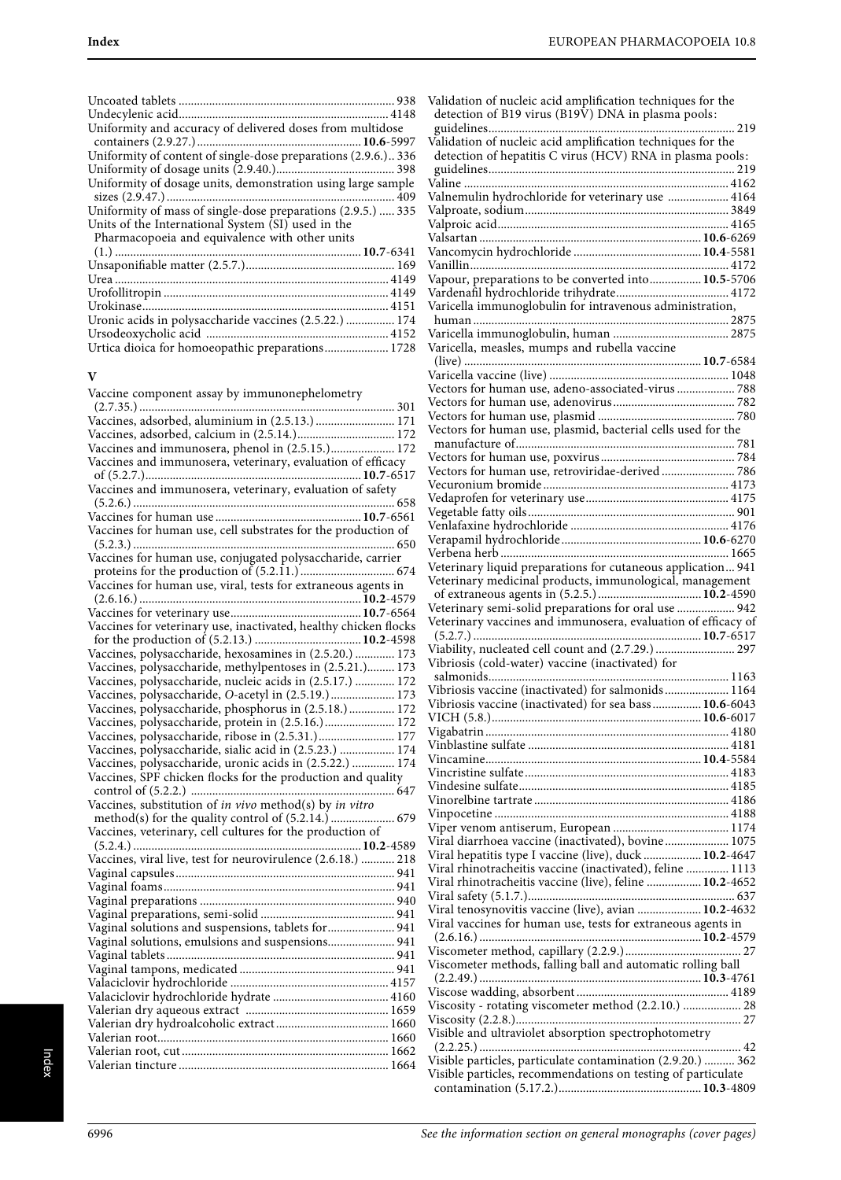| Uniformity and accuracy of delivered doses from multidose      |  |
|----------------------------------------------------------------|--|
| Uniformity of content of single-dose preparations (2.9.6.) 336 |  |
|                                                                |  |
| Uniformity of dosage units, demonstration using large sample   |  |
|                                                                |  |
| Uniformity of mass of single-dose preparations (2.9.5.)  335   |  |
| Units of the International System (SI) used in the             |  |
| Pharmacopoeia and equivalence with other units                 |  |
|                                                                |  |
|                                                                |  |
|                                                                |  |
|                                                                |  |
|                                                                |  |
| Uronic acids in polysaccharide vaccines (2.5.22.)  174         |  |
|                                                                |  |
| Urtica dioica for homoeopathic preparations 1728               |  |

### **V**

| Vaccine component assay by immunonephelometry                    |
|------------------------------------------------------------------|
|                                                                  |
|                                                                  |
| Vaccines, adsorbed, calcium in (2.5.14.) 172                     |
| Vaccines and immunosera, phenol in (2.5.15.) 172                 |
| Vaccines and immunosera, veterinary, evaluation of efficacy      |
|                                                                  |
| Vaccines and immunosera, veterinary, evaluation of safety        |
|                                                                  |
|                                                                  |
| Vaccines for human use, cell substrates for the production of    |
|                                                                  |
| Vaccines for human use, conjugated polysaccharide, carrier       |
|                                                                  |
| Vaccines for human use, viral, tests for extraneous agents in    |
|                                                                  |
|                                                                  |
| Vaccines for veterinary use, inactivated, healthy chicken flocks |
|                                                                  |
| Vaccines, polysaccharide, hexosamines in (2.5.20.)  173          |
| Vaccines, polysaccharide, methylpentoses in (2.5.21.) 173        |
| Vaccines, polysaccharide, nucleic acids in (2.5.17.)  172        |
| Vaccines, polysaccharide, O-acetyl in (2.5.19.) 173              |
| Vaccines, polysaccharide, phosphorus in (2.5.18.) 172            |
| Vaccines, polysaccharide, protein in (2.5.16.)  172              |
| Vaccines, polysaccharide, ribose in (2.5.31.) 177                |
| Vaccines, polysaccharide, sialic acid in (2.5.23.)  174          |
| Vaccines, polysaccharide, uronic acids in (2.5.22.)  174         |
| Vaccines, SPF chicken flocks for the production and quality      |
|                                                                  |
| Vaccines, substitution of in vivo method(s) by in vitro          |
|                                                                  |
| Vaccines, veterinary, cell cultures for the production of        |
|                                                                  |
| Vaccines, viral live, test for neurovirulence (2.6.18.)  218     |
|                                                                  |
|                                                                  |
|                                                                  |
|                                                                  |
| Vaginal solutions and suspensions, tablets for 941               |
| Vaginal solutions, emulsions and suspensions 941                 |
|                                                                  |
|                                                                  |
|                                                                  |
|                                                                  |
|                                                                  |
|                                                                  |
|                                                                  |
|                                                                  |
|                                                                  |

| Validation of nucleic acid amplification techniques for the<br>detection of B19 virus (B19V) DNA in plasma pools:           |  |
|-----------------------------------------------------------------------------------------------------------------------------|--|
| Validation of nucleic acid amplification techniques for the                                                                 |  |
| detection of hepatitis C virus (HCV) RNA in plasma pools:                                                                   |  |
|                                                                                                                             |  |
| Valnemulin hydrochloride for veterinary use  4164                                                                           |  |
|                                                                                                                             |  |
|                                                                                                                             |  |
|                                                                                                                             |  |
|                                                                                                                             |  |
|                                                                                                                             |  |
| Vapour, preparations to be converted into 10.5-5706                                                                         |  |
|                                                                                                                             |  |
| Varicella immunoglobulin for intravenous administration,                                                                    |  |
|                                                                                                                             |  |
|                                                                                                                             |  |
| Varicella, measles, mumps and rubella vaccine                                                                               |  |
|                                                                                                                             |  |
|                                                                                                                             |  |
| Vectors for human use, adeno-associated-virus  788                                                                          |  |
|                                                                                                                             |  |
|                                                                                                                             |  |
| Vectors for human use, plasmid, bacterial cells used for the                                                                |  |
|                                                                                                                             |  |
|                                                                                                                             |  |
|                                                                                                                             |  |
|                                                                                                                             |  |
|                                                                                                                             |  |
|                                                                                                                             |  |
|                                                                                                                             |  |
|                                                                                                                             |  |
|                                                                                                                             |  |
| Veterinary liquid preparations for cutaneous application 941                                                                |  |
| Veterinary medicinal products, immunological, management                                                                    |  |
|                                                                                                                             |  |
| Veterinary semi-solid preparations for oral use  942                                                                        |  |
| Veterinary vaccines and immunosera, evaluation of efficacy of                                                               |  |
| Viability, nucleated cell count and (2.7.29.)  297                                                                          |  |
| Vibriosis (cold-water) vaccine (inactivated) for                                                                            |  |
|                                                                                                                             |  |
| Vibriosis vaccine (inactivated) for salmonids 1164                                                                          |  |
| Vibriosis vaccine (inactivated) for sea bass 10.6-6043                                                                      |  |
|                                                                                                                             |  |
|                                                                                                                             |  |
|                                                                                                                             |  |
|                                                                                                                             |  |
|                                                                                                                             |  |
|                                                                                                                             |  |
|                                                                                                                             |  |
|                                                                                                                             |  |
|                                                                                                                             |  |
| Viral diarrhoea vaccine (inactivated), bovine 1075                                                                          |  |
| Viral hepatitis type I vaccine (live), duck  10.2-4647                                                                      |  |
| Viral rhinotracheitis vaccine (inactivated), feline  1113                                                                   |  |
| Viral rhinotracheitis vaccine (live), feline  10.2-4652                                                                     |  |
|                                                                                                                             |  |
| Viral tenosynovitis vaccine (live), avian  10.2-4632                                                                        |  |
| Viral vaccines for human use, tests for extraneous agents in                                                                |  |
|                                                                                                                             |  |
|                                                                                                                             |  |
| Viscometer methods, falling ball and automatic rolling ball                                                                 |  |
|                                                                                                                             |  |
|                                                                                                                             |  |
| Viscosity - rotating viscometer method (2.2.10.)  28                                                                        |  |
|                                                                                                                             |  |
| Visible and ultraviolet absorption spectrophotometry                                                                        |  |
|                                                                                                                             |  |
| Visible particles, particulate contamination (2.9.20.)  362<br>Visible particles, recommendations on testing of particulate |  |
|                                                                                                                             |  |

Index

contamination (5.17.2.)...............................................**10.3**-4809